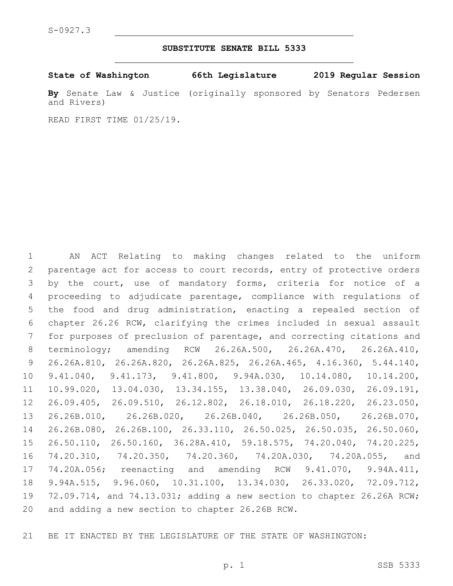#### **SUBSTITUTE SENATE BILL 5333**

| State of Washington | 66th Legislature | 2019 Regular Session |  |
|---------------------|------------------|----------------------|--|
|                     |                  |                      |  |

**By** Senate Law & Justice (originally sponsored by Senators Pedersen and Rivers)

READ FIRST TIME 01/25/19.

 AN ACT Relating to making changes related to the uniform parentage act for access to court records, entry of protective orders by the court, use of mandatory forms, criteria for notice of a proceeding to adjudicate parentage, compliance with regulations of the food and drug administration, enacting a repealed section of chapter 26.26 RCW, clarifying the crimes included in sexual assault for purposes of preclusion of parentage, and correcting citations and terminology; amending RCW 26.26A.500, 26.26A.470, 26.26A.410, 26.26A.810, 26.26A.820, 26.26A.825, 26.26A.465, 4.16.360, 5.44.140, 9.41.040, 9.41.173, 9.41.800, 9.94A.030, 10.14.080, 10.14.200, 10.99.020, 13.04.030, 13.34.155, 13.38.040, 26.09.030, 26.09.191, 26.09.405, 26.09.510, 26.12.802, 26.18.010, 26.18.220, 26.23.050, 26.26B.010, 26.26B.020, 26.26B.040, 26.26B.050, 26.26B.070, 26.26B.080, 26.26B.100, 26.33.110, 26.50.025, 26.50.035, 26.50.060, 26.50.110, 26.50.160, 36.28A.410, 59.18.575, 74.20.040, 74.20.225, 74.20.310, 74.20.350, 74.20.360, 74.20A.030, 74.20A.055, and 74.20A.056; reenacting and amending RCW 9.41.070, 9.94A.411, 9.94A.515, 9.96.060, 10.31.100, 13.34.030, 26.33.020, 72.09.712, 72.09.714, and 74.13.031; adding a new section to chapter 26.26A RCW; 20 and adding a new section to chapter 26.26B RCW.

BE IT ENACTED BY THE LEGISLATURE OF THE STATE OF WASHINGTON: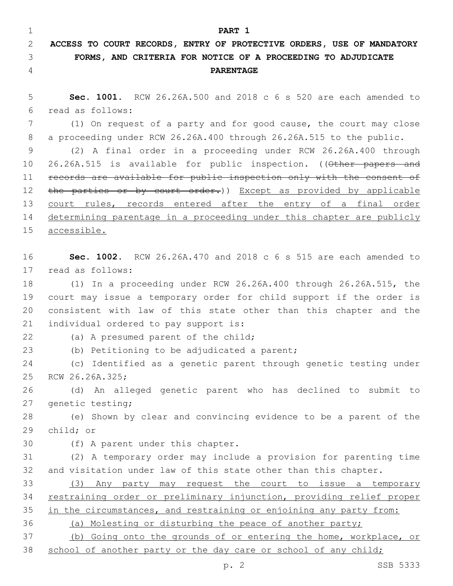**PART 1 ACCESS TO COURT RECORDS, ENTRY OF PROTECTIVE ORDERS, USE OF MANDATORY FORMS, AND CRITERIA FOR NOTICE OF A PROCEEDING TO ADJUDICATE PARENTAGE Sec. 1001.** RCW 26.26A.500 and 2018 c 6 s 520 are each amended to read as follows:6 (1) On request of a party and for good cause, the court may close a proceeding under RCW 26.26A.400 through 26.26A.515 to the public. (2) A final order in a proceeding under RCW 26.26A.400 through

10 26.26A.515 is available for public inspection. ((Other papers and records are available for public inspection only with the consent of 12 the parties or by court order.)) Except as provided by applicable 13 court rules, records entered after the entry of a final order determining parentage in a proceeding under this chapter are publicly accessible.

 **Sec. 1002.** RCW 26.26A.470 and 2018 c 6 s 515 are each amended to 17 read as follows:

 (1) In a proceeding under RCW 26.26A.400 through 26.26A.515, the court may issue a temporary order for child support if the order is consistent with law of this state other than this chapter and the 21 individual ordered to pay support is:

22 (a) A presumed parent of the child;

(b) Petitioning to be adjudicated a parent;

 (c) Identified as a genetic parent through genetic testing under 25 RCW 26.26A.325;

 (d) An alleged genetic parent who has declined to submit to 27 genetic testing;

 (e) Shown by clear and convincing evidence to be a parent of the 29 child; or

30 (f) A parent under this chapter.

 (2) A temporary order may include a provision for parenting time and visitation under law of this state other than this chapter.

 (3) Any party may request the court to issue a temporary restraining order or preliminary injunction, providing relief proper 35 in the circumstances, and restraining or enjoining any party from:

(a) Molesting or disturbing the peace of another party;

 (b) Going onto the grounds of or entering the home, workplace, or 38 school of another party or the day care or school of any child;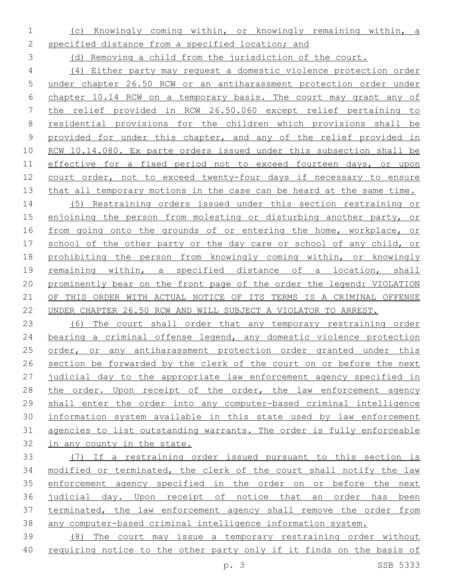- (c) Knowingly coming within, or knowingly remaining within, a
- specified distance from a specified location; and

(d) Removing a child from the jurisdiction of the court.

 (4) Either party may request a domestic violence protection order under chapter 26.50 RCW or an antiharassment protection order under chapter 10.14 RCW on a temporary basis. The court may grant any of the relief provided in RCW 26.50.060 except relief pertaining to residential provisions for the children which provisions shall be provided for under this chapter, and any of the relief provided in RCW 10.14.080. Ex parte orders issued under this subsection shall be 11 effective for a fixed period not to exceed fourteen days, or upon court order, not to exceed twenty-four days if necessary to ensure 13 that all temporary motions in the case can be heard at the same time.

 (5) Restraining orders issued under this section restraining or enjoining the person from molesting or disturbing another party, or 16 from going onto the grounds of or entering the home, workplace, or school of the other party or the day care or school of any child, or prohibiting the person from knowingly coming within, or knowingly remaining within, a specified distance of a location, shall prominently bear on the front page of the order the legend: VIOLATION OF THIS ORDER WITH ACTUAL NOTICE OF ITS TERMS IS A CRIMINAL OFFENSE UNDER CHAPTER 26.50 RCW AND WILL SUBJECT A VIOLATOR TO ARREST.

 (6) The court shall order that any temporary restraining order bearing a criminal offense legend, any domestic violence protection 25 order, or any antiharassment protection order granted under this section be forwarded by the clerk of the court on or before the next judicial day to the appropriate law enforcement agency specified in 28 the order. Upon receipt of the order, the law enforcement agency shall enter the order into any computer-based criminal intelligence information system available in this state used by law enforcement agencies to list outstanding warrants. The order is fully enforceable in any county in the state.

 (7) If a restraining order issued pursuant to this section is modified or terminated, the clerk of the court shall notify the law enforcement agency specified in the order on or before the next judicial day. Upon receipt of notice that an order has been terminated, the law enforcement agency shall remove the order from any computer-based criminal intelligence information system.

 (8) The court may issue a temporary restraining order without 40 requiring notice to the other party only if it finds on the basis of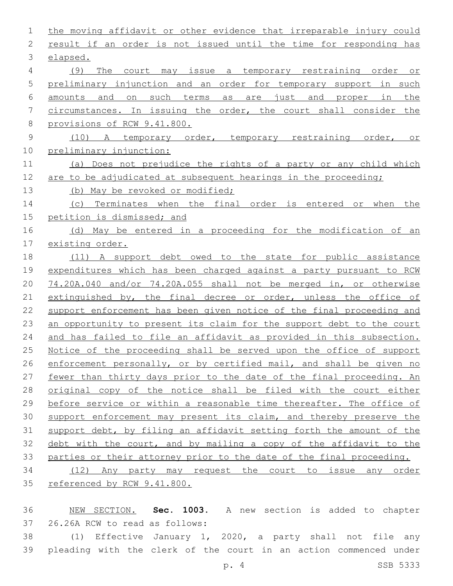| 1  | the moving affidavit or other evidence that irreparable injury could            |
|----|---------------------------------------------------------------------------------|
| 2  | result if an order is not issued until the time for responding has              |
| 3  | elapsed.                                                                        |
| 4  | (9)<br>The<br>court may issue a temporary restraining order<br>O <sub>T</sub>   |
| 5  | preliminary injunction and an order for temporary support in such               |
| 6  | amounts and<br>such terms<br>are just<br>the<br>on<br>and<br>proper<br>in<br>as |
| 7  | circumstances. In issuing the order, the court shall consider the               |
| 8  | provisions of RCW 9.41.800.                                                     |
| 9  | A temporary order, temporary restraining order,<br>(10)<br>Оr                   |
| 10 | preliminary injunction:                                                         |
| 11 | (a) Does not prejudice the rights of a party or any child which                 |
| 12 | are to be adjudicated at subsequent hearings in the proceeding;                 |
| 13 | (b) May be revoked or modified;                                                 |
| 14 | Terminates when the final order is entered or<br>when the<br>(C)                |
| 15 | petition is dismissed; and                                                      |
| 16 | (d) May be entered in a proceeding for the modification of an                   |
| 17 | existing order.                                                                 |
| 18 | (11) A support debt owed to the state for public assistance                     |
| 19 | expenditures which has been charged against a party pursuant to RCW             |
| 20 | 74.20A.040 and/or 74.20A.055 shall not be merged in, or otherwise               |
| 21 | extinguished by, the final decree or order, unless the office of                |
| 22 | support enforcement has been given notice of the final proceeding and           |
| 23 | an opportunity to present its claim for the support debt to the court           |
| 24 | and has failed to file an affidavit as provided in this subsection.             |
| 25 | Notice of the proceeding shall be served upon the office of support             |
| 26 | enforcement personally, or by certified mail, and shall be given no             |
| 27 | fewer than thirty days prior to the date of the final proceeding. An            |
| 28 | original copy of the notice shall be filed with the court either                |
| 29 | before service or within a reasonable time thereafter. The office of            |
| 30 | support enforcement may present its claim, and thereby preserve the             |
| 31 | support debt, by filing an affidavit setting forth the amount of the            |
| 32 | debt with the court, and by mailing a copy of the affidavit to the              |
| 33 | parties or their attorney prior to the date of the final proceeding.            |
| 34 | (12) Any party may request the court to issue any order                         |
| 35 | referenced by RCW 9.41.800.                                                     |
|    |                                                                                 |

 NEW SECTION. **Sec. 1003.** A new section is added to chapter 37 26.26A RCW to read as follows:

 (1) Effective January 1, 2020, a party shall not file any pleading with the clerk of the court in an action commenced under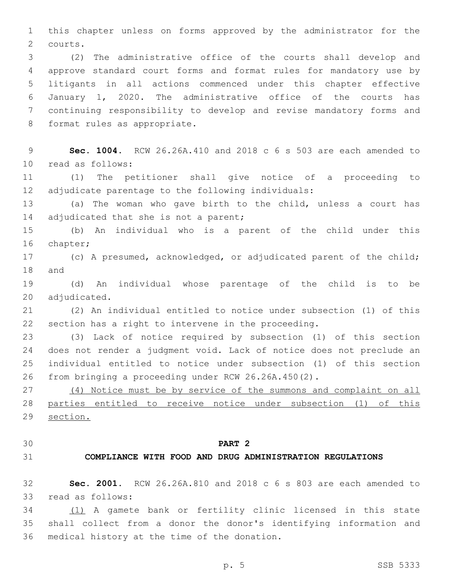this chapter unless on forms approved by the administrator for the 2 courts.

 (2) The administrative office of the courts shall develop and approve standard court forms and format rules for mandatory use by litigants in all actions commenced under this chapter effective January 1, 2020. The administrative office of the courts has continuing responsibility to develop and revise mandatory forms and 8 format rules as appropriate.

 **Sec. 1004.** RCW 26.26A.410 and 2018 c 6 s 503 are each amended to 10 read as follows:

 (1) The petitioner shall give notice of a proceeding to adjudicate parentage to the following individuals:

 (a) The woman who gave birth to the child, unless a court has 14 adjudicated that she is not a parent;

 (b) An individual who is a parent of the child under this 16 chapter;

 (c) A presumed, acknowledged, or adjudicated parent of the child; 18 and

 (d) An individual whose parentage of the child is to be 20 adjudicated.

 (2) An individual entitled to notice under subsection (1) of this section has a right to intervene in the proceeding.

 (3) Lack of notice required by subsection (1) of this section does not render a judgment void. Lack of notice does not preclude an individual entitled to notice under subsection (1) of this section from bringing a proceeding under RCW 26.26A.450(2).

 (4) Notice must be by service of the summons and complaint on all parties entitled to receive notice under subsection (1) of this section.

#### **PART 2**

# **COMPLIANCE WITH FOOD AND DRUG ADMINISTRATION REGULATIONS**

 **Sec. 2001.** RCW 26.26A.810 and 2018 c 6 s 803 are each amended to 33 read as follows:

 (1) A gamete bank or fertility clinic licensed in this state shall collect from a donor the donor's identifying information and 36 medical history at the time of the donation.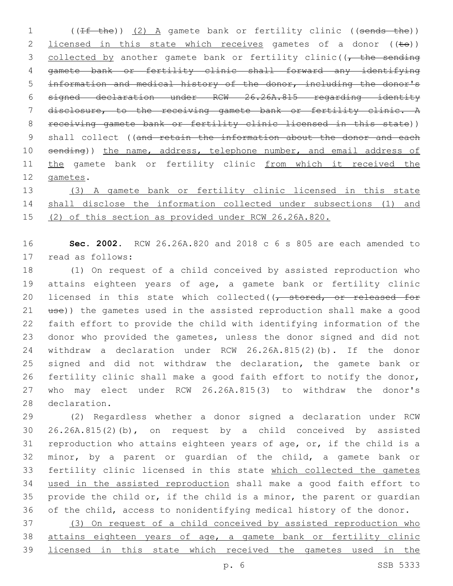1 ((If the)) (2) A gamete bank or fertility clinic ((sends the)) 2 licensed in this state which receives gametes of a donor  $((\pm \Theta))$ 3 collected by another gamete bank or fertility clinic( $\sqrt{t}$  the sending gamete bank or fertility clinic shall forward any identifying information and medical history of the donor, including the donor's signed declaration under RCW 26.26A.815 regarding identity disclosure, to the receiving gamete bank or fertility clinic. A receiving gamete bank or fertility clinic licensed in this state)) 9 shall collect ((and retain the information about the donor and each 10 sending)) the name, address, telephone number, and email address of 11 the gamete bank or fertility clinic from which it received the 12 gametes.

 (3) A gamete bank or fertility clinic licensed in this state shall disclose the information collected under subsections (1) and (2) of this section as provided under RCW 26.26A.820.

 **Sec. 2002.** RCW 26.26A.820 and 2018 c 6 s 805 are each amended to 17 read as follows:

 (1) On request of a child conceived by assisted reproduction who attains eighteen years of age, a gamete bank or fertility clinic 20 licensed in this state which collected((, stored, or released for 21 use)) the gametes used in the assisted reproduction shall make a good faith effort to provide the child with identifying information of the donor who provided the gametes, unless the donor signed and did not withdraw a declaration under RCW 26.26A.815(2)(b). If the donor signed and did not withdraw the declaration, the gamete bank or fertility clinic shall make a good faith effort to notify the donor, who may elect under RCW 26.26A.815(3) to withdraw the donor's 28 declaration.

 (2) Regardless whether a donor signed a declaration under RCW 26.26A.815(2)(b), on request by a child conceived by assisted reproduction who attains eighteen years of age, or, if the child is a minor, by a parent or guardian of the child, a gamete bank or fertility clinic licensed in this state which collected the gametes used in the assisted reproduction shall make a good faith effort to provide the child or, if the child is a minor, the parent or guardian of the child, access to nonidentifying medical history of the donor.

 (3) On request of a child conceived by assisted reproduction who 38 attains eighteen years of age, a gamete bank or fertility clinic licensed in this state which received the gametes used in the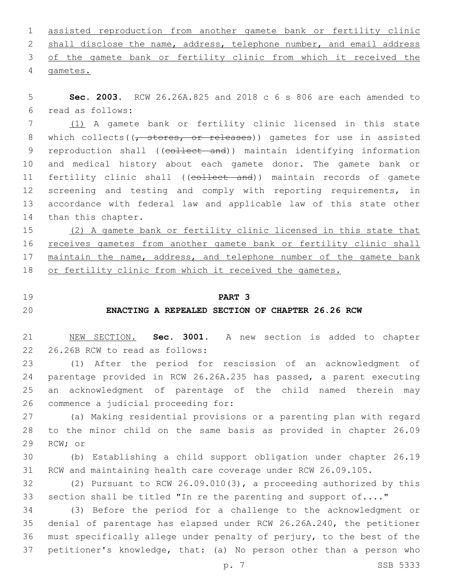| 1 assisted reproduction from another gamete bank or fertility clinic    |  |  |  |  |  |  |
|-------------------------------------------------------------------------|--|--|--|--|--|--|
| 2 shall disclose the name, address, telephone number, and email address |  |  |  |  |  |  |
| 3 of the gamete bank or fertility clinic from which it received the     |  |  |  |  |  |  |
| 4 gametes.                                                              |  |  |  |  |  |  |

5 **Sec. 2003.** RCW 26.26A.825 and 2018 c 6 s 806 are each amended to read as follows:6

7 (1) A gamete bank or fertility clinic licensed in this state 8 which collects((<del>, stores, or releases</del>)) gametes for use in assisted 9 reproduction shall ((collect and)) maintain identifying information 10 and medical history about each gamete donor. The gamete bank or 11 fertility clinic shall ((collect and)) maintain records of gamete 12 screening and testing and comply with reporting requirements, in 13 accordance with federal law and applicable law of this state other 14 than this chapter.

15 (2) A gamete bank or fertility clinic licensed in this state that 16 receives gametes from another gamete bank or fertility clinic shall 17 maintain the name, address, and telephone number of the gamete bank 18 or fertility clinic from which it received the gametes.

#### 19 **PART 3**

### 20 **ENACTING A REPEALED SECTION OF CHAPTER 26.26 RCW**

21 NEW SECTION. **Sec. 3001.** A new section is added to chapter 22 26.26B RCW to read as follows:

 (1) After the period for rescission of an acknowledgment of parentage provided in RCW 26.26A.235 has passed, a parent executing an acknowledgment of parentage of the child named therein may 26 commence a judicial proceeding for:

27 (a) Making residential provisions or a parenting plan with regard 28 to the minor child on the same basis as provided in chapter 26.09 29 RCW; or

30 (b) Establishing a child support obligation under chapter 26.19 31 RCW and maintaining health care coverage under RCW 26.09.105.

32 (2) Pursuant to RCW 26.09.010(3), a proceeding authorized by this 33 section shall be titled "In re the parenting and support of...."

 (3) Before the period for a challenge to the acknowledgment or denial of parentage has elapsed under RCW 26.26A.240, the petitioner must specifically allege under penalty of perjury, to the best of the petitioner's knowledge, that: (a) No person other than a person who

p. 7 SSB 5333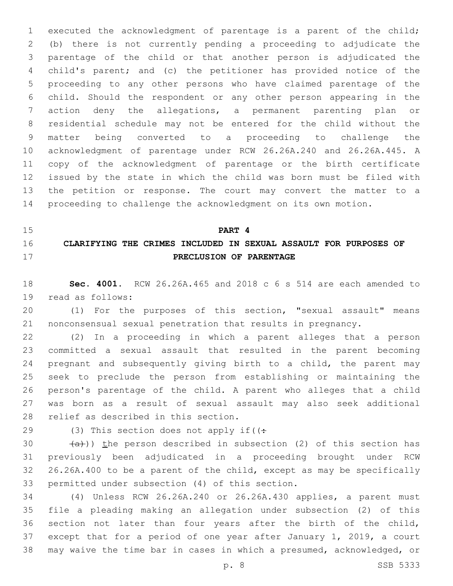executed the acknowledgment of parentage is a parent of the child; (b) there is not currently pending a proceeding to adjudicate the parentage of the child or that another person is adjudicated the child's parent; and (c) the petitioner has provided notice of the proceeding to any other persons who have claimed parentage of the child. Should the respondent or any other person appearing in the action deny the allegations, a permanent parenting plan or residential schedule may not be entered for the child without the matter being converted to a proceeding to challenge the acknowledgment of parentage under RCW 26.26A.240 and 26.26A.445. A copy of the acknowledgment of parentage or the birth certificate issued by the state in which the child was born must be filed with the petition or response. The court may convert the matter to a proceeding to challenge the acknowledgment on its own motion.

# **PART 4 CLARIFYING THE CRIMES INCLUDED IN SEXUAL ASSAULT FOR PURPOSES OF PRECLUSION OF PARENTAGE**

 **Sec. 4001.** RCW 26.26A.465 and 2018 c 6 s 514 are each amended to 19 read as follows:

 (1) For the purposes of this section, "sexual assault" means nonconsensual sexual penetration that results in pregnancy.

 (2) In a proceeding in which a parent alleges that a person committed a sexual assault that resulted in the parent becoming pregnant and subsequently giving birth to a child, the parent may seek to preclude the person from establishing or maintaining the person's parentage of the child. A parent who alleges that a child was born as a result of sexual assault may also seek additional 28 relief as described in this section.

29 (3) This section does not apply if( $($ :

 $(a)$ )) the person described in subsection (2) of this section has previously been adjudicated in a proceeding brought under RCW 26.26A.400 to be a parent of the child, except as may be specifically 33 permitted under subsection (4) of this section.

 (4) Unless RCW 26.26A.240 or 26.26A.430 applies, a parent must file a pleading making an allegation under subsection (2) of this section not later than four years after the birth of the child, except that for a period of one year after January 1, 2019, a court may waive the time bar in cases in which a presumed, acknowledged, or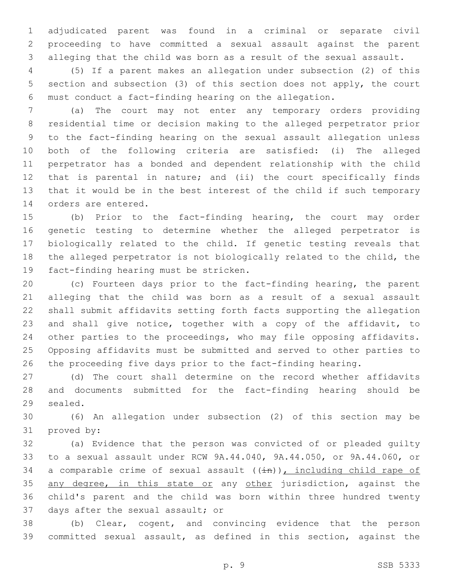adjudicated parent was found in a criminal or separate civil proceeding to have committed a sexual assault against the parent alleging that the child was born as a result of the sexual assault.

 (5) If a parent makes an allegation under subsection (2) of this section and subsection (3) of this section does not apply, the court must conduct a fact-finding hearing on the allegation.

 (a) The court may not enter any temporary orders providing residential time or decision making to the alleged perpetrator prior to the fact-finding hearing on the sexual assault allegation unless both of the following criteria are satisfied: (i) The alleged perpetrator has a bonded and dependent relationship with the child that is parental in nature; and (ii) the court specifically finds that it would be in the best interest of the child if such temporary 14 orders are entered.

 (b) Prior to the fact-finding hearing, the court may order genetic testing to determine whether the alleged perpetrator is biologically related to the child. If genetic testing reveals that the alleged perpetrator is not biologically related to the child, the 19 fact-finding hearing must be stricken.

 (c) Fourteen days prior to the fact-finding hearing, the parent alleging that the child was born as a result of a sexual assault shall submit affidavits setting forth facts supporting the allegation and shall give notice, together with a copy of the affidavit, to other parties to the proceedings, who may file opposing affidavits. Opposing affidavits must be submitted and served to other parties to the proceeding five days prior to the fact-finding hearing.

 (d) The court shall determine on the record whether affidavits and documents submitted for the fact-finding hearing should be 29 sealed.

 (6) An allegation under subsection (2) of this section may be 31 proved by:

 (a) Evidence that the person was convicted of or pleaded guilty to a sexual assault under RCW 9A.44.040, 9A.44.050, or 9A.44.060, or 34 a comparable crime of sexual assault  $((\frac{1}{2}n))$ , including child rape of 35 any degree, in this state or any other jurisdiction, against the child's parent and the child was born within three hundred twenty 37 days after the sexual assault; or

 (b) Clear, cogent, and convincing evidence that the person committed sexual assault, as defined in this section, against the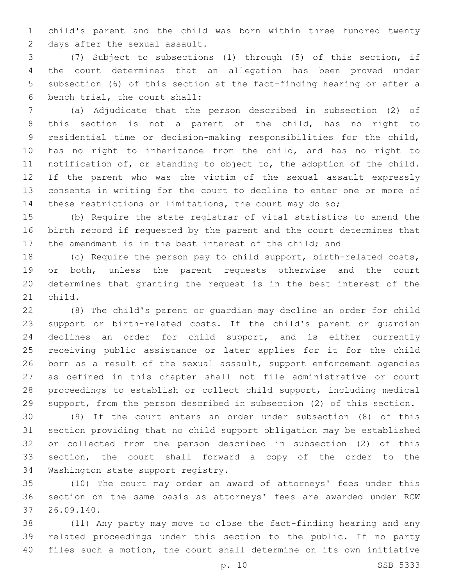child's parent and the child was born within three hundred twenty 2 days after the sexual assault.

 (7) Subject to subsections (1) through (5) of this section, if the court determines that an allegation has been proved under subsection (6) of this section at the fact-finding hearing or after a 6 bench trial, the court shall:

 (a) Adjudicate that the person described in subsection (2) of this section is not a parent of the child, has no right to residential time or decision-making responsibilities for the child, has no right to inheritance from the child, and has no right to notification of, or standing to object to, the adoption of the child. If the parent who was the victim of the sexual assault expressly consents in writing for the court to decline to enter one or more of these restrictions or limitations, the court may do so;

 (b) Require the state registrar of vital statistics to amend the birth record if requested by the parent and the court determines that the amendment is in the best interest of the child; and

 (c) Require the person pay to child support, birth-related costs, or both, unless the parent requests otherwise and the court determines that granting the request is in the best interest of the 21 child.

 (8) The child's parent or guardian may decline an order for child support or birth-related costs. If the child's parent or guardian declines an order for child support, and is either currently receiving public assistance or later applies for it for the child born as a result of the sexual assault, support enforcement agencies as defined in this chapter shall not file administrative or court proceedings to establish or collect child support, including medical support, from the person described in subsection (2) of this section.

 (9) If the court enters an order under subsection (8) of this section providing that no child support obligation may be established or collected from the person described in subsection (2) of this section, the court shall forward a copy of the order to the 34 Washington state support registry.

 (10) The court may order an award of attorneys' fees under this section on the same basis as attorneys' fees are awarded under RCW 26.09.140.37

 (11) Any party may move to close the fact-finding hearing and any related proceedings under this section to the public. If no party files such a motion, the court shall determine on its own initiative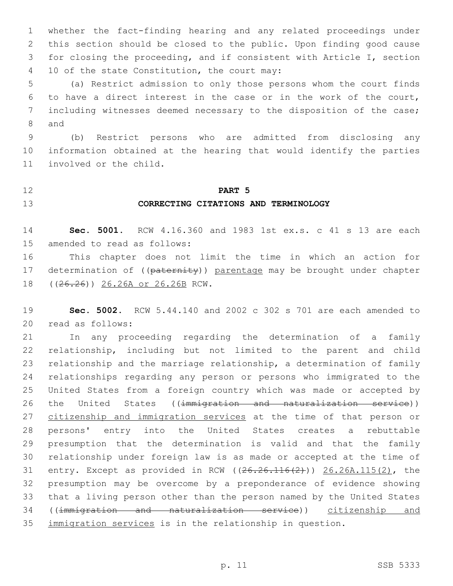whether the fact-finding hearing and any related proceedings under this section should be closed to the public. Upon finding good cause for closing the proceeding, and if consistent with Article I, section 10 of the state Constitution, the court may:4

 (a) Restrict admission to only those persons whom the court finds to have a direct interest in the case or in the work of the court, including witnesses deemed necessary to the disposition of the case; 8 and

 (b) Restrict persons who are admitted from disclosing any information obtained at the hearing that would identify the parties 11 involved or the child.

#### **PART 5**

### **CORRECTING CITATIONS AND TERMINOLOGY**

 **Sec. 5001.** RCW 4.16.360 and 1983 1st ex.s. c 41 s 13 are each 15 amended to read as follows:

 This chapter does not limit the time in which an action for 17 determination of ((paternity)) parentage may be brought under chapter 18 ((26.26)) 26.26A or 26.26B RCW.

 **Sec. 5002.** RCW 5.44.140 and 2002 c 302 s 701 are each amended to 20 read as follows:

 In any proceeding regarding the determination of a family relationship, including but not limited to the parent and child relationship and the marriage relationship, a determination of family relationships regarding any person or persons who immigrated to the United States from a foreign country which was made or accepted by 26 the United States ((immigration and naturalization service)) 27 citizenship and immigration services at the time of that person or persons' entry into the United States creates a rebuttable presumption that the determination is valid and that the family relationship under foreign law is as made or accepted at the time of entry. Except as provided in RCW ((26.26.116(2))) 26.26A.115(2), the presumption may be overcome by a preponderance of evidence showing that a living person other than the person named by the United States ((immigration and naturalization service)) citizenship and 35 immigration services is in the relationship in question.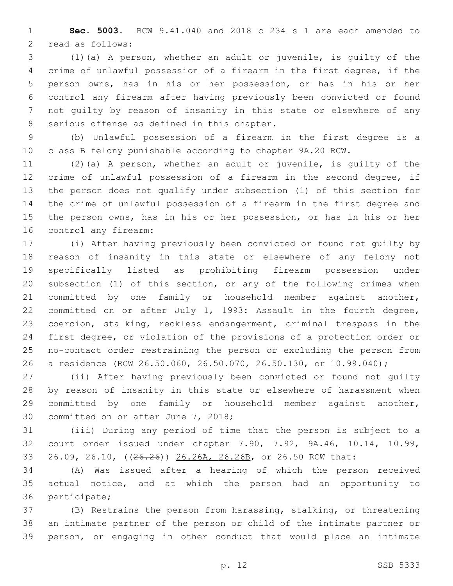**Sec. 5003.** RCW 9.41.040 and 2018 c 234 s 1 are each amended to 2 read as follows:

 (1)(a) A person, whether an adult or juvenile, is guilty of the crime of unlawful possession of a firearm in the first degree, if the person owns, has in his or her possession, or has in his or her control any firearm after having previously been convicted or found not guilty by reason of insanity in this state or elsewhere of any 8 serious offense as defined in this chapter.

 (b) Unlawful possession of a firearm in the first degree is a class B felony punishable according to chapter 9A.20 RCW.

 (2)(a) A person, whether an adult or juvenile, is guilty of the crime of unlawful possession of a firearm in the second degree, if the person does not qualify under subsection (1) of this section for the crime of unlawful possession of a firearm in the first degree and the person owns, has in his or her possession, or has in his or her 16 control any firearm:

 (i) After having previously been convicted or found not guilty by reason of insanity in this state or elsewhere of any felony not specifically listed as prohibiting firearm possession under subsection (1) of this section, or any of the following crimes when committed by one family or household member against another, committed on or after July 1, 1993: Assault in the fourth degree, coercion, stalking, reckless endangerment, criminal trespass in the first degree, or violation of the provisions of a protection order or no-contact order restraining the person or excluding the person from a residence (RCW 26.50.060, 26.50.070, 26.50.130, or 10.99.040);

 (ii) After having previously been convicted or found not guilty by reason of insanity in this state or elsewhere of harassment when committed by one family or household member against another, 30 committed on or after June 7, 2018;

 (iii) During any period of time that the person is subject to a court order issued under chapter 7.90, 7.92, 9A.46, 10.14, 10.99, 26.09, 26.10, ((26.26)) 26.26A, 26.26B, or 26.50 RCW that:

 (A) Was issued after a hearing of which the person received actual notice, and at which the person had an opportunity to 36 participate;

 (B) Restrains the person from harassing, stalking, or threatening an intimate partner of the person or child of the intimate partner or person, or engaging in other conduct that would place an intimate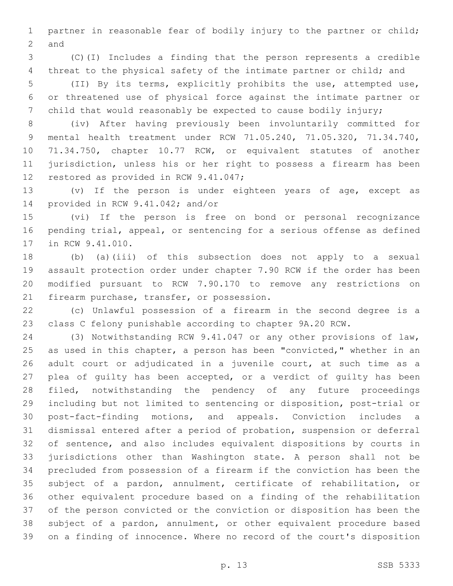partner in reasonable fear of bodily injury to the partner or child; 2 and

 (C)(I) Includes a finding that the person represents a credible 4 threat to the physical safety of the intimate partner or child; and

 (II) By its terms, explicitly prohibits the use, attempted use, or threatened use of physical force against the intimate partner or child that would reasonably be expected to cause bodily injury;

 (iv) After having previously been involuntarily committed for mental health treatment under RCW 71.05.240, 71.05.320, 71.34.740, 71.34.750, chapter 10.77 RCW, or equivalent statutes of another jurisdiction, unless his or her right to possess a firearm has been 12 restored as provided in RCW 9.41.047;

 (v) If the person is under eighteen years of age, except as 14 provided in RCW 9.41.042; and/or

 (vi) If the person is free on bond or personal recognizance pending trial, appeal, or sentencing for a serious offense as defined 17 in RCW 9.41.010.

 (b) (a)(iii) of this subsection does not apply to a sexual assault protection order under chapter 7.90 RCW if the order has been modified pursuant to RCW 7.90.170 to remove any restrictions on 21 firearm purchase, transfer, or possession.

 (c) Unlawful possession of a firearm in the second degree is a class C felony punishable according to chapter 9A.20 RCW.

 (3) Notwithstanding RCW 9.41.047 or any other provisions of law, 25 as used in this chapter, a person has been "convicted," whether in an adult court or adjudicated in a juvenile court, at such time as a plea of guilty has been accepted, or a verdict of guilty has been filed, notwithstanding the pendency of any future proceedings including but not limited to sentencing or disposition, post-trial or post-fact-finding motions, and appeals. Conviction includes a dismissal entered after a period of probation, suspension or deferral of sentence, and also includes equivalent dispositions by courts in jurisdictions other than Washington state. A person shall not be precluded from possession of a firearm if the conviction has been the subject of a pardon, annulment, certificate of rehabilitation, or other equivalent procedure based on a finding of the rehabilitation of the person convicted or the conviction or disposition has been the subject of a pardon, annulment, or other equivalent procedure based on a finding of innocence. Where no record of the court's disposition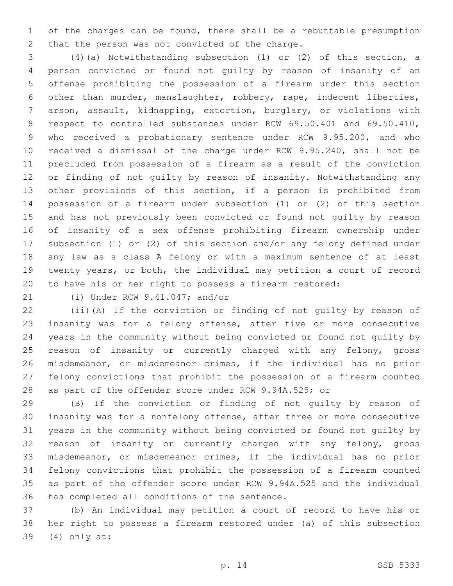of the charges can be found, there shall be a rebuttable presumption 2 that the person was not convicted of the charge.

 (4)(a) Notwithstanding subsection (1) or (2) of this section, a person convicted or found not guilty by reason of insanity of an offense prohibiting the possession of a firearm under this section other than murder, manslaughter, robbery, rape, indecent liberties, arson, assault, kidnapping, extortion, burglary, or violations with 8 respect to controlled substances under RCW 69.50.401 and 69.50.410, who received a probationary sentence under RCW 9.95.200, and who received a dismissal of the charge under RCW 9.95.240, shall not be precluded from possession of a firearm as a result of the conviction or finding of not guilty by reason of insanity. Notwithstanding any other provisions of this section, if a person is prohibited from possession of a firearm under subsection (1) or (2) of this section and has not previously been convicted or found not guilty by reason of insanity of a sex offense prohibiting firearm ownership under subsection (1) or (2) of this section and/or any felony defined under any law as a class A felony or with a maximum sentence of at least twenty years, or both, the individual may petition a court of record to have his or her right to possess a firearm restored:

21 (i) Under RCW 9.41.047; and/or

 (ii)(A) If the conviction or finding of not guilty by reason of insanity was for a felony offense, after five or more consecutive years in the community without being convicted or found not guilty by reason of insanity or currently charged with any felony, gross misdemeanor, or misdemeanor crimes, if the individual has no prior felony convictions that prohibit the possession of a firearm counted as part of the offender score under RCW 9.94A.525; or

 (B) If the conviction or finding of not guilty by reason of insanity was for a nonfelony offense, after three or more consecutive years in the community without being convicted or found not guilty by reason of insanity or currently charged with any felony, gross misdemeanor, or misdemeanor crimes, if the individual has no prior felony convictions that prohibit the possession of a firearm counted as part of the offender score under RCW 9.94A.525 and the individual 36 has completed all conditions of the sentence.

 (b) An individual may petition a court of record to have his or her right to possess a firearm restored under (a) of this subsection (4) only at:39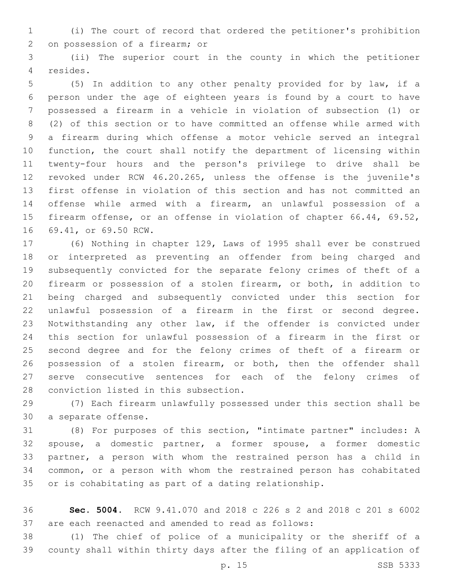(i) The court of record that ordered the petitioner's prohibition 2 on possession of a firearm; or

 (ii) The superior court in the county in which the petitioner resides.4

 (5) In addition to any other penalty provided for by law, if a person under the age of eighteen years is found by a court to have possessed a firearm in a vehicle in violation of subsection (1) or (2) of this section or to have committed an offense while armed with a firearm during which offense a motor vehicle served an integral function, the court shall notify the department of licensing within twenty-four hours and the person's privilege to drive shall be revoked under RCW 46.20.265, unless the offense is the juvenile's first offense in violation of this section and has not committed an offense while armed with a firearm, an unlawful possession of a firearm offense, or an offense in violation of chapter 66.44, 69.52, 16 69.41, or 69.50 RCW.

 (6) Nothing in chapter 129, Laws of 1995 shall ever be construed or interpreted as preventing an offender from being charged and subsequently convicted for the separate felony crimes of theft of a firearm or possession of a stolen firearm, or both, in addition to being charged and subsequently convicted under this section for unlawful possession of a firearm in the first or second degree. Notwithstanding any other law, if the offender is convicted under this section for unlawful possession of a firearm in the first or second degree and for the felony crimes of theft of a firearm or possession of a stolen firearm, or both, then the offender shall serve consecutive sentences for each of the felony crimes of 28 conviction listed in this subsection.

 (7) Each firearm unlawfully possessed under this section shall be 30 a separate offense.

 (8) For purposes of this section, "intimate partner" includes: A spouse, a domestic partner, a former spouse, a former domestic partner, a person with whom the restrained person has a child in common, or a person with whom the restrained person has cohabitated or is cohabitating as part of a dating relationship.

 **Sec. 5004.** RCW 9.41.070 and 2018 c 226 s 2 and 2018 c 201 s 6002 are each reenacted and amended to read as follows:

 (1) The chief of police of a municipality or the sheriff of a county shall within thirty days after the filing of an application of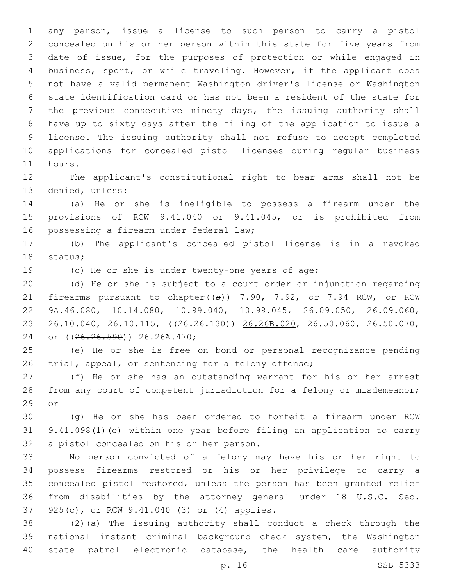any person, issue a license to such person to carry a pistol concealed on his or her person within this state for five years from date of issue, for the purposes of protection or while engaged in business, sport, or while traveling. However, if the applicant does not have a valid permanent Washington driver's license or Washington state identification card or has not been a resident of the state for the previous consecutive ninety days, the issuing authority shall have up to sixty days after the filing of the application to issue a license. The issuing authority shall not refuse to accept completed applications for concealed pistol licenses during regular business 11 hours.

 The applicant's constitutional right to bear arms shall not be 13 denied, unless:

 (a) He or she is ineligible to possess a firearm under the provisions of RCW 9.41.040 or 9.41.045, or is prohibited from 16 possessing a firearm under federal law;

 (b) The applicant's concealed pistol license is in a revoked 18 status;

(c) He or she is under twenty-one years of age;

 (d) He or she is subject to a court order or injunction regarding 21 firearms pursuant to chapter((s)) 7.90, 7.92, or 7.94 RCW, or RCW 9A.46.080, 10.14.080, 10.99.040, 10.99.045, 26.09.050, 26.09.060, 26.10.040, 26.10.115, ((26.26.130)) 26.26B.020, 26.50.060, 26.50.070, 24 or ((<del>26.26.590</del>)) 26.26A.470;

 (e) He or she is free on bond or personal recognizance pending 26 trial, appeal, or sentencing for a felony offense;

 (f) He or she has an outstanding warrant for his or her arrest from any court of competent jurisdiction for a felony or misdemeanor; 29 or

 (g) He or she has been ordered to forfeit a firearm under RCW 9.41.098(1)(e) within one year before filing an application to carry 32 a pistol concealed on his or her person.

 No person convicted of a felony may have his or her right to possess firearms restored or his or her privilege to carry a concealed pistol restored, unless the person has been granted relief from disabilities by the attorney general under 18 U.S.C. Sec. 37 925(c), or RCW 9.41.040 (3) or (4) applies.

 (2)(a) The issuing authority shall conduct a check through the national instant criminal background check system, the Washington state patrol electronic database, the health care authority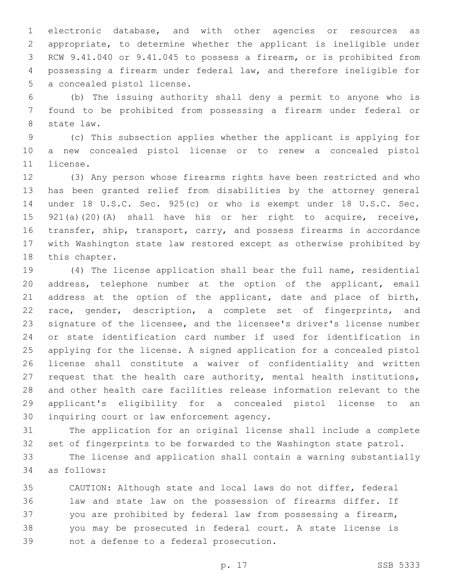electronic database, and with other agencies or resources as appropriate, to determine whether the applicant is ineligible under RCW 9.41.040 or 9.41.045 to possess a firearm, or is prohibited from possessing a firearm under federal law, and therefore ineligible for 5 a concealed pistol license.

 (b) The issuing authority shall deny a permit to anyone who is found to be prohibited from possessing a firearm under federal or 8 state law.

 (c) This subsection applies whether the applicant is applying for a new concealed pistol license or to renew a concealed pistol 11 license.

 (3) Any person whose firearms rights have been restricted and who has been granted relief from disabilities by the attorney general under 18 U.S.C. Sec. 925(c) or who is exempt under 18 U.S.C. Sec. 921(a)(20)(A) shall have his or her right to acquire, receive, transfer, ship, transport, carry, and possess firearms in accordance with Washington state law restored except as otherwise prohibited by 18 this chapter.

 (4) The license application shall bear the full name, residential address, telephone number at the option of the applicant, email 21 address at the option of the applicant, date and place of birth, race, gender, description, a complete set of fingerprints, and signature of the licensee, and the licensee's driver's license number or state identification card number if used for identification in applying for the license. A signed application for a concealed pistol license shall constitute a waiver of confidentiality and written request that the health care authority, mental health institutions, and other health care facilities release information relevant to the applicant's eligibility for a concealed pistol license to an 30 inquiring court or law enforcement agency.

 The application for an original license shall include a complete set of fingerprints to be forwarded to the Washington state patrol.

 The license and application shall contain a warning substantially as follows:34

 CAUTION: Although state and local laws do not differ, federal law and state law on the possession of firearms differ. If you are prohibited by federal law from possessing a firearm, you may be prosecuted in federal court. A state license is 39 not a defense to a federal prosecution.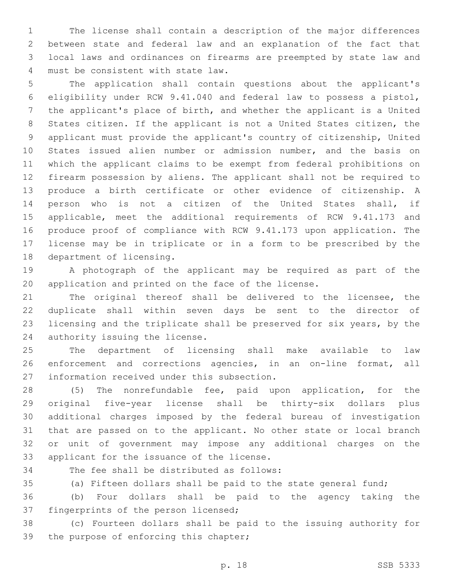The license shall contain a description of the major differences between state and federal law and an explanation of the fact that local laws and ordinances on firearms are preempted by state law and must be consistent with state law.4

 The application shall contain questions about the applicant's eligibility under RCW 9.41.040 and federal law to possess a pistol, the applicant's place of birth, and whether the applicant is a United States citizen. If the applicant is not a United States citizen, the applicant must provide the applicant's country of citizenship, United States issued alien number or admission number, and the basis on which the applicant claims to be exempt from federal prohibitions on firearm possession by aliens. The applicant shall not be required to produce a birth certificate or other evidence of citizenship. A person who is not a citizen of the United States shall, if applicable, meet the additional requirements of RCW 9.41.173 and produce proof of compliance with RCW 9.41.173 upon application. The license may be in triplicate or in a form to be prescribed by the 18 department of licensing.

 A photograph of the applicant may be required as part of the application and printed on the face of the license.

 The original thereof shall be delivered to the licensee, the duplicate shall within seven days be sent to the director of licensing and the triplicate shall be preserved for six years, by the 24 authority issuing the license.

 The department of licensing shall make available to law enforcement and corrections agencies, in an on-line format, all 27 information received under this subsection.

 (5) The nonrefundable fee, paid upon application, for the original five-year license shall be thirty-six dollars plus additional charges imposed by the federal bureau of investigation that are passed on to the applicant. No other state or local branch or unit of government may impose any additional charges on the 33 applicant for the issuance of the license.

34 The fee shall be distributed as follows:

(a) Fifteen dollars shall be paid to the state general fund;

 (b) Four dollars shall be paid to the agency taking the 37 fingerprints of the person licensed;

 (c) Fourteen dollars shall be paid to the issuing authority for 39 the purpose of enforcing this chapter;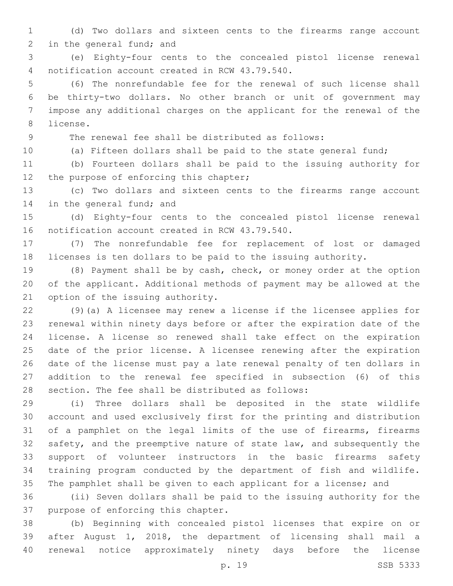(d) Two dollars and sixteen cents to the firearms range account 2 in the general fund; and

 (e) Eighty-four cents to the concealed pistol license renewal notification account created in RCW 43.79.540.4

 (6) The nonrefundable fee for the renewal of such license shall be thirty-two dollars. No other branch or unit of government may impose any additional charges on the applicant for the renewal of the 8 license.

The renewal fee shall be distributed as follows:

(a) Fifteen dollars shall be paid to the state general fund;

 (b) Fourteen dollars shall be paid to the issuing authority for 12 the purpose of enforcing this chapter;

 (c) Two dollars and sixteen cents to the firearms range account 14 in the general fund; and

 (d) Eighty-four cents to the concealed pistol license renewal 16 notification account created in RCW 43.79.540.

 (7) The nonrefundable fee for replacement of lost or damaged licenses is ten dollars to be paid to the issuing authority.

 (8) Payment shall be by cash, check, or money order at the option of the applicant. Additional methods of payment may be allowed at the 21 option of the issuing authority.

 (9)(a) A licensee may renew a license if the licensee applies for renewal within ninety days before or after the expiration date of the license. A license so renewed shall take effect on the expiration date of the prior license. A licensee renewing after the expiration date of the license must pay a late renewal penalty of ten dollars in addition to the renewal fee specified in subsection (6) of this 28 section. The fee shall be distributed as follows:

 (i) Three dollars shall be deposited in the state wildlife account and used exclusively first for the printing and distribution of a pamphlet on the legal limits of the use of firearms, firearms safety, and the preemptive nature of state law, and subsequently the support of volunteer instructors in the basic firearms safety training program conducted by the department of fish and wildlife. The pamphlet shall be given to each applicant for a license; and

 (ii) Seven dollars shall be paid to the issuing authority for the 37 purpose of enforcing this chapter.

 (b) Beginning with concealed pistol licenses that expire on or after August 1, 2018, the department of licensing shall mail a renewal notice approximately ninety days before the license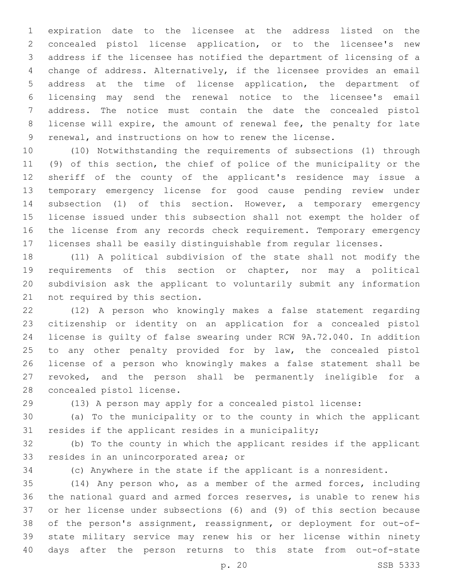expiration date to the licensee at the address listed on the concealed pistol license application, or to the licensee's new address if the licensee has notified the department of licensing of a change of address. Alternatively, if the licensee provides an email address at the time of license application, the department of licensing may send the renewal notice to the licensee's email address. The notice must contain the date the concealed pistol license will expire, the amount of renewal fee, the penalty for late renewal, and instructions on how to renew the license.

 (10) Notwithstanding the requirements of subsections (1) through (9) of this section, the chief of police of the municipality or the sheriff of the county of the applicant's residence may issue a temporary emergency license for good cause pending review under subsection (1) of this section. However, a temporary emergency license issued under this subsection shall not exempt the holder of the license from any records check requirement. Temporary emergency licenses shall be easily distinguishable from regular licenses.

 (11) A political subdivision of the state shall not modify the requirements of this section or chapter, nor may a political subdivision ask the applicant to voluntarily submit any information 21 not required by this section.

 (12) A person who knowingly makes a false statement regarding citizenship or identity on an application for a concealed pistol license is guilty of false swearing under RCW 9A.72.040. In addition to any other penalty provided for by law, the concealed pistol license of a person who knowingly makes a false statement shall be revoked, and the person shall be permanently ineligible for a 28 concealed pistol license.

(13) A person may apply for a concealed pistol license:

 (a) To the municipality or to the county in which the applicant resides if the applicant resides in a municipality;

 (b) To the county in which the applicant resides if the applicant 33 resides in an unincorporated area; or

(c) Anywhere in the state if the applicant is a nonresident.

 (14) Any person who, as a member of the armed forces, including the national guard and armed forces reserves, is unable to renew his or her license under subsections (6) and (9) of this section because of the person's assignment, reassignment, or deployment for out-of- state military service may renew his or her license within ninety days after the person returns to this state from out-of-state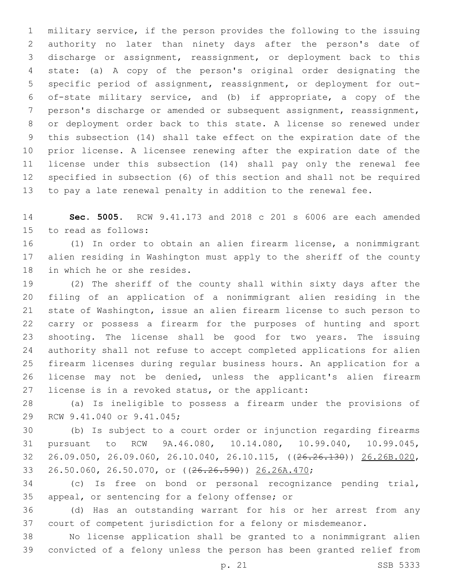military service, if the person provides the following to the issuing authority no later than ninety days after the person's date of discharge or assignment, reassignment, or deployment back to this state: (a) A copy of the person's original order designating the specific period of assignment, reassignment, or deployment for out- of-state military service, and (b) if appropriate, a copy of the person's discharge or amended or subsequent assignment, reassignment, or deployment order back to this state. A license so renewed under this subsection (14) shall take effect on the expiration date of the prior license. A licensee renewing after the expiration date of the license under this subsection (14) shall pay only the renewal fee specified in subsection (6) of this section and shall not be required to pay a late renewal penalty in addition to the renewal fee.

 **Sec. 5005.** RCW 9.41.173 and 2018 c 201 s 6006 are each amended 15 to read as follows:

 (1) In order to obtain an alien firearm license, a nonimmigrant alien residing in Washington must apply to the sheriff of the county 18 in which he or she resides.

 (2) The sheriff of the county shall within sixty days after the filing of an application of a nonimmigrant alien residing in the state of Washington, issue an alien firearm license to such person to carry or possess a firearm for the purposes of hunting and sport shooting. The license shall be good for two years. The issuing authority shall not refuse to accept completed applications for alien firearm licenses during regular business hours. An application for a license may not be denied, unless the applicant's alien firearm 27 license is in a revoked status, or the applicant:

 (a) Is ineligible to possess a firearm under the provisions of 29 RCW 9.41.040 or 9.41.045;

 (b) Is subject to a court order or injunction regarding firearms pursuant to RCW 9A.46.080, 10.14.080, 10.99.040, 10.99.045, 26.09.050, 26.09.060, 26.10.040, 26.10.115, ((26.26.130)) 26.26B.020, 26.50.060, 26.50.070, or ((26.26.590)) 26.26A.470;

 (c) Is free on bond or personal recognizance pending trial, 35 appeal, or sentencing for a felony offense; or

 (d) Has an outstanding warrant for his or her arrest from any court of competent jurisdiction for a felony or misdemeanor.

 No license application shall be granted to a nonimmigrant alien convicted of a felony unless the person has been granted relief from

p. 21 SSB 5333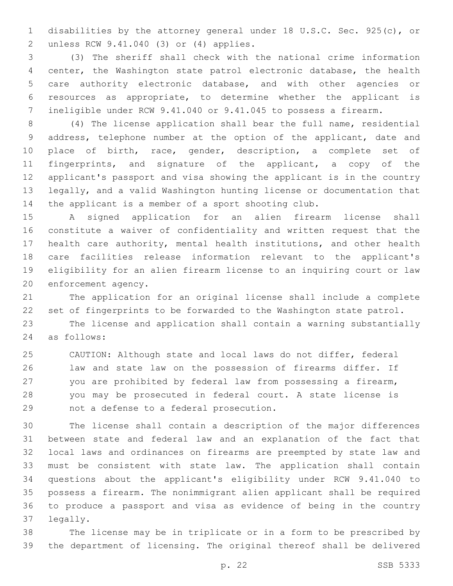disabilities by the attorney general under 18 U.S.C. Sec. 925(c), or unless RCW 9.41.040 (3) or (4) applies.2

 (3) The sheriff shall check with the national crime information center, the Washington state patrol electronic database, the health care authority electronic database, and with other agencies or resources as appropriate, to determine whether the applicant is ineligible under RCW 9.41.040 or 9.41.045 to possess a firearm.

 (4) The license application shall bear the full name, residential address, telephone number at the option of the applicant, date and place of birth, race, gender, description, a complete set of fingerprints, and signature of the applicant, a copy of the applicant's passport and visa showing the applicant is in the country legally, and a valid Washington hunting license or documentation that the applicant is a member of a sport shooting club.

 A signed application for an alien firearm license shall constitute a waiver of confidentiality and written request that the health care authority, mental health institutions, and other health care facilities release information relevant to the applicant's eligibility for an alien firearm license to an inquiring court or law 20 enforcement agency.

 The application for an original license shall include a complete set of fingerprints to be forwarded to the Washington state patrol.

 The license and application shall contain a warning substantially as follows:24

 CAUTION: Although state and local laws do not differ, federal law and state law on the possession of firearms differ. If you are prohibited by federal law from possessing a firearm, you may be prosecuted in federal court. A state license is 29 not a defense to a federal prosecution.

 The license shall contain a description of the major differences between state and federal law and an explanation of the fact that local laws and ordinances on firearms are preempted by state law and must be consistent with state law. The application shall contain questions about the applicant's eligibility under RCW 9.41.040 to possess a firearm. The nonimmigrant alien applicant shall be required to produce a passport and visa as evidence of being in the country 37 legally.

 The license may be in triplicate or in a form to be prescribed by the department of licensing. The original thereof shall be delivered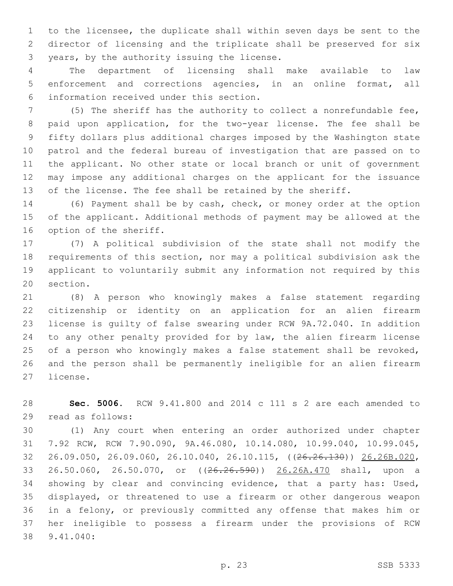to the licensee, the duplicate shall within seven days be sent to the director of licensing and the triplicate shall be preserved for six 3 years, by the authority issuing the license.

 The department of licensing shall make available to law enforcement and corrections agencies, in an online format, all information received under this section.6

 (5) The sheriff has the authority to collect a nonrefundable fee, paid upon application, for the two-year license. The fee shall be fifty dollars plus additional charges imposed by the Washington state patrol and the federal bureau of investigation that are passed on to the applicant. No other state or local branch or unit of government may impose any additional charges on the applicant for the issuance of the license. The fee shall be retained by the sheriff.

 (6) Payment shall be by cash, check, or money order at the option of the applicant. Additional methods of payment may be allowed at the 16 option of the sheriff.

 (7) A political subdivision of the state shall not modify the requirements of this section, nor may a political subdivision ask the applicant to voluntarily submit any information not required by this 20 section.

 (8) A person who knowingly makes a false statement regarding citizenship or identity on an application for an alien firearm license is guilty of false swearing under RCW 9A.72.040. In addition to any other penalty provided for by law, the alien firearm license of a person who knowingly makes a false statement shall be revoked, and the person shall be permanently ineligible for an alien firearm 27 license.

 **Sec. 5006.** RCW 9.41.800 and 2014 c 111 s 2 are each amended to 29 read as follows:

 (1) Any court when entering an order authorized under chapter 7.92 RCW, RCW 7.90.090, 9A.46.080, 10.14.080, 10.99.040, 10.99.045, 26.09.050, 26.09.060, 26.10.040, 26.10.115, ((26.26.130)) 26.26B.020, 26.50.060, 26.50.070, or ((26.26.590)) 26.26A.470 shall, upon a showing by clear and convincing evidence, that a party has: Used, displayed, or threatened to use a firearm or other dangerous weapon in a felony, or previously committed any offense that makes him or her ineligible to possess a firearm under the provisions of RCW 9.41.040:38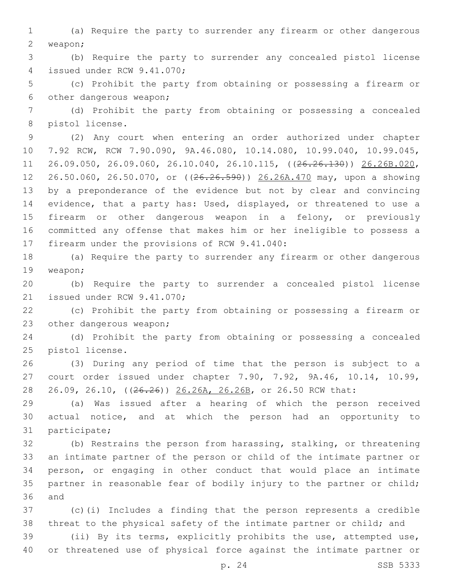(a) Require the party to surrender any firearm or other dangerous 2 weapon;

 (b) Require the party to surrender any concealed pistol license 4 issued under RCW 9.41.070;

 (c) Prohibit the party from obtaining or possessing a firearm or 6 other dangerous weapon;

 (d) Prohibit the party from obtaining or possessing a concealed 8 pistol license.

 (2) Any court when entering an order authorized under chapter 7.92 RCW, RCW 7.90.090, 9A.46.080, 10.14.080, 10.99.040, 10.99.045, 26.09.050, 26.09.060, 26.10.040, 26.10.115, ((26.26.130)) 26.26B.020, 26.50.060, 26.50.070, or ((26.26.590)) 26.26A.470 may, upon a showing by a preponderance of the evidence but not by clear and convincing evidence, that a party has: Used, displayed, or threatened to use a firearm or other dangerous weapon in a felony, or previously committed any offense that makes him or her ineligible to possess a 17 firearm under the provisions of RCW 9.41.040:

 (a) Require the party to surrender any firearm or other dangerous 19 weapon;

 (b) Require the party to surrender a concealed pistol license 21 issued under RCW 9.41.070;

 (c) Prohibit the party from obtaining or possessing a firearm or 23 other dangerous weapon;

 (d) Prohibit the party from obtaining or possessing a concealed 25 pistol license.

 (3) During any period of time that the person is subject to a court order issued under chapter 7.90, 7.92, 9A.46, 10.14, 10.99, 28 26.09, 26.10, ((26.26)) 26.26A, 26.26B, or 26.50 RCW that:

 (a) Was issued after a hearing of which the person received actual notice, and at which the person had an opportunity to 31 participate;

 (b) Restrains the person from harassing, stalking, or threatening an intimate partner of the person or child of the intimate partner or person, or engaging in other conduct that would place an intimate partner in reasonable fear of bodily injury to the partner or child; and

 (c)(i) Includes a finding that the person represents a credible threat to the physical safety of the intimate partner or child; and

 (ii) By its terms, explicitly prohibits the use, attempted use, or threatened use of physical force against the intimate partner or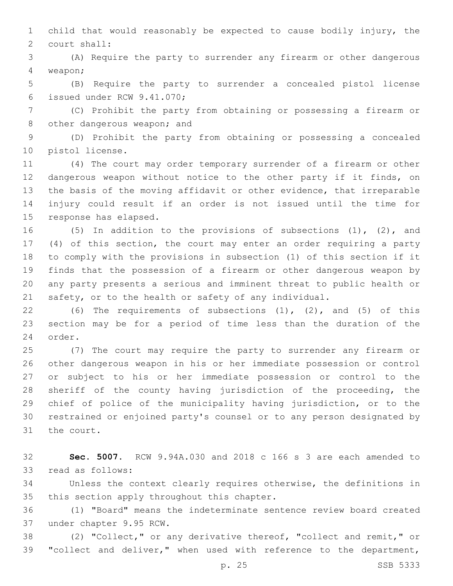child that would reasonably be expected to cause bodily injury, the 2 court shall:

 (A) Require the party to surrender any firearm or other dangerous weapon;4

 (B) Require the party to surrender a concealed pistol license 6 issued under RCW 9.41.070;

 (C) Prohibit the party from obtaining or possessing a firearm or 8 other dangerous weapon; and

 (D) Prohibit the party from obtaining or possessing a concealed 10 pistol license.

 (4) The court may order temporary surrender of a firearm or other dangerous weapon without notice to the other party if it finds, on the basis of the moving affidavit or other evidence, that irreparable injury could result if an order is not issued until the time for 15 response has elapsed.

 (5) In addition to the provisions of subsections (1), (2), and (4) of this section, the court may enter an order requiring a party to comply with the provisions in subsection (1) of this section if it finds that the possession of a firearm or other dangerous weapon by any party presents a serious and imminent threat to public health or safety, or to the health or safety of any individual.

 (6) The requirements of subsections (1), (2), and (5) of this section may be for a period of time less than the duration of the 24 order.

 (7) The court may require the party to surrender any firearm or other dangerous weapon in his or her immediate possession or control or subject to his or her immediate possession or control to the sheriff of the county having jurisdiction of the proceeding, the chief of police of the municipality having jurisdiction, or to the restrained or enjoined party's counsel or to any person designated by 31 the court.

 **Sec. 5007.** RCW 9.94A.030 and 2018 c 166 s 3 are each amended to 33 read as follows:

 Unless the context clearly requires otherwise, the definitions in 35 this section apply throughout this chapter.

 (1) "Board" means the indeterminate sentence review board created 37 under chapter 9.95 RCW.

 (2) "Collect," or any derivative thereof, "collect and remit," or "collect and deliver," when used with reference to the department,

p. 25 SSB 5333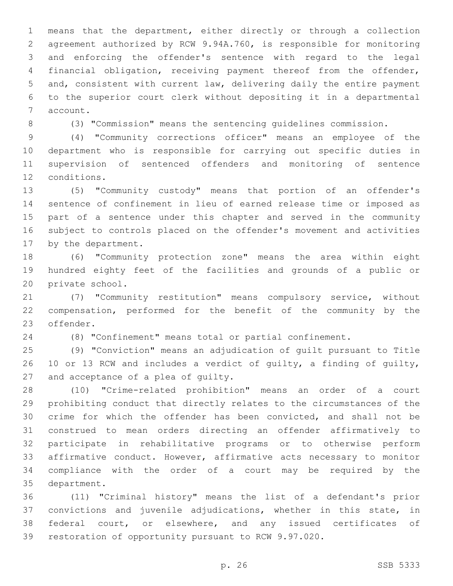means that the department, either directly or through a collection agreement authorized by RCW 9.94A.760, is responsible for monitoring and enforcing the offender's sentence with regard to the legal financial obligation, receiving payment thereof from the offender, and, consistent with current law, delivering daily the entire payment to the superior court clerk without depositing it in a departmental 7 account.

(3) "Commission" means the sentencing guidelines commission.

 (4) "Community corrections officer" means an employee of the department who is responsible for carrying out specific duties in supervision of sentenced offenders and monitoring of sentence 12 conditions.

 (5) "Community custody" means that portion of an offender's sentence of confinement in lieu of earned release time or imposed as part of a sentence under this chapter and served in the community subject to controls placed on the offender's movement and activities 17 by the department.

 (6) "Community protection zone" means the area within eight hundred eighty feet of the facilities and grounds of a public or 20 private school.

 (7) "Community restitution" means compulsory service, without compensation, performed for the benefit of the community by the 23 offender.

(8) "Confinement" means total or partial confinement.

 (9) "Conviction" means an adjudication of guilt pursuant to Title 10 or 13 RCW and includes a verdict of guilty, a finding of guilty, 27 and acceptance of a plea of quilty.

 (10) "Crime-related prohibition" means an order of a court prohibiting conduct that directly relates to the circumstances of the crime for which the offender has been convicted, and shall not be construed to mean orders directing an offender affirmatively to participate in rehabilitative programs or to otherwise perform affirmative conduct. However, affirmative acts necessary to monitor compliance with the order of a court may be required by the 35 department.

 (11) "Criminal history" means the list of a defendant's prior convictions and juvenile adjudications, whether in this state, in federal court, or elsewhere, and any issued certificates of restoration of opportunity pursuant to RCW 9.97.020.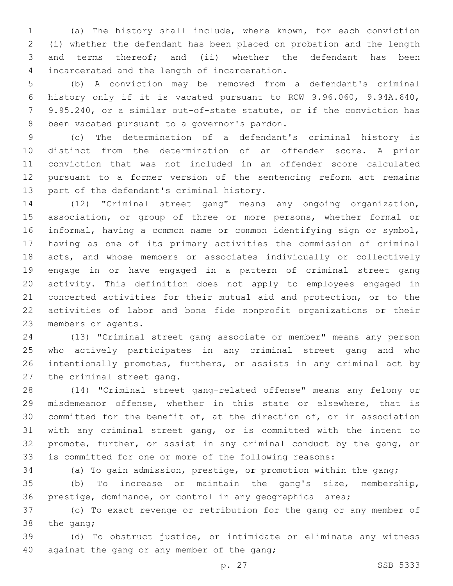(a) The history shall include, where known, for each conviction (i) whether the defendant has been placed on probation and the length and terms thereof; and (ii) whether the defendant has been 4 incarcerated and the length of incarceration.

 (b) A conviction may be removed from a defendant's criminal history only if it is vacated pursuant to RCW 9.96.060, 9.94A.640, 9.95.240, or a similar out-of-state statute, or if the conviction has 8 been vacated pursuant to a governor's pardon.

 (c) The determination of a defendant's criminal history is distinct from the determination of an offender score. A prior conviction that was not included in an offender score calculated pursuant to a former version of the sentencing reform act remains 13 part of the defendant's criminal history.

 (12) "Criminal street gang" means any ongoing organization, 15 association, or group of three or more persons, whether formal or informal, having a common name or common identifying sign or symbol, having as one of its primary activities the commission of criminal acts, and whose members or associates individually or collectively engage in or have engaged in a pattern of criminal street gang activity. This definition does not apply to employees engaged in concerted activities for their mutual aid and protection, or to the activities of labor and bona fide nonprofit organizations or their 23 members or agents.

 (13) "Criminal street gang associate or member" means any person who actively participates in any criminal street gang and who intentionally promotes, furthers, or assists in any criminal act by 27 the criminal street gang.

 (14) "Criminal street gang-related offense" means any felony or misdemeanor offense, whether in this state or elsewhere, that is committed for the benefit of, at the direction of, or in association with any criminal street gang, or is committed with the intent to promote, further, or assist in any criminal conduct by the gang, or is committed for one or more of the following reasons:

(a) To gain admission, prestige, or promotion within the gang;

 (b) To increase or maintain the gang's size, membership, prestige, dominance, or control in any geographical area;

 (c) To exact revenge or retribution for the gang or any member of 38 the gang;

 (d) To obstruct justice, or intimidate or eliminate any witness 40 against the gang or any member of the gang;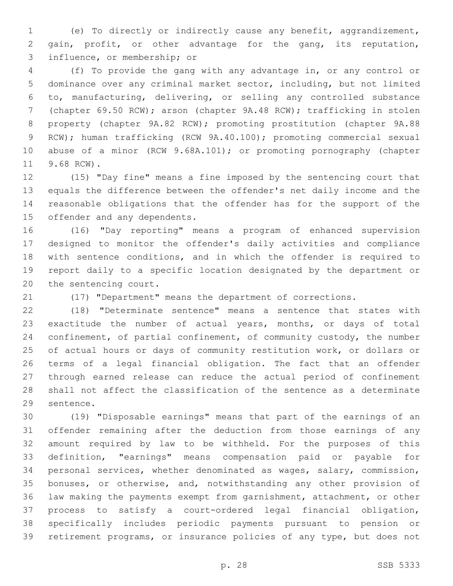(e) To directly or indirectly cause any benefit, aggrandizement, gain, profit, or other advantage for the gang, its reputation, 3 influence, or membership; or

 (f) To provide the gang with any advantage in, or any control or dominance over any criminal market sector, including, but not limited to, manufacturing, delivering, or selling any controlled substance (chapter 69.50 RCW); arson (chapter 9A.48 RCW); trafficking in stolen property (chapter 9A.82 RCW); promoting prostitution (chapter 9A.88 RCW); human trafficking (RCW 9A.40.100); promoting commercial sexual abuse of a minor (RCW 9.68A.101); or promoting pornography (chapter 11 9.68 RCW).

 (15) "Day fine" means a fine imposed by the sentencing court that equals the difference between the offender's net daily income and the reasonable obligations that the offender has for the support of the 15 offender and any dependents.

 (16) "Day reporting" means a program of enhanced supervision designed to monitor the offender's daily activities and compliance with sentence conditions, and in which the offender is required to report daily to a specific location designated by the department or 20 the sentencing court.

(17) "Department" means the department of corrections.

 (18) "Determinate sentence" means a sentence that states with exactitude the number of actual years, months, or days of total confinement, of partial confinement, of community custody, the number of actual hours or days of community restitution work, or dollars or terms of a legal financial obligation. The fact that an offender through earned release can reduce the actual period of confinement shall not affect the classification of the sentence as a determinate 29 sentence.

 (19) "Disposable earnings" means that part of the earnings of an offender remaining after the deduction from those earnings of any amount required by law to be withheld. For the purposes of this definition, "earnings" means compensation paid or payable for personal services, whether denominated as wages, salary, commission, bonuses, or otherwise, and, notwithstanding any other provision of law making the payments exempt from garnishment, attachment, or other process to satisfy a court-ordered legal financial obligation, specifically includes periodic payments pursuant to pension or retirement programs, or insurance policies of any type, but does not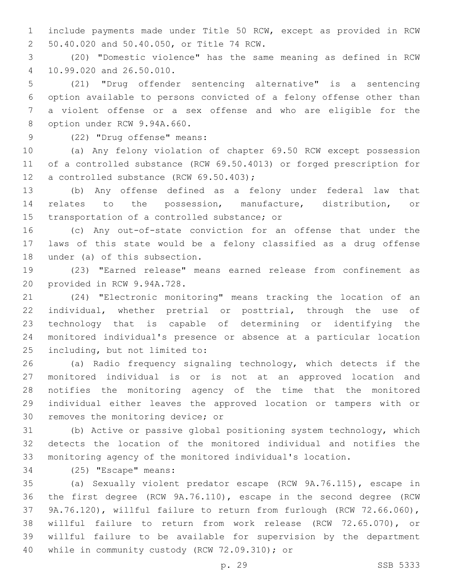include payments made under Title 50 RCW, except as provided in RCW 50.40.020 and 50.40.050, or Title 74 RCW.2

 (20) "Domestic violence" has the same meaning as defined in RCW 10.99.020 and 26.50.010.4

 (21) "Drug offender sentencing alternative" is a sentencing option available to persons convicted of a felony offense other than a violent offense or a sex offense and who are eligible for the 8 option under RCW 9.94A.660.

## 9 (22) "Drug offense" means:

 (a) Any felony violation of chapter 69.50 RCW except possession of a controlled substance (RCW 69.50.4013) or forged prescription for 12 a controlled substance (RCW 69.50.403);

 (b) Any offense defined as a felony under federal law that relates to the possession, manufacture, distribution, or 15 transportation of a controlled substance; or

 (c) Any out-of-state conviction for an offense that under the laws of this state would be a felony classified as a drug offense 18 under (a) of this subsection.

 (23) "Earned release" means earned release from confinement as 20 provided in RCW 9.94A.728.

 (24) "Electronic monitoring" means tracking the location of an individual, whether pretrial or posttrial, through the use of technology that is capable of determining or identifying the monitored individual's presence or absence at a particular location 25 including, but not limited to:

 (a) Radio frequency signaling technology, which detects if the monitored individual is or is not at an approved location and notifies the monitoring agency of the time that the monitored individual either leaves the approved location or tampers with or 30 removes the monitoring device; or

 (b) Active or passive global positioning system technology, which detects the location of the monitored individual and notifies the monitoring agency of the monitored individual's location.

34 (25) "Escape" means:

 (a) Sexually violent predator escape (RCW 9A.76.115), escape in the first degree (RCW 9A.76.110), escape in the second degree (RCW 9A.76.120), willful failure to return from furlough (RCW 72.66.060), willful failure to return from work release (RCW 72.65.070), or willful failure to be available for supervision by the department 40 while in community custody (RCW 72.09.310); or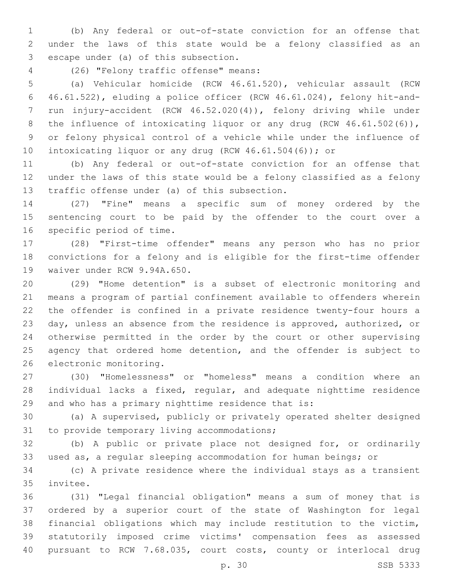(b) Any federal or out-of-state conviction for an offense that under the laws of this state would be a felony classified as an 3 escape under (a) of this subsection.

(26) "Felony traffic offense" means:4

 (a) Vehicular homicide (RCW 46.61.520), vehicular assault (RCW 46.61.522), eluding a police officer (RCW 46.61.024), felony hit-and- run injury-accident (RCW 46.52.020(4)), felony driving while under 8 the influence of intoxicating liquor or any drug (RCW 46.61.502(6)), or felony physical control of a vehicle while under the influence of 10 intoxicating liquor or any drug (RCW 46.61.504(6)); or

 (b) Any federal or out-of-state conviction for an offense that under the laws of this state would be a felony classified as a felony 13 traffic offense under (a) of this subsection.

 (27) "Fine" means a specific sum of money ordered by the sentencing court to be paid by the offender to the court over a 16 specific period of time.

 (28) "First-time offender" means any person who has no prior convictions for a felony and is eligible for the first-time offender 19 waiver under RCW 9.94A.650.

 (29) "Home detention" is a subset of electronic monitoring and means a program of partial confinement available to offenders wherein the offender is confined in a private residence twenty-four hours a day, unless an absence from the residence is approved, authorized, or otherwise permitted in the order by the court or other supervising 25 agency that ordered home detention, and the offender is subject to 26 electronic monitoring.

 (30) "Homelessness" or "homeless" means a condition where an individual lacks a fixed, regular, and adequate nighttime residence and who has a primary nighttime residence that is:

 (a) A supervised, publicly or privately operated shelter designed 31 to provide temporary living accommodations;

 (b) A public or private place not designed for, or ordinarily used as, a regular sleeping accommodation for human beings; or

 (c) A private residence where the individual stays as a transient 35 invitee.

 (31) "Legal financial obligation" means a sum of money that is ordered by a superior court of the state of Washington for legal financial obligations which may include restitution to the victim, statutorily imposed crime victims' compensation fees as assessed pursuant to RCW 7.68.035, court costs, county or interlocal drug

p. 30 SSB 5333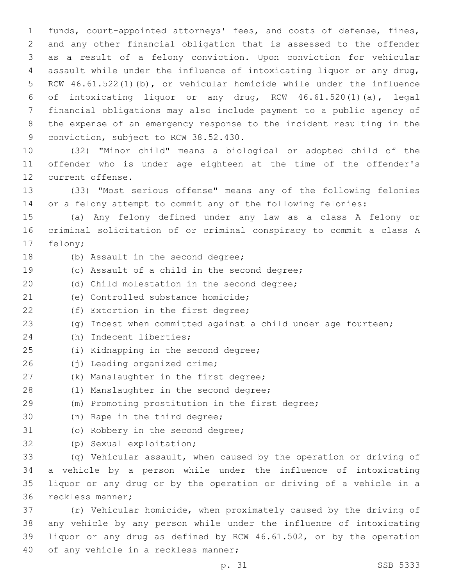funds, court-appointed attorneys' fees, and costs of defense, fines, and any other financial obligation that is assessed to the offender as a result of a felony conviction. Upon conviction for vehicular assault while under the influence of intoxicating liquor or any drug, RCW 46.61.522(1)(b), or vehicular homicide while under the influence of intoxicating liquor or any drug, RCW 46.61.520(1)(a), legal financial obligations may also include payment to a public agency of the expense of an emergency response to the incident resulting in the 9 conviction, subject to RCW 38.52.430.

10 (32) "Minor child" means a biological or adopted child of the 11 offender who is under age eighteen at the time of the offender's 12 current offense.

13 (33) "Most serious offense" means any of the following felonies 14 or a felony attempt to commit any of the following felonies:

15 (a) Any felony defined under any law as a class A felony or 16 criminal solicitation of or criminal conspiracy to commit a class A 17 felony;

- 
- 18 (b) Assault in the second degree;
- 19 (c) Assault of a child in the second degree;
- 20 (d) Child molestation in the second degree;
- (e) Controlled substance homicide;21
- 22 (f) Extortion in the first degree;
- 23 (g) Incest when committed against a child under age fourteen;
- 24 (h) Indecent liberties;
- 25 (i) Kidnapping in the second degree;
- 26 (j) Leading organized crime;
- 27 (k) Manslaughter in the first degree;
- 28 (1) Manslaughter in the second degree;
- 29 (m) Promoting prostitution in the first degree;
- 30 (n) Rape in the third degree;
- 31 (o) Robbery in the second degree;
- 32 (p) Sexual exploitation;

 (q) Vehicular assault, when caused by the operation or driving of a vehicle by a person while under the influence of intoxicating liquor or any drug or by the operation or driving of a vehicle in a 36 reckless manner;

 (r) Vehicular homicide, when proximately caused by the driving of any vehicle by any person while under the influence of intoxicating liquor or any drug as defined by RCW 46.61.502, or by the operation 40 of any vehicle in a reckless manner;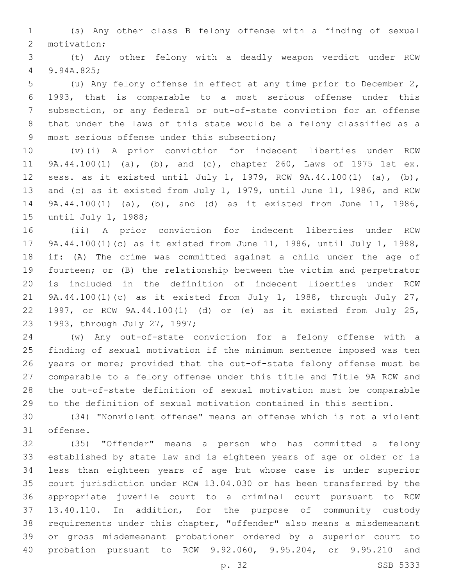(s) Any other class B felony offense with a finding of sexual 2 motivation;

 (t) Any other felony with a deadly weapon verdict under RCW 9.94A.825;4

 (u) Any felony offense in effect at any time prior to December 2, 1993, that is comparable to a most serious offense under this subsection, or any federal or out-of-state conviction for an offense that under the laws of this state would be a felony classified as a 9 most serious offense under this subsection;

 (v)(i) A prior conviction for indecent liberties under RCW 9A.44.100(1) (a), (b), and (c), chapter 260, Laws of 1975 1st ex. sess. as it existed until July 1, 1979, RCW 9A.44.100(1) (a), (b), and (c) as it existed from July 1, 1979, until June 11, 1986, and RCW 9A.44.100(1) (a), (b), and (d) as it existed from June 11, 1986, 15 until July 1, 1988;

 (ii) A prior conviction for indecent liberties under RCW 9A.44.100(1)(c) as it existed from June 11, 1986, until July 1, 1988, if: (A) The crime was committed against a child under the age of fourteen; or (B) the relationship between the victim and perpetrator is included in the definition of indecent liberties under RCW 9A.44.100(1)(c) as it existed from July 1, 1988, through July 27, 1997, or RCW 9A.44.100(1) (d) or (e) as it existed from July 25, 23 1993, through July 27, 1997;

 (w) Any out-of-state conviction for a felony offense with a finding of sexual motivation if the minimum sentence imposed was ten years or more; provided that the out-of-state felony offense must be comparable to a felony offense under this title and Title 9A RCW and the out-of-state definition of sexual motivation must be comparable to the definition of sexual motivation contained in this section.

 (34) "Nonviolent offense" means an offense which is not a violent 31 offense.

 (35) "Offender" means a person who has committed a felony established by state law and is eighteen years of age or older or is less than eighteen years of age but whose case is under superior court jurisdiction under RCW 13.04.030 or has been transferred by the appropriate juvenile court to a criminal court pursuant to RCW 13.40.110. In addition, for the purpose of community custody requirements under this chapter, "offender" also means a misdemeanant or gross misdemeanant probationer ordered by a superior court to probation pursuant to RCW 9.92.060, 9.95.204, or 9.95.210 and

p. 32 SSB 5333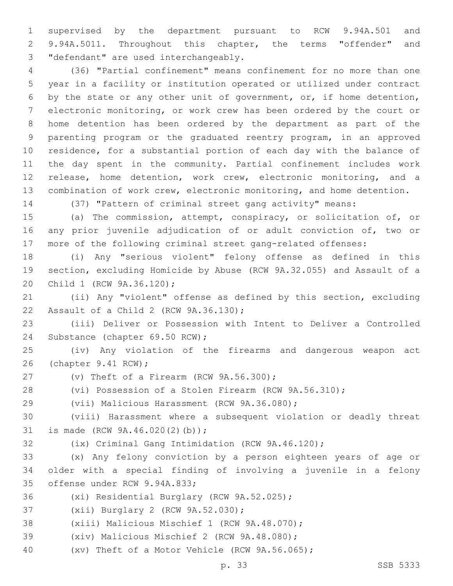supervised by the department pursuant to RCW 9.94A.501 and 9.94A.5011. Throughout this chapter, the terms "offender" and 3 "defendant" are used interchangeably.

 (36) "Partial confinement" means confinement for no more than one year in a facility or institution operated or utilized under contract by the state or any other unit of government, or, if home detention, electronic monitoring, or work crew has been ordered by the court or home detention has been ordered by the department as part of the parenting program or the graduated reentry program, in an approved residence, for a substantial portion of each day with the balance of the day spent in the community. Partial confinement includes work release, home detention, work crew, electronic monitoring, and a combination of work crew, electronic monitoring, and home detention.

(37) "Pattern of criminal street gang activity" means:

 (a) The commission, attempt, conspiracy, or solicitation of, or any prior juvenile adjudication of or adult conviction of, two or more of the following criminal street gang-related offenses:

 (i) Any "serious violent" felony offense as defined in this section, excluding Homicide by Abuse (RCW 9A.32.055) and Assault of a 20 Child 1 (RCW 9A.36.120);

 (ii) Any "violent" offense as defined by this section, excluding 22 Assault of a Child 2 (RCW 9A.36.130);

 (iii) Deliver or Possession with Intent to Deliver a Controlled 24 Substance (chapter 69.50 RCW);

 (iv) Any violation of the firearms and dangerous weapon act 26 (chapter 9.41 RCW);

27  $(v)$  Theft of a Firearm (RCW  $9A.56.300$ );

(vi) Possession of a Stolen Firearm (RCW 9A.56.310);

29 (vii) Malicious Harassment (RCW 9A.36.080);

 (viii) Harassment where a subsequent violation or deadly threat 31 is made (RCW 9A.46.020(2)(b));

(ix) Criminal Gang Intimidation (RCW 9A.46.120);

 (x) Any felony conviction by a person eighteen years of age or older with a special finding of involving a juvenile in a felony 35 offense under RCW 9.94A.833;

36 (xi) Residential Burglary (RCW 9A.52.025);

37 (xii) Burglary 2 (RCW 9A.52.030);

38 (xiii) Malicious Mischief 1 (RCW 9A.48.070);

39 (xiv) Malicious Mischief 2 (RCW 9A.48.080);

(xv) Theft of a Motor Vehicle (RCW 9A.56.065);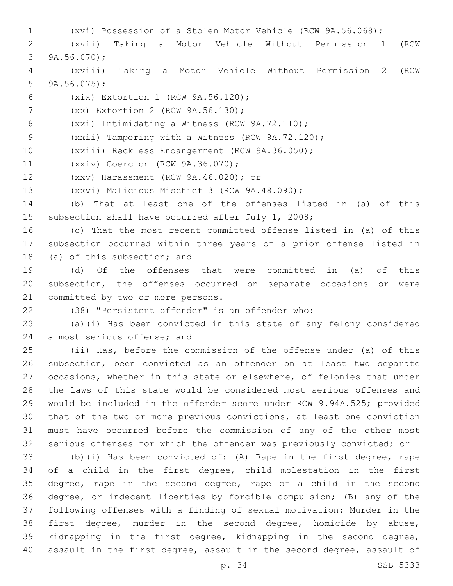- (xvi) Possession of a Stolen Motor Vehicle (RCW 9A.56.068);
- (xvii) Taking a Motor Vehicle Without Permission 1 (RCW 3  $9A.56.070$ ;
- (xviii) Taking a Motor Vehicle Without Permission 2 (RCW 5  $9A.56.075$ ;
- (xix) Extortion 1 (RCW 9A.56.120);6
- 7 (xx) Extortion 2 (RCW 9A.56.130);
- 8 (xxi) Intimidating a Witness (RCW 9A.72.110);

(xxii) Tampering with a Witness (RCW 9A.72.120);

- (xxiii) Reckless Endangerment (RCW 9A.36.050);
- 11 (xxiv) Coercion (RCW 9A.36.070);
- (xxv) Harassment (RCW 9A.46.020); or12
- 13 (xxvi) Malicious Mischief 3 (RCW 9A.48.090);
- (b) That at least one of the offenses listed in (a) of this subsection shall have occurred after July 1, 2008;
- (c) That the most recent committed offense listed in (a) of this subsection occurred within three years of a prior offense listed in 18 (a) of this subsection; and
- (d) Of the offenses that were committed in (a) of this subsection, the offenses occurred on separate occasions or were 21 committed by two or more persons.
- 

(38) "Persistent offender" is an offender who:

 (a)(i) Has been convicted in this state of any felony considered 24 a most serious offense; and

 (ii) Has, before the commission of the offense under (a) of this subsection, been convicted as an offender on at least two separate occasions, whether in this state or elsewhere, of felonies that under the laws of this state would be considered most serious offenses and would be included in the offender score under RCW 9.94A.525; provided that of the two or more previous convictions, at least one conviction must have occurred before the commission of any of the other most serious offenses for which the offender was previously convicted; or

 (b)(i) Has been convicted of: (A) Rape in the first degree, rape of a child in the first degree, child molestation in the first degree, rape in the second degree, rape of a child in the second degree, or indecent liberties by forcible compulsion; (B) any of the following offenses with a finding of sexual motivation: Murder in the first degree, murder in the second degree, homicide by abuse, kidnapping in the first degree, kidnapping in the second degree, assault in the first degree, assault in the second degree, assault of

p. 34 SSB 5333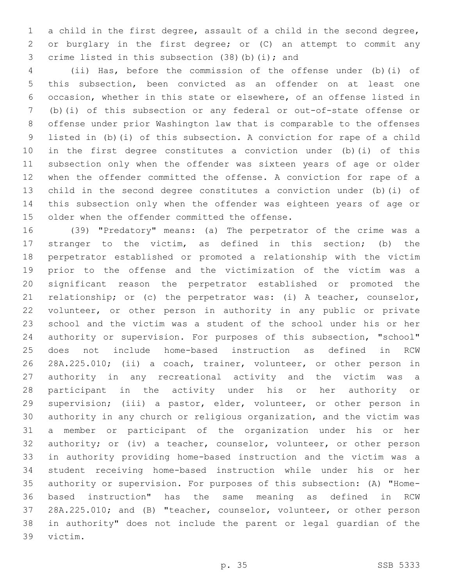a child in the first degree, assault of a child in the second degree, or burglary in the first degree; or (C) an attempt to commit any 3 crime listed in this subsection (38)(b)(i); and

 (ii) Has, before the commission of the offense under (b)(i) of this subsection, been convicted as an offender on at least one occasion, whether in this state or elsewhere, of an offense listed in (b)(i) of this subsection or any federal or out-of-state offense or offense under prior Washington law that is comparable to the offenses listed in (b)(i) of this subsection. A conviction for rape of a child in the first degree constitutes a conviction under (b)(i) of this subsection only when the offender was sixteen years of age or older when the offender committed the offense. A conviction for rape of a child in the second degree constitutes a conviction under (b)(i) of this subsection only when the offender was eighteen years of age or 15 older when the offender committed the offense.

 (39) "Predatory" means: (a) The perpetrator of the crime was a stranger to the victim, as defined in this section; (b) the perpetrator established or promoted a relationship with the victim prior to the offense and the victimization of the victim was a significant reason the perpetrator established or promoted the relationship; or (c) the perpetrator was: (i) A teacher, counselor, volunteer, or other person in authority in any public or private school and the victim was a student of the school under his or her authority or supervision. For purposes of this subsection, "school" does not include home-based instruction as defined in RCW 28A.225.010; (ii) a coach, trainer, volunteer, or other person in authority in any recreational activity and the victim was a participant in the activity under his or her authority or supervision; (iii) a pastor, elder, volunteer, or other person in authority in any church or religious organization, and the victim was a member or participant of the organization under his or her 32 authority; or (iv) a teacher, counselor, volunteer, or other person in authority providing home-based instruction and the victim was a student receiving home-based instruction while under his or her authority or supervision. For purposes of this subsection: (A) "Home- based instruction" has the same meaning as defined in RCW 28A.225.010; and (B) "teacher, counselor, volunteer, or other person in authority" does not include the parent or legal guardian of the 39 victim.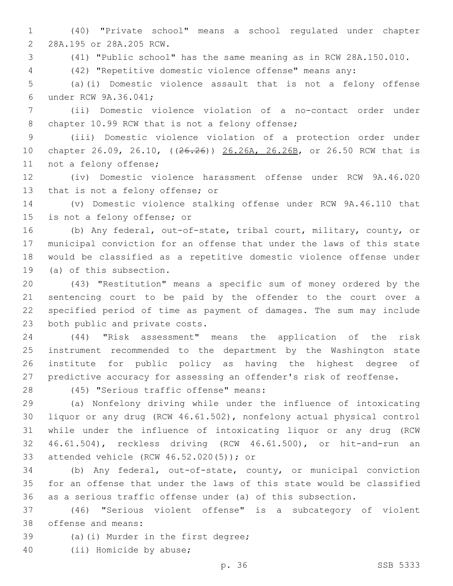(40) "Private school" means a school regulated under chapter 2 28A.195 or 28A.205 RCW.

(41) "Public school" has the same meaning as in RCW 28A.150.010.

(42) "Repetitive domestic violence offense" means any:

 (a)(i) Domestic violence assault that is not a felony offense 6 under RCW 9A.36.041;

 (ii) Domestic violence violation of a no-contact order under 8 chapter 10.99 RCW that is not a felony offense;

 (iii) Domestic violence violation of a protection order under 10 chapter 26.09, 26.10, ((26.26)) 26.26A, 26.26B, or 26.50 RCW that is 11 not a felony offense;

 (iv) Domestic violence harassment offense under RCW 9A.46.020 13 that is not a felony offense; or

 (v) Domestic violence stalking offense under RCW 9A.46.110 that 15 is not a felony offense; or

 (b) Any federal, out-of-state, tribal court, military, county, or municipal conviction for an offense that under the laws of this state would be classified as a repetitive domestic violence offense under 19 (a) of this subsection.

 (43) "Restitution" means a specific sum of money ordered by the sentencing court to be paid by the offender to the court over a specified period of time as payment of damages. The sum may include 23 both public and private costs.

 (44) "Risk assessment" means the application of the risk instrument recommended to the department by the Washington state institute for public policy as having the highest degree of predictive accuracy for assessing an offender's risk of reoffense.

(45) "Serious traffic offense" means:28

 (a) Nonfelony driving while under the influence of intoxicating liquor or any drug (RCW 46.61.502), nonfelony actual physical control while under the influence of intoxicating liquor or any drug (RCW 46.61.504), reckless driving (RCW 46.61.500), or hit-and-run an 33 attended vehicle (RCW 46.52.020(5)); or

 (b) Any federal, out-of-state, county, or municipal conviction for an offense that under the laws of this state would be classified as a serious traffic offense under (a) of this subsection.

 (46) "Serious violent offense" is a subcategory of violent 38 offense and means:

39 (a)(i) Murder in the first degree;

40 (ii) Homicide by abuse;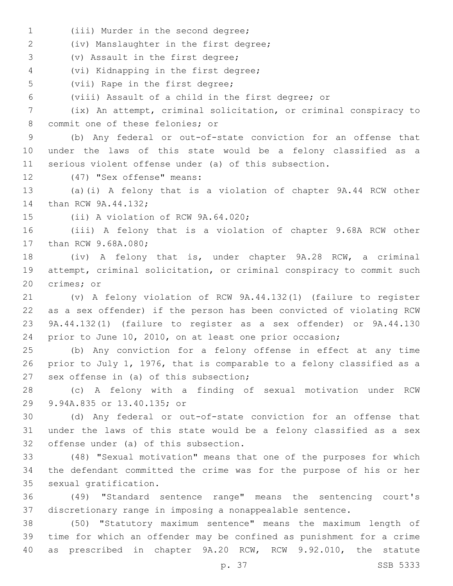1 (iii) Murder in the second degree;

(iv) Manslaughter in the first degree;2

3 (v) Assault in the first degree;

(vi) Kidnapping in the first degree;4

5 (vii) Rape in the first degree;

(viii) Assault of a child in the first degree; or

 (ix) An attempt, criminal solicitation, or criminal conspiracy to 8 commit one of these felonies; or

 (b) Any federal or out-of-state conviction for an offense that under the laws of this state would be a felony classified as a serious violent offense under (a) of this subsection.

12 (47) "Sex offense" means:

 (a)(i) A felony that is a violation of chapter 9A.44 RCW other 14 than RCW 9A.44.132;

15 (ii) A violation of RCW 9A.64.020;

 (iii) A felony that is a violation of chapter 9.68A RCW other 17 than RCW 9.68A.080;

 (iv) A felony that is, under chapter 9A.28 RCW, a criminal attempt, criminal solicitation, or criminal conspiracy to commit such 20 crimes; or

 (v) A felony violation of RCW 9A.44.132(1) (failure to register as a sex offender) if the person has been convicted of violating RCW 9A.44.132(1) (failure to register as a sex offender) or 9A.44.130 prior to June 10, 2010, on at least one prior occasion;

 (b) Any conviction for a felony offense in effect at any time prior to July 1, 1976, that is comparable to a felony classified as a 27 sex offense in (a) of this subsection;

 (c) A felony with a finding of sexual motivation under RCW 29 9.94A.835 or 13.40.135; or

 (d) Any federal or out-of-state conviction for an offense that under the laws of this state would be a felony classified as a sex 32 offense under (a) of this subsection.

 (48) "Sexual motivation" means that one of the purposes for which the defendant committed the crime was for the purpose of his or her 35 sexual gratification.

 (49) "Standard sentence range" means the sentencing court's discretionary range in imposing a nonappealable sentence.

 (50) "Statutory maximum sentence" means the maximum length of time for which an offender may be confined as punishment for a crime as prescribed in chapter 9A.20 RCW, RCW 9.92.010, the statute

p. 37 SSB 5333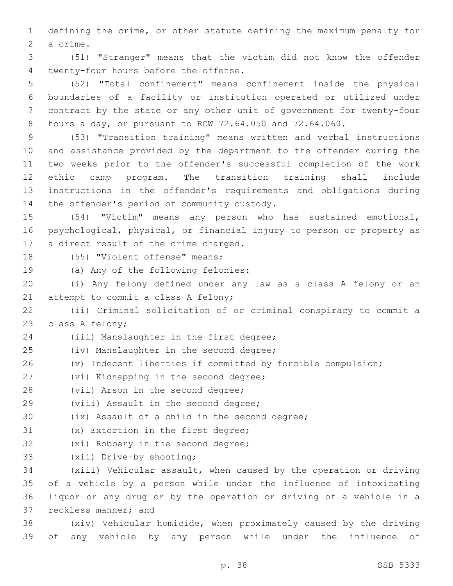1 defining the crime, or other statute defining the maximum penalty for 2 a crime.

3 (51) "Stranger" means that the victim did not know the offender twenty-four hours before the offense.4

 (52) "Total confinement" means confinement inside the physical boundaries of a facility or institution operated or utilized under contract by the state or any other unit of government for twenty-four hours a day, or pursuant to RCW 72.64.050 and 72.64.060.

 (53) "Transition training" means written and verbal instructions and assistance provided by the department to the offender during the two weeks prior to the offender's successful completion of the work ethic camp program. The transition training shall include instructions in the offender's requirements and obligations during 14 the offender's period of community custody.

15 (54) "Victim" means any person who has sustained emotional, 16 psychological, physical, or financial injury to person or property as 17 a direct result of the crime charged.

18 (55) "Violent offense" means:

19 (a) Any of the following felonies:

20 (i) Any felony defined under any law as a class A felony or an 21 attempt to commit a class A felony;

22 (ii) Criminal solicitation of or criminal conspiracy to commit a 23 class A felony;

24 (iii) Manslaughter in the first degree;

- 25 (iv) Manslaughter in the second degree;
- 26 (v) Indecent liberties if committed by forcible compulsion;
- 27 (vi) Kidnapping in the second degree;
- 28 (vii) Arson in the second degree;
- 29 (viii) Assault in the second degree;

30 (ix) Assault of a child in the second degree;

- 31 (x) Extortion in the first degree;
- 32 (xi) Robbery in the second degree;
- 33 (xii) Drive-by shooting;

 (xiii) Vehicular assault, when caused by the operation or driving of a vehicle by a person while under the influence of intoxicating liquor or any drug or by the operation or driving of a vehicle in a 37 reckless manner; and

38 (xiv) Vehicular homicide, when proximately caused by the driving 39 of any vehicle by any person while under the influence of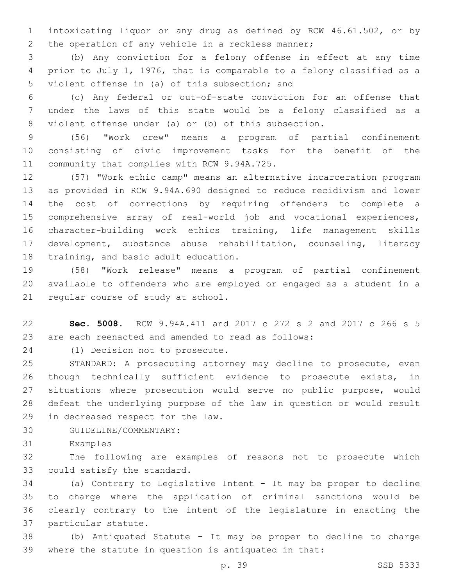intoxicating liquor or any drug as defined by RCW 46.61.502, or by 2 the operation of any vehicle in a reckless manner;

 (b) Any conviction for a felony offense in effect at any time prior to July 1, 1976, that is comparable to a felony classified as a 5 violent offense in (a) of this subsection; and

 (c) Any federal or out-of-state conviction for an offense that under the laws of this state would be a felony classified as a violent offense under (a) or (b) of this subsection.

 (56) "Work crew" means a program of partial confinement consisting of civic improvement tasks for the benefit of the 11 community that complies with RCW 9.94A.725.

 (57) "Work ethic camp" means an alternative incarceration program as provided in RCW 9.94A.690 designed to reduce recidivism and lower the cost of corrections by requiring offenders to complete a comprehensive array of real-world job and vocational experiences, character-building work ethics training, life management skills development, substance abuse rehabilitation, counseling, literacy 18 training, and basic adult education.

 (58) "Work release" means a program of partial confinement available to offenders who are employed or engaged as a student in a 21 regular course of study at school.

 **Sec. 5008.** RCW 9.94A.411 and 2017 c 272 s 2 and 2017 c 266 s 5 are each reenacted and amended to read as follows:

24 (1) Decision not to prosecute.

 STANDARD: A prosecuting attorney may decline to prosecute, even though technically sufficient evidence to prosecute exists, in situations where prosecution would serve no public purpose, would defeat the underlying purpose of the law in question or would result 29 in decreased respect for the law.

- 30 GUIDELINE/COMMENTARY:
- 31 Examples

 The following are examples of reasons not to prosecute which 33 could satisfy the standard.

 (a) Contrary to Legislative Intent - It may be proper to decline to charge where the application of criminal sanctions would be clearly contrary to the intent of the legislature in enacting the 37 particular statute.

 (b) Antiquated Statute - It may be proper to decline to charge where the statute in question is antiquated in that: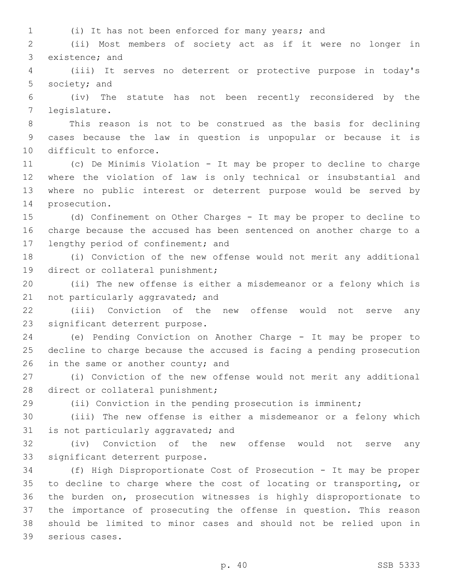- 
- (i) It has not been enforced for many years; and

 (ii) Most members of society act as if it were no longer in 3 existence; and

 (iii) It serves no deterrent or protective purpose in today's 5 society; and

 (iv) The statute has not been recently reconsidered by the legislature.7

 This reason is not to be construed as the basis for declining cases because the law in question is unpopular or because it is 10 difficult to enforce.

 (c) De Minimis Violation - It may be proper to decline to charge where the violation of law is only technical or insubstantial and where no public interest or deterrent purpose would be served by 14 prosecution.

 (d) Confinement on Other Charges - It may be proper to decline to charge because the accused has been sentenced on another charge to a 17 lengthy period of confinement; and

 (i) Conviction of the new offense would not merit any additional 19 direct or collateral punishment;

 (ii) The new offense is either a misdemeanor or a felony which is 21 not particularly aggravated; and

 (iii) Conviction of the new offense would not serve any 23 significant deterrent purpose.

 (e) Pending Conviction on Another Charge - It may be proper to decline to charge because the accused is facing a pending prosecution 26 in the same or another county; and

 (i) Conviction of the new offense would not merit any additional 28 direct or collateral punishment;

(ii) Conviction in the pending prosecution is imminent;

 (iii) The new offense is either a misdemeanor or a felony which 31 is not particularly aggravated; and

 (iv) Conviction of the new offense would not serve any 33 significant deterrent purpose.

 (f) High Disproportionate Cost of Prosecution - It may be proper to decline to charge where the cost of locating or transporting, or the burden on, prosecution witnesses is highly disproportionate to the importance of prosecuting the offense in question. This reason should be limited to minor cases and should not be relied upon in 39 serious cases.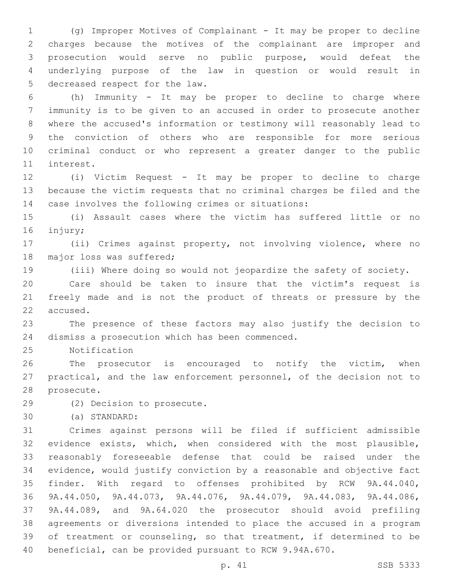(g) Improper Motives of Complainant - It may be proper to decline charges because the motives of the complainant are improper and prosecution would serve no public purpose, would defeat the underlying purpose of the law in question or would result in 5 decreased respect for the law.

 (h) Immunity - It may be proper to decline to charge where immunity is to be given to an accused in order to prosecute another where the accused's information or testimony will reasonably lead to the conviction of others who are responsible for more serious criminal conduct or who represent a greater danger to the public 11 interest.

 (i) Victim Request - It may be proper to decline to charge because the victim requests that no criminal charges be filed and the 14 case involves the following crimes or situations:

 (i) Assault cases where the victim has suffered little or no 16 injury;

 (ii) Crimes against property, not involving violence, where no 18 major loss was suffered;

(iii) Where doing so would not jeopardize the safety of society.

 Care should be taken to insure that the victim's request is freely made and is not the product of threats or pressure by the 22 accused.

 The presence of these factors may also justify the decision to 24 dismiss a prosecution which has been commenced.

25 Notification

 The prosecutor is encouraged to notify the victim, when practical, and the law enforcement personnel, of the decision not to 28 prosecute.

29 (2) Decision to prosecute.

(a) STANDARD:30

 Crimes against persons will be filed if sufficient admissible evidence exists, which, when considered with the most plausible, reasonably foreseeable defense that could be raised under the evidence, would justify conviction by a reasonable and objective fact finder. With regard to offenses prohibited by RCW 9A.44.040, 9A.44.050, 9A.44.073, 9A.44.076, 9A.44.079, 9A.44.083, 9A.44.086, 9A.44.089, and 9A.64.020 the prosecutor should avoid prefiling agreements or diversions intended to place the accused in a program of treatment or counseling, so that treatment, if determined to be beneficial, can be provided pursuant to RCW 9.94A.670.

p. 41 SSB 5333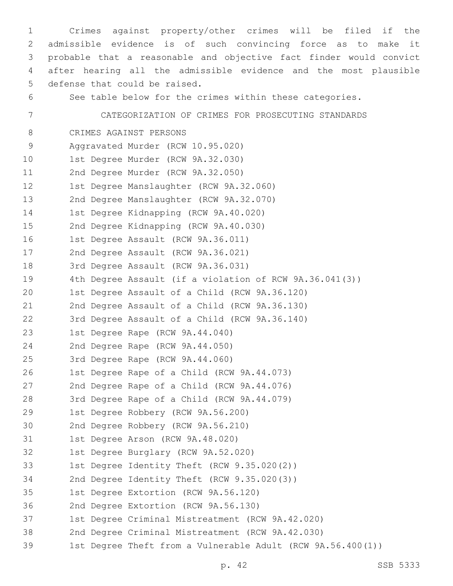1 Crimes against property/other crimes will be filed if the 2 admissible evidence is of such convincing force as to make it 3 probable that a reasonable and objective fact finder would convict 4 after hearing all the admissible evidence and the most plausible 5 defense that could be raised. 6 See table below for the crimes within these categories. 7 CATEGORIZATION OF CRIMES FOR PROSECUTING STANDARDS 8 CRIMES AGAINST PERSONS 9 Aggravated Murder (RCW 10.95.020) 10 1st Degree Murder (RCW 9A.32.030) 11 2nd Degree Murder (RCW 9A.32.050) 12 1st Degree Manslaughter (RCW 9A.32.060) 13 2nd Degree Manslaughter (RCW 9A.32.070) 14 1st Degree Kidnapping (RCW 9A.40.020) 15 2nd Degree Kidnapping (RCW 9A.40.030) 16 1st Degree Assault (RCW 9A.36.011) 17 2nd Degree Assault (RCW 9A.36.021) 18 3rd Degree Assault (RCW 9A.36.031) 19 4th Degree Assault (if a violation of RCW 9A.36.041(3)) 20 1st Degree Assault of a Child (RCW 9A.36.120) 21 2nd Degree Assault of a Child (RCW 9A.36.130) 22 3rd Degree Assault of a Child (RCW 9A.36.140) 23 1st Degree Rape (RCW 9A.44.040) 24 2nd Degree Rape (RCW 9A.44.050) 25 3rd Degree Rape (RCW 9A.44.060) 26 1st Degree Rape of a Child (RCW 9A.44.073) 27 2nd Degree Rape of a Child (RCW 9A.44.076) 28 3rd Degree Rape of a Child (RCW 9A.44.079) 29 1st Degree Robbery (RCW 9A.56.200) 30 2nd Degree Robbery (RCW 9A.56.210) 31 1st Degree Arson (RCW 9A.48.020) 32 1st Degree Burglary (RCW 9A.52.020) 1st Degree Identity Theft (RCW 9.35.020(2)) 34 2nd Degree Identity Theft (RCW 9.35.020(3)) 35 1st Degree Extortion (RCW 9A.56.120) 36 2nd Degree Extortion (RCW 9A.56.130) 37 1st Degree Criminal Mistreatment (RCW 9A.42.020) 38 2nd Degree Criminal Mistreatment (RCW 9A.42.030) 39 1st Degree Theft from a Vulnerable Adult (RCW 9A.56.400(1))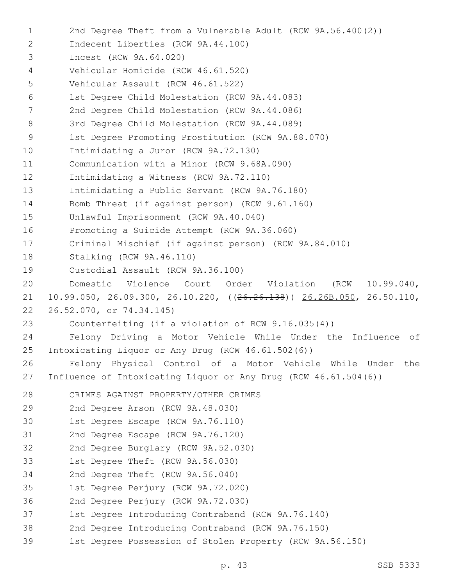1 2nd Degree Theft from a Vulnerable Adult (RCW 9A.56.400(2)) 2 Indecent Liberties (RCW 9A.44.100) 3 Incest (RCW 9A.64.020) Vehicular Homicide (RCW 46.61.520)4 5 Vehicular Assault (RCW 46.61.522) 1st Degree Child Molestation (RCW 9A.44.083)6 7 2nd Degree Child Molestation (RCW 9A.44.086) 8 3rd Degree Child Molestation (RCW 9A.44.089) 9 1st Degree Promoting Prostitution (RCW 9A.88.070) 10 Intimidating a Juror (RCW 9A.72.130) 11 Communication with a Minor (RCW 9.68A.090) 12 Intimidating a Witness (RCW 9A.72.110) 13 Intimidating a Public Servant (RCW 9A.76.180) 14 Bomb Threat (if against person) (RCW 9.61.160) 15 Unlawful Imprisonment (RCW 9A.40.040) 16 Promoting a Suicide Attempt (RCW 9A.36.060) 17 Criminal Mischief (if against person) (RCW 9A.84.010) 18 Stalking (RCW 9A.46.110) 19 Custodial Assault (RCW 9A.36.100) 20 Domestic Violence Court Order Violation (RCW 10.99.040, 21 10.99.050, 26.09.300, 26.10.220, ((26.26.138)) 26.26B.050, 26.50.110, 22 26.52.070, or 74.34.145) 23 Counterfeiting (if a violation of RCW 9.16.035(4)) 24 Felony Driving a Motor Vehicle While Under the Influence of 25 Intoxicating Liquor or Any Drug (RCW 46.61.502(6)) 26 Felony Physical Control of a Motor Vehicle While Under the 27 Influence of Intoxicating Liquor or Any Drug (RCW 46.61.504(6)) 28 CRIMES AGAINST PROPERTY/OTHER CRIMES 29 2nd Degree Arson (RCW 9A.48.030) 30 1st Degree Escape (RCW 9A.76.110) 31 2nd Degree Escape (RCW 9A.76.120) 32 2nd Degree Burglary (RCW 9A.52.030) 33 1st Degree Theft (RCW 9A.56.030) 34 2nd Degree Theft (RCW 9A.56.040) 35 1st Degree Perjury (RCW 9A.72.020) 36 2nd Degree Perjury (RCW 9A.72.030) 37 1st Degree Introducing Contraband (RCW 9A.76.140) 38 2nd Degree Introducing Contraband (RCW 9A.76.150) 39 1st Degree Possession of Stolen Property (RCW 9A.56.150)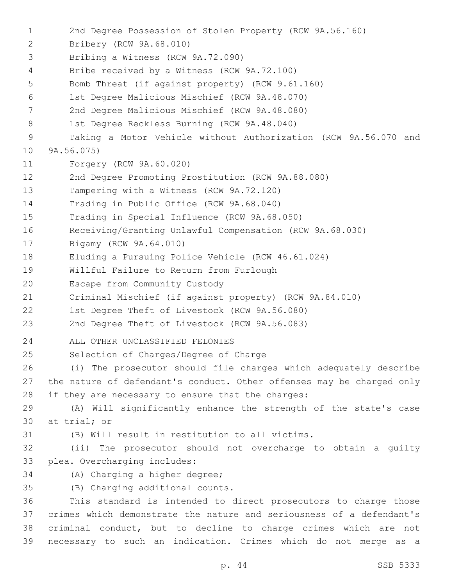1 2nd Degree Possession of Stolen Property (RCW 9A.56.160) 2 Bribery (RCW 9A.68.010) 3 Bribing a Witness (RCW 9A.72.090) 4 Bribe received by a Witness (RCW 9A.72.100) 5 Bomb Threat (if against property) (RCW 9.61.160) 1st Degree Malicious Mischief (RCW 9A.48.070)6 7 2nd Degree Malicious Mischief (RCW 9A.48.080) 8 1st Degree Reckless Burning (RCW 9A.48.040) 9 Taking a Motor Vehicle without Authorization (RCW 9A.56.070 and 10 9A.56.075) 11 Forgery (RCW 9A.60.020) 12 2nd Degree Promoting Prostitution (RCW 9A.88.080) 13 Tampering with a Witness (RCW 9A.72.120) 14 Trading in Public Office (RCW 9A.68.040) 15 Trading in Special Influence (RCW 9A.68.050) 16 Receiving/Granting Unlawful Compensation (RCW 9A.68.030) 17 Bigamy (RCW 9A.64.010) 18 Eluding a Pursuing Police Vehicle (RCW 46.61.024) 19 Willful Failure to Return from Furlough 20 Escape from Community Custody 21 Criminal Mischief (if against property) (RCW 9A.84.010) 22 1st Degree Theft of Livestock (RCW 9A.56.080) 23 2nd Degree Theft of Livestock (RCW 9A.56.083) 24 ALL OTHER UNCLASSIFIED FELONIES 25 Selection of Charges/Degree of Charge 26 (i) The prosecutor should file charges which adequately describe 27 the nature of defendant's conduct. Other offenses may be charged only 28 if they are necessary to ensure that the charges: 29 (A) Will significantly enhance the strength of the state's case 30 at trial; or 31 (B) Will result in restitution to all victims. 32 (ii) The prosecutor should not overcharge to obtain a guilty 33 plea. Overcharging includes: 34 (A) Charging a higher degree; (B) Charging additional counts.35 36 This standard is intended to direct prosecutors to charge those 37 crimes which demonstrate the nature and seriousness of a defendant's 38 criminal conduct, but to decline to charge crimes which are not 39 necessary to such an indication. Crimes which do not merge as a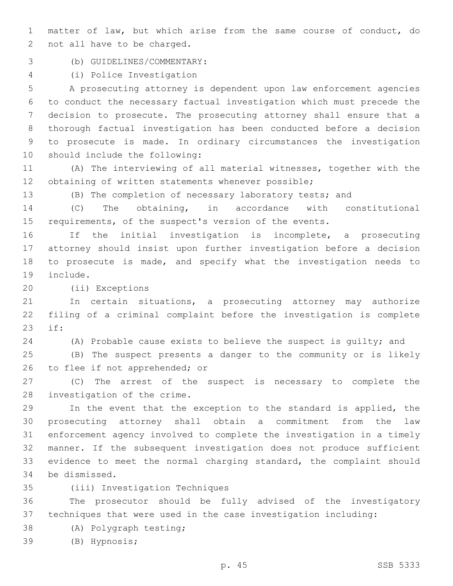matter of law, but which arise from the same course of conduct, do 2 not all have to be charged.

(b) GUIDELINES/COMMENTARY:3

(i) Police Investigation4

 A prosecuting attorney is dependent upon law enforcement agencies to conduct the necessary factual investigation which must precede the decision to prosecute. The prosecuting attorney shall ensure that a thorough factual investigation has been conducted before a decision to prosecute is made. In ordinary circumstances the investigation 10 should include the following:

 (A) The interviewing of all material witnesses, together with the obtaining of written statements whenever possible;

(B) The completion of necessary laboratory tests; and

 (C) The obtaining, in accordance with constitutional requirements, of the suspect's version of the events.

 If the initial investigation is incomplete, a prosecuting attorney should insist upon further investigation before a decision to prosecute is made, and specify what the investigation needs to 19 include.

(ii) Exceptions20

 In certain situations, a prosecuting attorney may authorize filing of a criminal complaint before the investigation is complete 23 if:

(A) Probable cause exists to believe the suspect is guilty; and

 (B) The suspect presents a danger to the community or is likely 26 to flee if not apprehended; or

 (C) The arrest of the suspect is necessary to complete the 28 investigation of the crime.

 In the event that the exception to the standard is applied, the prosecuting attorney shall obtain a commitment from the law enforcement agency involved to complete the investigation in a timely manner. If the subsequent investigation does not produce sufficient evidence to meet the normal charging standard, the complaint should 34 be dismissed.

(iii) Investigation Techniques35

 The prosecutor should be fully advised of the investigatory techniques that were used in the case investigation including:

- 38 (A) Polygraph testing;
- (B) Hypnosis;39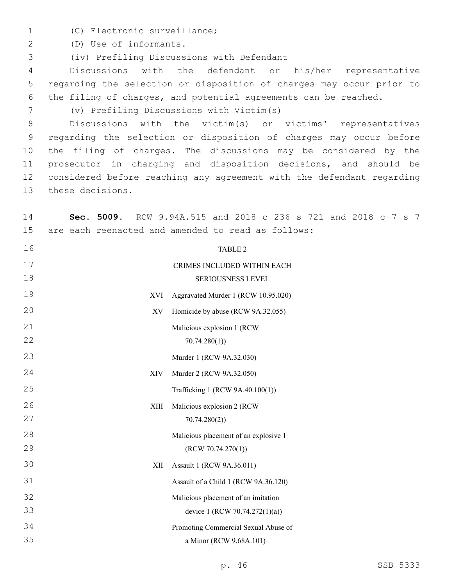1 (C) Electronic surveillance;

2 (D) Use of informants.

(iv) Prefiling Discussions with Defendant3

 Discussions with the defendant or his/her representative regarding the selection or disposition of charges may occur prior to the filing of charges, and potential agreements can be reached.

(v) Prefiling Discussions with Victim(s)

 Discussions with the victim(s) or victims' representatives regarding the selection or disposition of charges may occur before the filing of charges. The discussions may be considered by the prosecutor in charging and disposition decisions, and should be considered before reaching any agreement with the defendant regarding 13 these decisions.

 **Sec. 5009.** RCW 9.94A.515 and 2018 c 236 s 721 and 2018 c 7 s 7 are each reenacted and amended to read as follows: TABLE 2 CRIMES INCLUDED WITHIN EACH SERIOUSNESS LEVEL XVI Aggravated Murder 1 (RCW 10.95.020) XV Homicide by abuse (RCW 9A.32.055) Malicious explosion 1 (RCW 70.74.280(1)) Murder 1 (RCW 9A.32.030) XIV Murder 2 (RCW 9A.32.050) Trafficking 1 (RCW 9A.40.100(1)) XIII Malicious explosion 2 (RCW 70.74.280(2)) Malicious placement of an explosive 1 (RCW 70.74.270(1)) XII Assault 1 (RCW 9A.36.011) Assault of a Child 1 (RCW 9A.36.120) Malicious placement of an imitation device 1 (RCW 70.74.272(1)(a)) Promoting Commercial Sexual Abuse of a Minor (RCW 9.68A.101)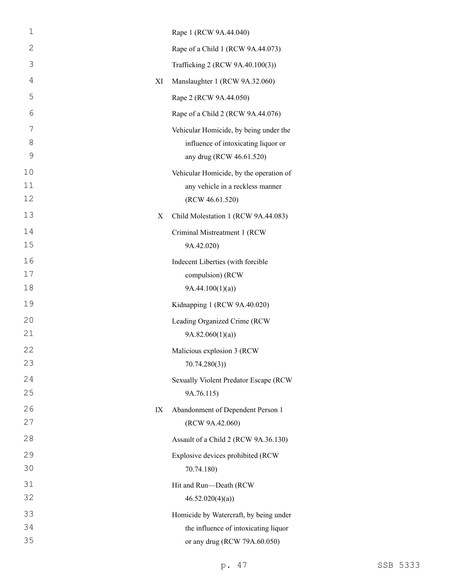| $\mathbf 1$    |    | Rape 1 (RCW 9A.44.040)                                               |
|----------------|----|----------------------------------------------------------------------|
| $\mathbf{2}$   |    | Rape of a Child 1 (RCW 9A.44.073)                                    |
| 3              |    | Trafficking 2 (RCW 9A.40.100(3))                                     |
| $\overline{4}$ | XI | Manslaughter 1 (RCW 9A.32.060)                                       |
| 5              |    | Rape 2 (RCW 9A.44.050)                                               |
| 6              |    | Rape of a Child 2 (RCW 9A.44.076)                                    |
| 7              |    | Vehicular Homicide, by being under the                               |
| 8              |    | influence of intoxicating liquor or                                  |
| 9              |    | any drug (RCW 46.61.520)                                             |
| 10             |    | Vehicular Homicide, by the operation of                              |
| 11<br>12       |    | any vehicle in a reckless manner<br>(RCW 46.61.520)                  |
| 13             | X  | Child Molestation 1 (RCW 9A.44.083)                                  |
| 14             |    | Criminal Mistreatment 1 (RCW                                         |
| 15             |    | 9A.42.020)                                                           |
| 16             |    | Indecent Liberties (with forcible                                    |
| 17             |    | compulsion) (RCW                                                     |
| 18             |    | 9A.44.100(1)(a)                                                      |
| 19             |    | Kidnapping 1 (RCW 9A.40.020)                                         |
| 20             |    | Leading Organized Crime (RCW                                         |
| 21             |    | 9A.82.060(1)(a)                                                      |
| 22<br>23       |    | Malicious explosion 3 (RCW<br>70.74.280(3)                           |
| 24             |    | Sexually Violent Predator Escape (RCW                                |
| 25             |    | 9A.76.115)                                                           |
| 26             | IX | Abandonment of Dependent Person 1                                    |
| 27             |    | (RCW 9A.42.060)                                                      |
| 28             |    | Assault of a Child 2 (RCW 9A.36.130)                                 |
| 29             |    | Explosive devices prohibited (RCW                                    |
| 30             |    | 70.74.180)                                                           |
| 31             |    | Hit and Run-Death (RCW                                               |
| 32             |    | 46.52.020(4)(a)                                                      |
| 33<br>34       |    | Homicide by Watercraft, by being under                               |
| 35             |    | the influence of intoxicating liquor<br>or any drug (RCW 79A.60.050) |
|                |    |                                                                      |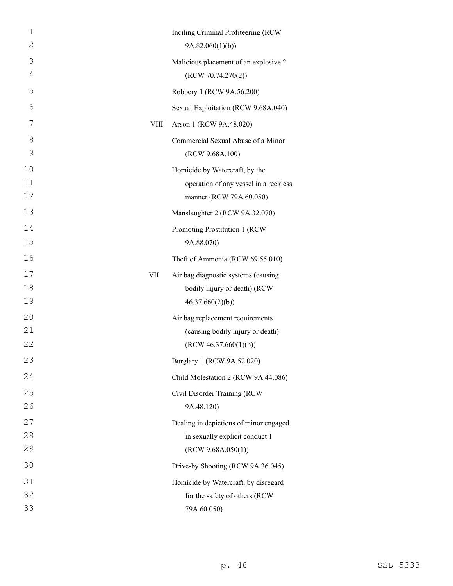| $\mathbf 1$  |            | Inciting Criminal Profiteering (RCW    |
|--------------|------------|----------------------------------------|
| $\mathbf{2}$ |            | 9A.82.060(1)(b)                        |
| 3            |            | Malicious placement of an explosive 2  |
| 4            |            | (RCW 70.74.270(2))                     |
| 5            |            | Robbery 1 (RCW 9A.56.200)              |
| 6            |            | Sexual Exploitation (RCW 9.68A.040)    |
| 7            | VIII       | Arson 1 (RCW 9A.48.020)                |
| 8            |            | Commercial Sexual Abuse of a Minor     |
| 9            |            | (RCW 9.68A.100)                        |
| 10           |            | Homicide by Watercraft, by the         |
| 11           |            | operation of any vessel in a reckless  |
| 12           |            | manner (RCW 79A.60.050)                |
| 13           |            | Manslaughter 2 (RCW 9A.32.070)         |
| 14           |            | Promoting Prostitution 1 (RCW          |
| 15           |            | 9A.88.070)                             |
| 16           |            | Theft of Ammonia (RCW 69.55.010)       |
| 17           | <b>VII</b> | Air bag diagnostic systems (causing    |
| 18           |            | bodily injury or death) (RCW           |
| 19           |            | 46.37.660(2)(b)                        |
| 20           |            | Air bag replacement requirements       |
| 21           |            | (causing bodily injury or death)       |
| 22           |            | (RCW 46.37.660(1)(b))                  |
| 23           |            | Burglary 1 (RCW 9A.52.020)             |
| 24           |            | Child Molestation 2 (RCW 9A.44.086)    |
| 25           |            | Civil Disorder Training (RCW           |
| 26           |            | 9A.48.120)                             |
| 27           |            | Dealing in depictions of minor engaged |
| 28           |            | in sexually explicit conduct 1         |
| 29           |            | (RCW 9.68A.050(1))                     |
| 30           |            | Drive-by Shooting (RCW 9A.36.045)      |
| 31           |            | Homicide by Watercraft, by disregard   |
| 32           |            | for the safety of others (RCW          |
| 33           |            | 79A.60.050)                            |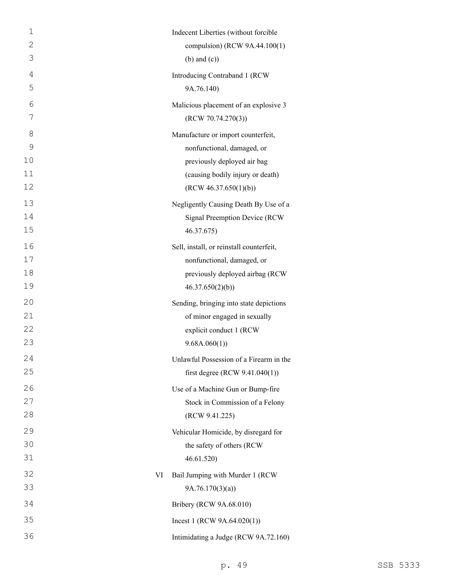| $\mathbf 1$    |    | Indecent Liberties (without forcible     |
|----------------|----|------------------------------------------|
| $\overline{2}$ |    | compulsion) (RCW 9A.44.100(1)            |
| 3              |    | $(b)$ and $(c)$ )                        |
| 4              |    | Introducing Contraband 1 (RCW            |
| 5              |    | 9A.76.140)                               |
| 6              |    | Malicious placement of an explosive 3    |
| 7              |    | (RCW 70.74.270(3))                       |
| 8              |    | Manufacture or import counterfeit,       |
| 9              |    | nonfunctional, damaged, or               |
| 10             |    | previously deployed air bag              |
| 11             |    | (causing bodily injury or death)         |
| 12             |    | (RCW 46.37.650(1)(b))                    |
| 13             |    | Negligently Causing Death By Use of a    |
| 14             |    | <b>Signal Preemption Device (RCW</b>     |
| 15             |    | 46.37.675)                               |
| 16             |    | Sell, install, or reinstall counterfeit, |
| 17             |    | nonfunctional, damaged, or               |
| 18             |    | previously deployed airbag (RCW          |
| 19             |    | 46.37.650(2)(b)                          |
| 20             |    | Sending, bringing into state depictions  |
| 21             |    | of minor engaged in sexually             |
| 22             |    | explicit conduct 1 (RCW                  |
| 23             |    | 9.68A.060(1))                            |
| 24             |    | Unlawful Possession of a Firearm in the  |
| 25             |    | first degree (RCW $9.41.040(1)$ )        |
| 26             |    | Use of a Machine Gun or Bump-fire        |
| 27             |    | Stock in Commission of a Felony          |
| 28             |    | (RCW 9.41.225)                           |
| 29             |    | Vehicular Homicide, by disregard for     |
| 30             |    | the safety of others (RCW                |
| 31             |    | 46.61.520                                |
| 32             | VI | Bail Jumping with Murder 1 (RCW          |
| 33             |    | 9A.76.170(3)(a)                          |
| 34             |    | Bribery (RCW 9A.68.010)                  |
| 35             |    | Incest 1 (RCW $9A.64.020(1)$ )           |
| 36             |    | Intimidating a Judge (RCW 9A.72.160)     |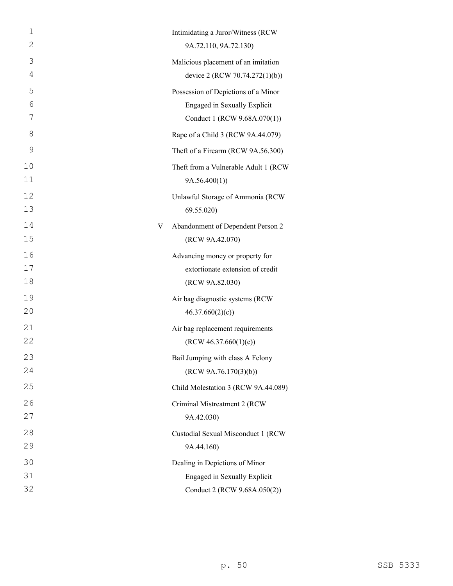| 1  | Intimidating a Juror/Witness (RCW      |
|----|----------------------------------------|
| 2  | 9A.72.110, 9A.72.130)                  |
| 3  | Malicious placement of an imitation    |
| 4  | device 2 (RCW 70.74.272(1)(b))         |
| 5  | Possession of Depictions of a Minor    |
| 6  | Engaged in Sexually Explicit           |
| 7  | Conduct 1 (RCW 9.68A.070(1))           |
| 8  | Rape of a Child 3 (RCW 9A.44.079)      |
| 9  | Theft of a Firearm (RCW 9A.56.300)     |
| 10 | Theft from a Vulnerable Adult 1 (RCW   |
| 11 | 9A.56.400(1)                           |
| 12 | Unlawful Storage of Ammonia (RCW       |
| 13 | 69.55.020                              |
| 14 | Abandonment of Dependent Person 2<br>V |
| 15 | (RCW 9A.42.070)                        |
| 16 | Advancing money or property for        |
| 17 | extortionate extension of credit       |
| 18 | (RCW 9A.82.030)                        |
| 19 | Air bag diagnostic systems (RCW        |
| 20 | 46.37.660(2)(c)                        |
| 21 | Air bag replacement requirements       |
| 22 | (RCW 46.37.660(1)(c))                  |
| 23 | Bail Jumping with class A Felony       |
| 24 | (RCW 9A.76.170(3)(b))                  |
| 25 | Child Molestation 3 (RCW 9A.44.089)    |
| 26 | Criminal Mistreatment 2 (RCW           |
| 27 | 9A.42.030)                             |
| 28 | Custodial Sexual Misconduct 1 (RCW     |
| 29 | 9A.44.160)                             |
| 30 | Dealing in Depictions of Minor         |
| 31 | Engaged in Sexually Explicit           |
| 32 | Conduct 2 (RCW 9.68A.050(2))           |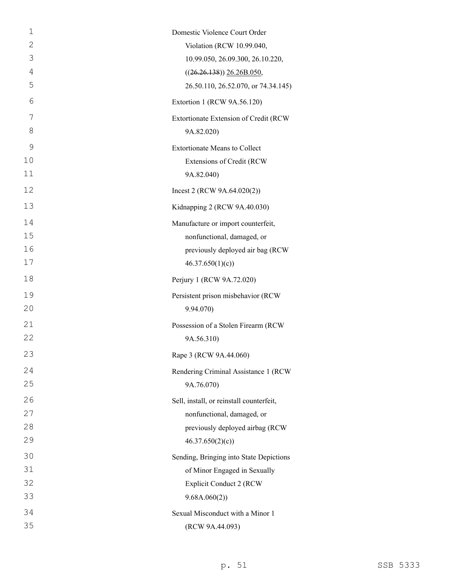| $\mathbf 1$    | Domestic Violence Court Order            |
|----------------|------------------------------------------|
| 2              | Violation (RCW 10.99.040,                |
| 3              | 10.99.050, 26.09.300, 26.10.220,         |
| $\overline{4}$ | $((26.26.138))$ $26.26B.050$ ,           |
| 5              | 26.50.110, 26.52.070, or 74.34.145)      |
| 6              | Extortion 1 (RCW 9A.56.120)              |
| 7              | Extortionate Extension of Credit (RCW    |
| 8              | 9A.82.020)                               |
| 9              | <b>Extortionate Means to Collect</b>     |
| 10             | Extensions of Credit (RCW                |
| 11             | 9A.82.040)                               |
| 12             | Incest 2 (RCW $9A.64.020(2)$ )           |
| 13             | Kidnapping 2 (RCW 9A.40.030)             |
| 14             | Manufacture or import counterfeit,       |
| 15             | nonfunctional, damaged, or               |
| 16             | previously deployed air bag (RCW         |
| 17             | 46.37.650(1)(c)                          |
| 18             | Perjury 1 (RCW 9A.72.020)                |
| 19             | Persistent prison misbehavior (RCW       |
| 20             | 9.94.070)                                |
| 21             | Possession of a Stolen Firearm (RCW      |
| 22             | 9A.56.310)                               |
| 23             | Rape 3 (RCW 9A.44.060)                   |
| 24             | Rendering Criminal Assistance 1 (RCW     |
| 25             | 9A.76.070)                               |
| 26             | Sell, install, or reinstall counterfeit, |
| 27             | nonfunctional, damaged, or               |
| 28             | previously deployed airbag (RCW          |
| 29             | 46.37.650(2)(c)                          |
| 30             | Sending, Bringing into State Depictions  |
| 31             | of Minor Engaged in Sexually             |
| 32             | <b>Explicit Conduct 2 (RCW</b>           |
| 33             | 9.68A.060(2))                            |
| 34             | Sexual Misconduct with a Minor 1         |
| 35             | (RCW 9A.44.093)                          |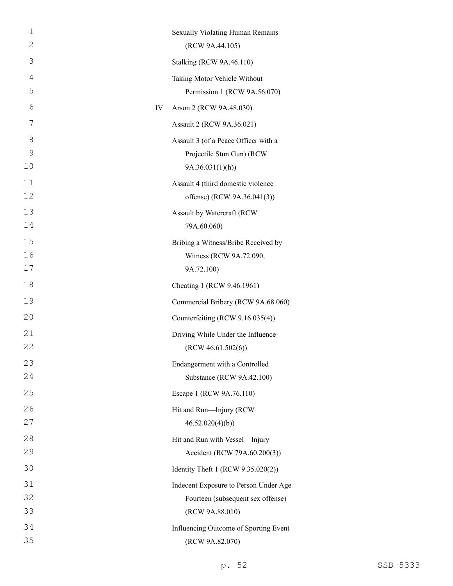| $\mathbf{1}$  | Sexually Violating Human Remains      |
|---------------|---------------------------------------|
| $\mathbf{2}$  | (RCW 9A.44.105)                       |
| 3             | <b>Stalking (RCW 9A.46.110)</b>       |
| 4             | Taking Motor Vehicle Without          |
| 5             | Permission 1 (RCW 9A.56.070)          |
| 6             | IV<br>Arson 2 (RCW 9A.48.030)         |
| 7             | Assault 2 (RCW 9A.36.021)             |
| 8             | Assault 3 (of a Peace Officer with a  |
| $\mathcal{G}$ | Projectile Stun Gun) (RCW             |
| 10            | 9A.36.031(1)(h)                       |
| 11            | Assault 4 (third domestic violence    |
| 12            | offense) (RCW 9A.36.041(3))           |
| 13            | Assault by Watercraft (RCW            |
| 14            | 79A.60.060)                           |
| 15            | Bribing a Witness/Bribe Received by   |
| 16            | Witness (RCW 9A.72.090,               |
| 17            | 9A.72.100)                            |
| 18            | Cheating 1 (RCW 9.46.1961)            |
| 19            | Commercial Bribery (RCW 9A.68.060)    |
| 20            | Counterfeiting (RCW 9.16.035(4))      |
| 21            | Driving While Under the Influence     |
| 22            | (RCW 46.61.502(6))                    |
| 23            | Endangerment with a Controlled        |
| 24            | Substance (RCW 9A.42.100)             |
| 25            | Escape 1 (RCW 9A.76.110)              |
| 26            | Hit and Run-Injury (RCW               |
| 27            | 46.52.020(4)(b)                       |
| 28            | Hit and Run with Vessel-Injury        |
| 29            | Accident (RCW 79A.60.200(3))          |
| 30            | Identity Theft 1 (RCW 9.35.020(2))    |
| 31            | Indecent Exposure to Person Under Age |
| 32            | Fourteen (subsequent sex offense)     |
| 33            | (RCW 9A.88.010)                       |
| 34            | Influencing Outcome of Sporting Event |
| 35            | (RCW 9A.82.070)                       |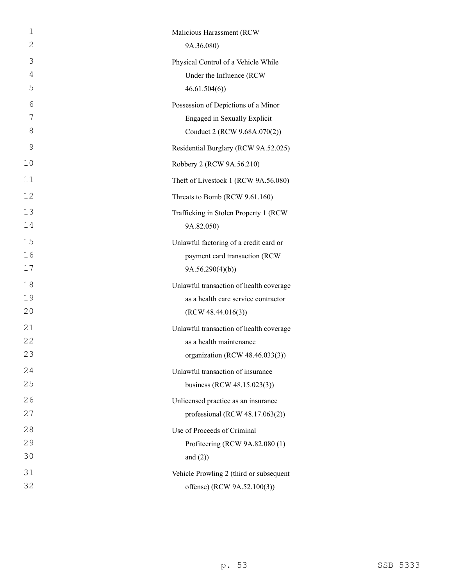| $\mathbf 1$  | Malicious Harassment (RCW               |
|--------------|-----------------------------------------|
| $\mathbf{2}$ | 9A.36.080)                              |
| 3            | Physical Control of a Vehicle While     |
| 4            | Under the Influence (RCW                |
| 5            | 46.61.504(6)                            |
| 6            | Possession of Depictions of a Minor     |
| 7            | Engaged in Sexually Explicit            |
| 8            | Conduct 2 (RCW 9.68A.070(2))            |
| 9            | Residential Burglary (RCW 9A.52.025)    |
| 10           | Robbery 2 (RCW 9A.56.210)               |
| 11           | Theft of Livestock 1 (RCW 9A.56.080)    |
| 12           | Threats to Bomb (RCW 9.61.160)          |
| 13           | Trafficking in Stolen Property 1 (RCW)  |
| 14           | 9A.82.050)                              |
| 15           | Unlawful factoring of a credit card or  |
| 16           | payment card transaction (RCW           |
| 17           | 9A.56.290(4)(b)                         |
| 18           | Unlawful transaction of health coverage |
| 19           | as a health care service contractor     |
| 20           | (RCW 48.44.016(3))                      |
| 21           | Unlawful transaction of health coverage |
| 22           | as a health maintenance                 |
| 23           | organization (RCW 48.46.033(3))         |
| 24           | Unlawful transaction of insurance       |
| 25           | business (RCW 48.15.023(3))             |
| 26           | Unlicensed practice as an insurance     |
| 27           | professional (RCW 48.17.063(2))         |
| 28           | Use of Proceeds of Criminal             |
| 29           | Profiteering (RCW 9A.82.080 (1)         |
| 30           | and $(2)$ )                             |
| 31           | Vehicle Prowling 2 (third or subsequent |
| 32           | offense) (RCW 9A.52.100(3))             |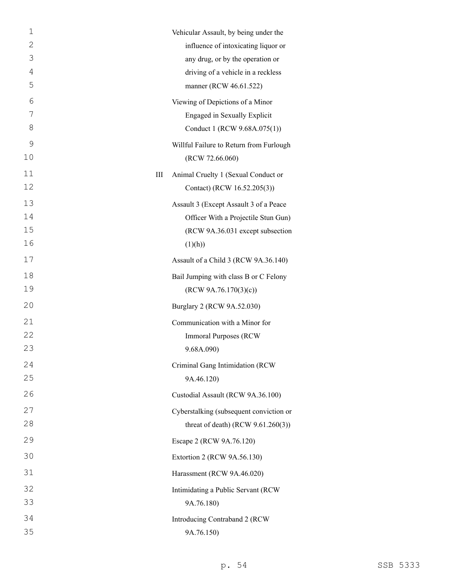| 1            |   | Vehicular Assault, by being under the   |
|--------------|---|-----------------------------------------|
| $\mathbf{2}$ |   | influence of intoxicating liquor or     |
| 3            |   | any drug, or by the operation or        |
| 4            |   | driving of a vehicle in a reckless      |
| 5            |   | manner (RCW 46.61.522)                  |
| 6            |   | Viewing of Depictions of a Minor        |
| 7            |   | Engaged in Sexually Explicit            |
| 8            |   | Conduct 1 (RCW 9.68A.075(1))            |
| 9            |   | Willful Failure to Return from Furlough |
| 10           |   | (RCW 72.66.060)                         |
| 11           | Ш | Animal Cruelty 1 (Sexual Conduct or     |
| 12           |   | Contact) (RCW 16.52.205(3))             |
| 13           |   | Assault 3 (Except Assault 3 of a Peace  |
| 14           |   | Officer With a Projectile Stun Gun)     |
| 15           |   | (RCW 9A.36.031 except subsection        |
| 16           |   | (1)(h))                                 |
| 17           |   | Assault of a Child 3 (RCW 9A.36.140)    |
| 18           |   | Bail Jumping with class B or C Felony   |
| 19           |   | (RCW 9A.76.170(3)(c))                   |
| 20           |   | Burglary 2 (RCW 9A.52.030)              |
| 21           |   | Communication with a Minor for          |
| 22           |   | <b>Immoral Purposes (RCW)</b>           |
| 23           |   | 9.68A.090)                              |
| 24           |   | Criminal Gang Intimidation (RCW         |
| 25           |   | 9A.46.120)                              |
| 26           |   | Custodial Assault (RCW 9A.36.100)       |
| 27           |   | Cyberstalking (subsequent conviction or |
| 28           |   | threat of death) (RCW $9.61.260(3)$ )   |
| 29           |   | Escape 2 (RCW 9A.76.120)                |
| 30           |   | Extortion 2 (RCW 9A.56.130)             |
| 31           |   | Harassment (RCW 9A.46.020)              |
| 32           |   | Intimidating a Public Servant (RCW      |
| 33           |   | 9A.76.180)                              |
| 34           |   | Introducing Contraband 2 (RCW           |
| 35           |   | 9A.76.150)                              |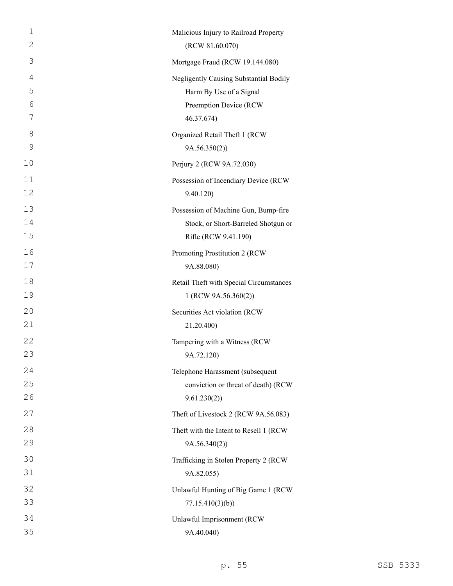| $\mathbf 1$    | Malicious Injury to Railroad Property   |
|----------------|-----------------------------------------|
| 2              | (RCW 81.60.070)                         |
| 3              | Mortgage Fraud (RCW 19.144.080)         |
| $\overline{4}$ | Negligently Causing Substantial Bodily  |
| 5              | Harm By Use of a Signal                 |
| 6              | Preemption Device (RCW                  |
| 7              | 46.37.674)                              |
| 8              | Organized Retail Theft 1 (RCW           |
| 9              | 9A.56.350(2)                            |
| 10             | Perjury 2 (RCW 9A.72.030)               |
| 11             | Possession of Incendiary Device (RCW    |
| 12             | 9.40.120                                |
| 13             | Possession of Machine Gun, Bump-fire    |
| 14             | Stock, or Short-Barreled Shotgun or     |
| 15             | Rifle (RCW 9.41.190)                    |
| 16             | Promoting Prostitution 2 (RCW           |
| 17             | 9A.88.080)                              |
| 18             | Retail Theft with Special Circumstances |
| 19             | 1 (RCW 9A.56.360(2))                    |
| 20             | Securities Act violation (RCW           |
| 21             | 21.20.400)                              |
| 22             | Tampering with a Witness (RCW           |
| 23             | 9A.72.120)                              |
| 24             | Telephone Harassment (subsequent        |
| 25             | conviction or threat of death) (RCW     |
| 26             | 9.61.230(2))                            |
| 27             | Theft of Livestock 2 (RCW 9A.56.083)    |
| 28             | Theft with the Intent to Resell 1 (RCW  |
| 29             | 9A.56.340(2))                           |
| 30             | Trafficking in Stolen Property 2 (RCW   |
| 31             | 9A.82.055)                              |
| 32             | Unlawful Hunting of Big Game 1 (RCW     |
| 33             | 77.15.410(3)(b)                         |
| 34             | Unlawful Imprisonment (RCW              |
| 35             | 9A.40.040)                              |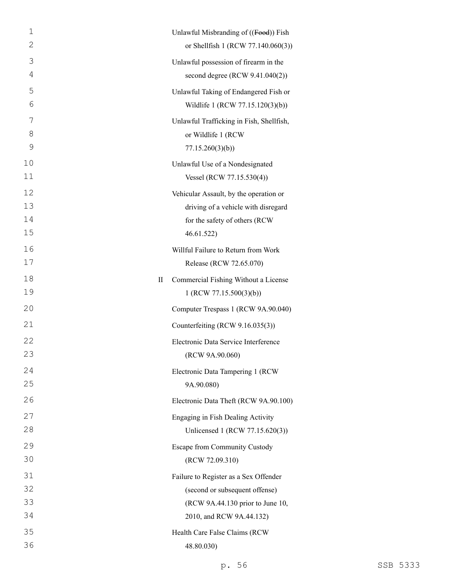| $\mathbf 1$ | Unlawful Misbranding of ((Food)) Fish     |
|-------------|-------------------------------------------|
| 2           | or Shellfish 1 (RCW 77.140.060(3))        |
| 3           | Unlawful possession of firearm in the     |
| 4           | second degree $(RCW 9.41.040(2))$         |
| 5           | Unlawful Taking of Endangered Fish or     |
| 6           | Wildlife 1 (RCW 77.15.120(3)(b))          |
| 7           | Unlawful Trafficking in Fish, Shellfish,  |
| 8           | or Wildlife 1 (RCW                        |
| 9           | 77.15.260(3)(b)                           |
| 10          | Unlawful Use of a Nondesignated           |
| 11          | Vessel (RCW 77.15.530(4))                 |
| 12          | Vehicular Assault, by the operation or    |
| 13          | driving of a vehicle with disregard       |
| 14          | for the safety of others (RCW             |
| 15          | 46.61.522                                 |
| 16          | Willful Failure to Return from Work       |
| 17          | Release (RCW 72.65.070)                   |
| 18          | Commercial Fishing Without a License<br>П |
| 19          | 1 (RCW 77.15.500(3)(b))                   |
| 20          | Computer Trespass 1 (RCW 9A.90.040)       |
| 21          | Counterfeiting (RCW 9.16.035(3))          |
| 22          | Electronic Data Service Interference      |
| 23          | (RCW 9A.90.060)                           |
| 24          | Electronic Data Tampering 1 (RCW          |
| 25          | 9A.90.080)                                |
| 26          | Electronic Data Theft (RCW 9A.90.100)     |
| 27          | Engaging in Fish Dealing Activity         |
| 28          | Unlicensed 1 (RCW 77.15.620(3))           |
| 29          | <b>Escape from Community Custody</b>      |
| 30          | (RCW 72.09.310)                           |
| 31          | Failure to Register as a Sex Offender     |
| 32          | (second or subsequent offense)            |
| 33          | (RCW 9A.44.130 prior to June 10,          |
| 34          | 2010, and RCW 9A.44.132)                  |
| 35          | Health Care False Claims (RCW             |
| 36          | 48.80.030)                                |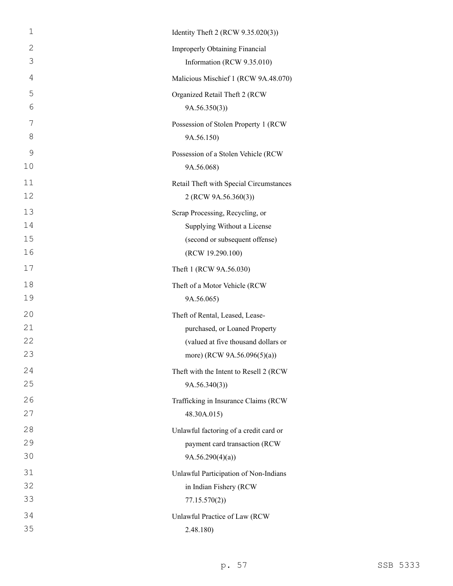| $\mathbf{1}$ | Identity Theft 2 (RCW 9.35.020(3))      |
|--------------|-----------------------------------------|
| 2            | <b>Improperly Obtaining Financial</b>   |
| 3            | Information (RCW 9.35.010)              |
| 4            | Malicious Mischief 1 (RCW 9A.48.070)    |
| 5            | Organized Retail Theft 2 (RCW           |
| 6            | 9A.56.350(3)                            |
| 7            | Possession of Stolen Property 1 (RCW    |
| 8            | 9A.56.150)                              |
| 9            | Possession of a Stolen Vehicle (RCW     |
| 10           | 9A.56.068)                              |
| 11           | Retail Theft with Special Circumstances |
| 12           | 2 (RCW 9A.56.360(3))                    |
| 13           | Scrap Processing, Recycling, or         |
| 14           | Supplying Without a License             |
| 15           | (second or subsequent offense)          |
| 16           | (RCW 19.290.100)                        |
| 17           | Theft 1 (RCW 9A.56.030)                 |
| 18           | Theft of a Motor Vehicle (RCW           |
| 19           | 9A.56.065)                              |
| 20           | Theft of Rental, Leased, Lease-         |
| 21           | purchased, or Loaned Property           |
| 22           | (valued at five thousand dollars or     |
| 23           | more) (RCW 9A.56.096(5)(a))             |
| 24           | Theft with the Intent to Resell 2 (RCW) |
| 25           | 9A.56.340(3)                            |
| 26           | Trafficking in Insurance Claims (RCW    |
| 27           | 48.30A.015)                             |
| 28           | Unlawful factoring of a credit card or  |
| 29           | payment card transaction (RCW           |
| 30           | 9A.56.290(4)(a)                         |
| 31           | Unlawful Participation of Non-Indians   |
| 32           | in Indian Fishery (RCW                  |
| 33           | 77.15.570(2)                            |
| 34           | Unlawful Practice of Law (RCW           |
| 35           | 2.48.180)                               |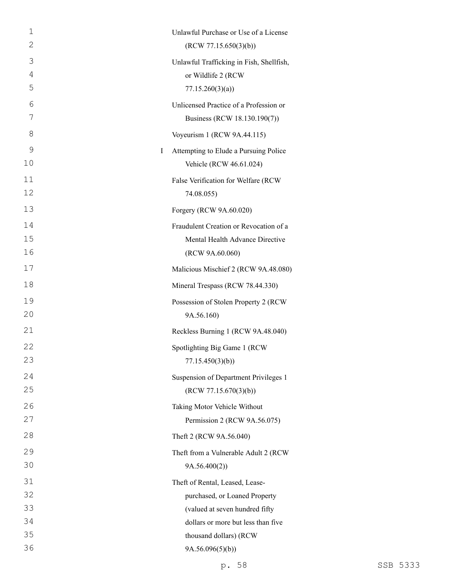| $\mathbf 1$ | Unlawful Purchase or Use of a License    |
|-------------|------------------------------------------|
| 2           | (RCW 77.15.650(3)(b))                    |
| 3           | Unlawful Trafficking in Fish, Shellfish, |
| 4           | or Wildlife 2 (RCW                       |
| 5           | 77.15.260(3)(a)                          |
| 6           | Unlicensed Practice of a Profession or   |
| 7           | Business (RCW 18.130.190(7))             |
| 8           | Voyeurism 1 (RCW 9A.44.115)              |
| 9<br>I      | Attempting to Elude a Pursuing Police    |
| 10          | Vehicle (RCW 46.61.024)                  |
| 11          | False Verification for Welfare (RCW      |
| 12          | 74.08.055)                               |
| 13          | Forgery (RCW 9A.60.020)                  |
| 14          | Fraudulent Creation or Revocation of a   |
| 15          | Mental Health Advance Directive          |
| 16          | (RCW 9A.60.060)                          |
| 17          | Malicious Mischief 2 (RCW 9A.48.080)     |
| 18          | Mineral Trespass (RCW 78.44.330)         |
| 19          | Possession of Stolen Property 2 (RCW     |
| 20          | 9A.56.160)                               |
| 21          | Reckless Burning 1 (RCW 9A.48.040)       |
| 22          | Spotlighting Big Game 1 (RCW             |
| 23          | 77.15.450(3)(b)                          |
| 24          | Suspension of Department Privileges 1    |
| 25          | (RCW 77.15.670(3)(b))                    |
| 26          | Taking Motor Vehicle Without             |
| 27          | Permission 2 (RCW 9A.56.075)             |
| 28          | Theft 2 (RCW 9A.56.040)                  |
| 29          | Theft from a Vulnerable Adult 2 (RCW     |
| 30          | 9A.56.400(2))                            |
| 31          | Theft of Rental, Leased, Lease-          |
| 32          | purchased, or Loaned Property            |
| 33          | (valued at seven hundred fifty           |
| 34          | dollars or more but less than five       |
| 35          | thousand dollars) (RCW                   |
| 36          | 9A.56.096(5)(b)                          |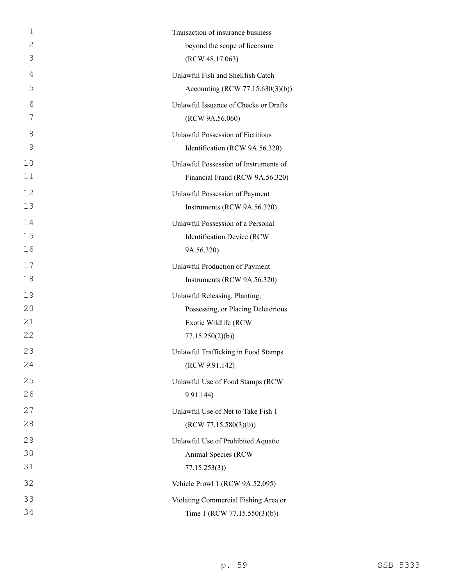| $\mathbf 1$ | Transaction of insurance business     |
|-------------|---------------------------------------|
| 2           | beyond the scope of licensure         |
| 3           | (RCW 48.17.063)                       |
| 4           | Unlawful Fish and Shellfish Catch     |
| 5           | Accounting (RCW 77.15.630(3)(b))      |
| 6           | Unlawful Issuance of Checks or Drafts |
| 7           | (RCW 9A.56.060)                       |
| 8           | Unlawful Possession of Fictitious     |
| 9           | Identification (RCW 9A.56.320)        |
| 10          | Unlawful Possession of Instruments of |
| 11          | Financial Fraud (RCW 9A.56.320)       |
| 12          | Unlawful Possession of Payment        |
| 13          | Instruments (RCW 9A.56.320)           |
| 14          | Unlawful Possession of a Personal     |
| 15          | Identification Device (RCW            |
| 16          | 9A.56.320)                            |
| 17          | Unlawful Production of Payment        |
| 18          | Instruments (RCW 9A.56.320)           |
| 19          | Unlawful Releasing, Planting,         |
| 20          | Possessing, or Placing Deleterious    |
| 21          | Exotic Wildlife (RCW                  |
| 22          | 77.15.250(2)(b)                       |
| 23          | Unlawful Trafficking in Food Stamps   |
| 24          | (RCW 9.91.142)                        |
| 25          | Unlawful Use of Food Stamps (RCW      |
| 26          | 9.91.144)                             |
| 27          | Unlawful Use of Net to Take Fish 1    |
| 28          | (RCW 77.15.580(3)(b))                 |
| 29          | Unlawful Use of Prohibited Aquatic    |
| 30          | Animal Species (RCW                   |
| 31          | 77.15.253(3)                          |
| 32          | Vehicle Prowl 1 (RCW 9A.52.095)       |
| 33          | Violating Commercial Fishing Area or  |
| 34          | Time 1 (RCW 77.15.550(3)(b))          |
|             |                                       |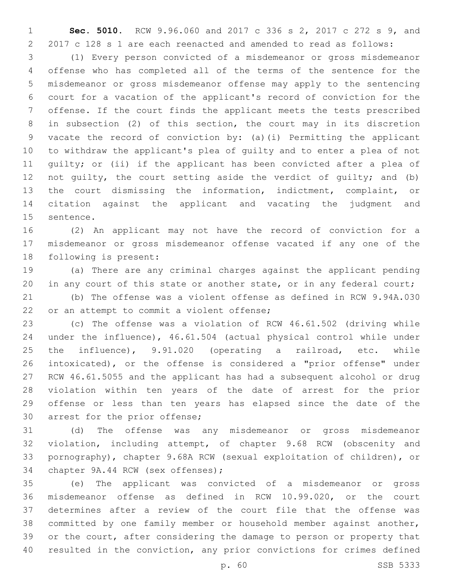**Sec. 5010.** RCW 9.96.060 and 2017 c 336 s 2, 2017 c 272 s 9, and 2017 c 128 s 1 are each reenacted and amended to read as follows:

 (1) Every person convicted of a misdemeanor or gross misdemeanor offense who has completed all of the terms of the sentence for the misdemeanor or gross misdemeanor offense may apply to the sentencing court for a vacation of the applicant's record of conviction for the offense. If the court finds the applicant meets the tests prescribed in subsection (2) of this section, the court may in its discretion vacate the record of conviction by: (a)(i) Permitting the applicant to withdraw the applicant's plea of guilty and to enter a plea of not guilty; or (ii) if the applicant has been convicted after a plea of 12 not quilty, the court setting aside the verdict of quilty; and (b) the court dismissing the information, indictment, complaint, or citation against the applicant and vacating the judgment and 15 sentence.

 (2) An applicant may not have the record of conviction for a misdemeanor or gross misdemeanor offense vacated if any one of the 18 following is present:

 (a) There are any criminal charges against the applicant pending 20 in any court of this state or another state, or in any federal court;

 (b) The offense was a violent offense as defined in RCW 9.94A.030 22 or an attempt to commit a violent offense;

 (c) The offense was a violation of RCW 46.61.502 (driving while under the influence), 46.61.504 (actual physical control while under the influence), 9.91.020 (operating a railroad, etc. while intoxicated), or the offense is considered a "prior offense" under RCW 46.61.5055 and the applicant has had a subsequent alcohol or drug violation within ten years of the date of arrest for the prior offense or less than ten years has elapsed since the date of the 30 arrest for the prior offense;

 (d) The offense was any misdemeanor or gross misdemeanor violation, including attempt, of chapter 9.68 RCW (obscenity and pornography), chapter 9.68A RCW (sexual exploitation of children), or 34 chapter 9A.44 RCW (sex offenses);

 (e) The applicant was convicted of a misdemeanor or gross misdemeanor offense as defined in RCW 10.99.020, or the court determines after a review of the court file that the offense was committed by one family member or household member against another, or the court, after considering the damage to person or property that resulted in the conviction, any prior convictions for crimes defined

p. 60 SSB 5333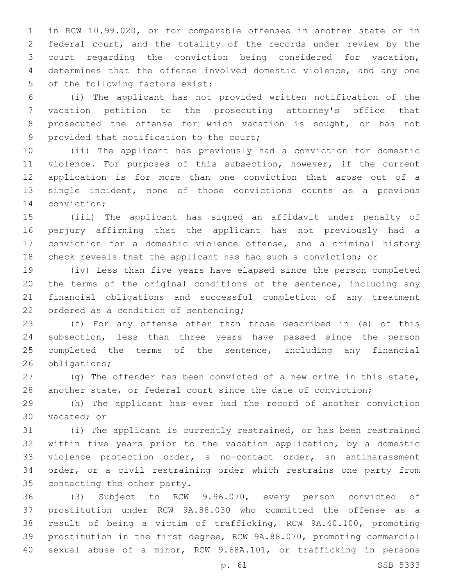in RCW 10.99.020, or for comparable offenses in another state or in federal court, and the totality of the records under review by the court regarding the conviction being considered for vacation, determines that the offense involved domestic violence, and any one 5 of the following factors exist:

 (i) The applicant has not provided written notification of the vacation petition to the prosecuting attorney's office that prosecuted the offense for which vacation is sought, or has not 9 provided that notification to the court;

 (ii) The applicant has previously had a conviction for domestic violence. For purposes of this subsection, however, if the current application is for more than one conviction that arose out of a single incident, none of those convictions counts as a previous 14 conviction;

 (iii) The applicant has signed an affidavit under penalty of perjury affirming that the applicant has not previously had a conviction for a domestic violence offense, and a criminal history check reveals that the applicant has had such a conviction; or

 (iv) Less than five years have elapsed since the person completed the terms of the original conditions of the sentence, including any financial obligations and successful completion of any treatment 22 ordered as a condition of sentencing;

 (f) For any offense other than those described in (e) of this subsection, less than three years have passed since the person 25 completed the terms of the sentence, including any financial 26 obligations;

27 (g) The offender has been convicted of a new crime in this state, another state, or federal court since the date of conviction;

 (h) The applicant has ever had the record of another conviction 30 vacated; or

 (i) The applicant is currently restrained, or has been restrained within five years prior to the vacation application, by a domestic violence protection order, a no-contact order, an antiharassment order, or a civil restraining order which restrains one party from 35 contacting the other party.

 (3) Subject to RCW 9.96.070, every person convicted of prostitution under RCW 9A.88.030 who committed the offense as a result of being a victim of trafficking, RCW 9A.40.100, promoting prostitution in the first degree, RCW 9A.88.070, promoting commercial sexual abuse of a minor, RCW 9.68A.101, or trafficking in persons

p. 61 SSB 5333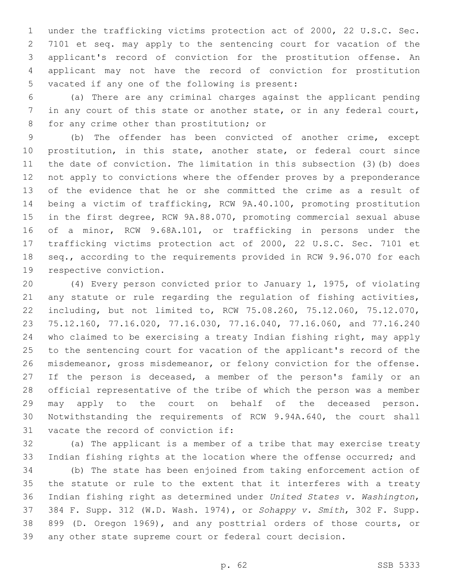under the trafficking victims protection act of 2000, 22 U.S.C. Sec. 7101 et seq. may apply to the sentencing court for vacation of the applicant's record of conviction for the prostitution offense. An applicant may not have the record of conviction for prostitution 5 vacated if any one of the following is present:

 (a) There are any criminal charges against the applicant pending in any court of this state or another state, or in any federal court, 8 for any crime other than prostitution; or

 (b) The offender has been convicted of another crime, except prostitution, in this state, another state, or federal court since the date of conviction. The limitation in this subsection (3)(b) does not apply to convictions where the offender proves by a preponderance of the evidence that he or she committed the crime as a result of being a victim of trafficking, RCW 9A.40.100, promoting prostitution in the first degree, RCW 9A.88.070, promoting commercial sexual abuse of a minor, RCW 9.68A.101, or trafficking in persons under the trafficking victims protection act of 2000, 22 U.S.C. Sec. 7101 et seq., according to the requirements provided in RCW 9.96.070 for each 19 respective conviction.

 (4) Every person convicted prior to January 1, 1975, of violating any statute or rule regarding the regulation of fishing activities, including, but not limited to, RCW 75.08.260, 75.12.060, 75.12.070, 75.12.160, 77.16.020, 77.16.030, 77.16.040, 77.16.060, and 77.16.240 who claimed to be exercising a treaty Indian fishing right, may apply to the sentencing court for vacation of the applicant's record of the misdemeanor, gross misdemeanor, or felony conviction for the offense. 27 If the person is deceased, a member of the person's family or an official representative of the tribe of which the person was a member may apply to the court on behalf of the deceased person. Notwithstanding the requirements of RCW 9.94A.640, the court shall 31 vacate the record of conviction if:

 (a) The applicant is a member of a tribe that may exercise treaty Indian fishing rights at the location where the offense occurred; and

 (b) The state has been enjoined from taking enforcement action of the statute or rule to the extent that it interferes with a treaty Indian fishing right as determined under *United States v. Washington*, 384 F. Supp. 312 (W.D. Wash. 1974), or *Sohappy v. Smith*, 302 F. Supp. 899 (D. Oregon 1969), and any posttrial orders of those courts, or any other state supreme court or federal court decision.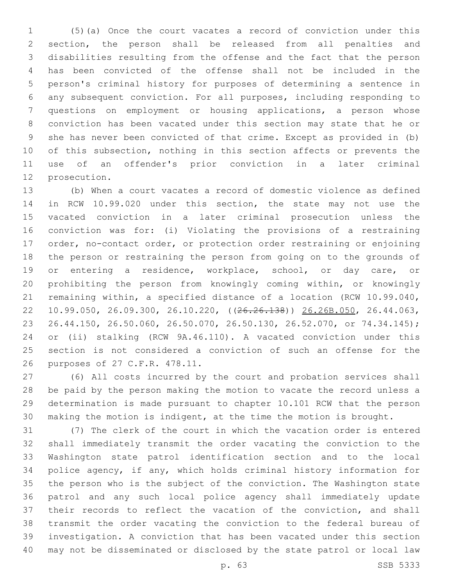(5)(a) Once the court vacates a record of conviction under this section, the person shall be released from all penalties and disabilities resulting from the offense and the fact that the person has been convicted of the offense shall not be included in the person's criminal history for purposes of determining a sentence in any subsequent conviction. For all purposes, including responding to questions on employment or housing applications, a person whose conviction has been vacated under this section may state that he or she has never been convicted of that crime. Except as provided in (b) 10 of this subsection, nothing in this section affects or prevents the use of an offender's prior conviction in a later criminal 12 prosecution.

 (b) When a court vacates a record of domestic violence as defined in RCW 10.99.020 under this section, the state may not use the vacated conviction in a later criminal prosecution unless the conviction was for: (i) Violating the provisions of a restraining order, no-contact order, or protection order restraining or enjoining the person or restraining the person from going on to the grounds of or entering a residence, workplace, school, or day care, or prohibiting the person from knowingly coming within, or knowingly remaining within, a specified distance of a location (RCW 10.99.040, 10.99.050, 26.09.300, 26.10.220, ((26.26.138)) 26.26B.050, 26.44.063, 26.44.150, 26.50.060, 26.50.070, 26.50.130, 26.52.070, or 74.34.145); or (ii) stalking (RCW 9A.46.110). A vacated conviction under this section is not considered a conviction of such an offense for the 26 purposes of 27 C.F.R. 478.11.

 (6) All costs incurred by the court and probation services shall be paid by the person making the motion to vacate the record unless a determination is made pursuant to chapter 10.101 RCW that the person making the motion is indigent, at the time the motion is brought.

 (7) The clerk of the court in which the vacation order is entered shall immediately transmit the order vacating the conviction to the Washington state patrol identification section and to the local police agency, if any, which holds criminal history information for the person who is the subject of the conviction. The Washington state patrol and any such local police agency shall immediately update their records to reflect the vacation of the conviction, and shall transmit the order vacating the conviction to the federal bureau of investigation. A conviction that has been vacated under this section may not be disseminated or disclosed by the state patrol or local law

p. 63 SSB 5333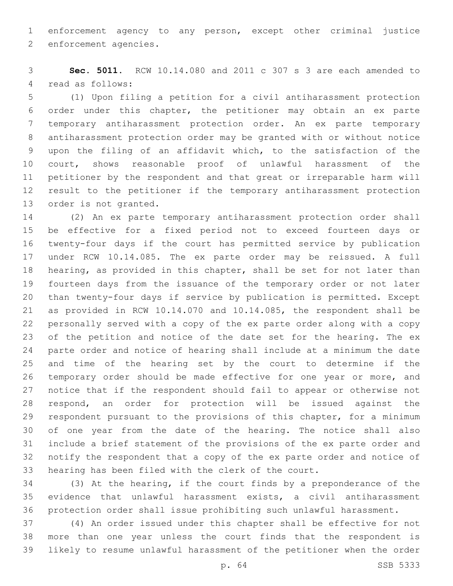enforcement agency to any person, except other criminal justice 2 enforcement agencies.

 **Sec. 5011.** RCW 10.14.080 and 2011 c 307 s 3 are each amended to 4 read as follows:

 (1) Upon filing a petition for a civil antiharassment protection order under this chapter, the petitioner may obtain an ex parte temporary antiharassment protection order. An ex parte temporary antiharassment protection order may be granted with or without notice upon the filing of an affidavit which, to the satisfaction of the court, shows reasonable proof of unlawful harassment of the petitioner by the respondent and that great or irreparable harm will result to the petitioner if the temporary antiharassment protection 13 order is not granted.

 (2) An ex parte temporary antiharassment protection order shall be effective for a fixed period not to exceed fourteen days or twenty-four days if the court has permitted service by publication under RCW 10.14.085. The ex parte order may be reissued. A full hearing, as provided in this chapter, shall be set for not later than fourteen days from the issuance of the temporary order or not later than twenty-four days if service by publication is permitted. Except as provided in RCW 10.14.070 and 10.14.085, the respondent shall be personally served with a copy of the ex parte order along with a copy of the petition and notice of the date set for the hearing. The ex parte order and notice of hearing shall include at a minimum the date and time of the hearing set by the court to determine if the temporary order should be made effective for one year or more, and notice that if the respondent should fail to appear or otherwise not respond, an order for protection will be issued against the respondent pursuant to the provisions of this chapter, for a minimum of one year from the date of the hearing. The notice shall also include a brief statement of the provisions of the ex parte order and notify the respondent that a copy of the ex parte order and notice of hearing has been filed with the clerk of the court.

 (3) At the hearing, if the court finds by a preponderance of the evidence that unlawful harassment exists, a civil antiharassment protection order shall issue prohibiting such unlawful harassment.

 (4) An order issued under this chapter shall be effective for not more than one year unless the court finds that the respondent is likely to resume unlawful harassment of the petitioner when the order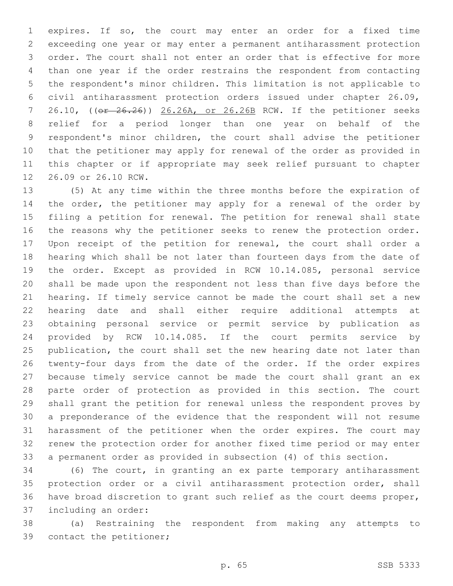expires. If so, the court may enter an order for a fixed time exceeding one year or may enter a permanent antiharassment protection order. The court shall not enter an order that is effective for more than one year if the order restrains the respondent from contacting the respondent's minor children. This limitation is not applicable to civil antiharassment protection orders issued under chapter 26.09, 7 26.10, ((or 26.26)) 26.26A, or 26.26B RCW. If the petitioner seeks relief for a period longer than one year on behalf of the respondent's minor children, the court shall advise the petitioner that the petitioner may apply for renewal of the order as provided in this chapter or if appropriate may seek relief pursuant to chapter 12 26.09 or 26.10 RCW.

 (5) At any time within the three months before the expiration of 14 the order, the petitioner may apply for a renewal of the order by filing a petition for renewal. The petition for renewal shall state the reasons why the petitioner seeks to renew the protection order. Upon receipt of the petition for renewal, the court shall order a hearing which shall be not later than fourteen days from the date of the order. Except as provided in RCW 10.14.085, personal service shall be made upon the respondent not less than five days before the hearing. If timely service cannot be made the court shall set a new hearing date and shall either require additional attempts at obtaining personal service or permit service by publication as provided by RCW 10.14.085. If the court permits service by publication, the court shall set the new hearing date not later than twenty-four days from the date of the order. If the order expires because timely service cannot be made the court shall grant an ex parte order of protection as provided in this section. The court shall grant the petition for renewal unless the respondent proves by a preponderance of the evidence that the respondent will not resume harassment of the petitioner when the order expires. The court may renew the protection order for another fixed time period or may enter a permanent order as provided in subsection (4) of this section.

 (6) The court, in granting an ex parte temporary antiharassment protection order or a civil antiharassment protection order, shall have broad discretion to grant such relief as the court deems proper, 37 including an order:

 (a) Restraining the respondent from making any attempts to 39 contact the petitioner;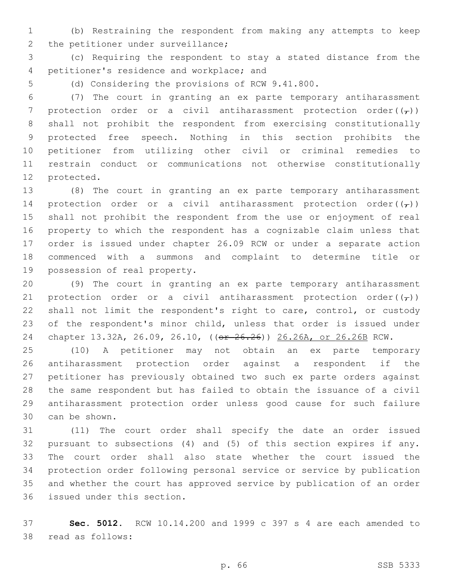(b) Restraining the respondent from making any attempts to keep 2 the petitioner under surveillance;

 (c) Requiring the respondent to stay a stated distance from the 4 petitioner's residence and workplace; and

(d) Considering the provisions of RCW 9.41.800.

 (7) The court in granting an ex parte temporary antiharassment 7 protection order or a civil antiharassment protection order( $(\tau)$ ) shall not prohibit the respondent from exercising constitutionally protected free speech. Nothing in this section prohibits the petitioner from utilizing other civil or criminal remedies to restrain conduct or communications not otherwise constitutionally 12 protected.

 (8) The court in granting an ex parte temporary antiharassment 14 protection order or a civil antiharassment protection order( $(\tau)$ ) shall not prohibit the respondent from the use or enjoyment of real property to which the respondent has a cognizable claim unless that order is issued under chapter 26.09 RCW or under a separate action commenced with a summons and complaint to determine title or 19 possession of real property.

 (9) The court in granting an ex parte temporary antiharassment 21 protection order or a civil antiharassment protection order( $(\tau)$ ) shall not limit the respondent's right to care, control, or custody of the respondent's minor child, unless that order is issued under chapter 13.32A, 26.09, 26.10, ((or 26.26)) 26.26A, or 26.26B RCW.

 (10) A petitioner may not obtain an ex parte temporary antiharassment protection order against a respondent if the petitioner has previously obtained two such ex parte orders against the same respondent but has failed to obtain the issuance of a civil antiharassment protection order unless good cause for such failure 30 can be shown.

 (11) The court order shall specify the date an order issued pursuant to subsections (4) and (5) of this section expires if any. The court order shall also state whether the court issued the protection order following personal service or service by publication and whether the court has approved service by publication of an order 36 issued under this section.

 **Sec. 5012.** RCW 10.14.200 and 1999 c 397 s 4 are each amended to 38 read as follows: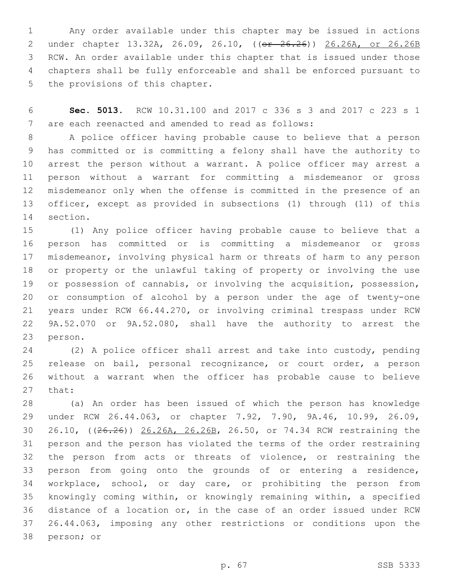Any order available under this chapter may be issued in actions under chapter 13.32A, 26.09, 26.10, ((or 26.26)) 26.26A, or 26.26B RCW. An order available under this chapter that is issued under those chapters shall be fully enforceable and shall be enforced pursuant to 5 the provisions of this chapter.

 **Sec. 5013.** RCW 10.31.100 and 2017 c 336 s 3 and 2017 c 223 s 1 7 are each reenacted and amended to read as follows:

 A police officer having probable cause to believe that a person has committed or is committing a felony shall have the authority to arrest the person without a warrant. A police officer may arrest a person without a warrant for committing a misdemeanor or gross misdemeanor only when the offense is committed in the presence of an officer, except as provided in subsections (1) through (11) of this 14 section.

 (1) Any police officer having probable cause to believe that a person has committed or is committing a misdemeanor or gross misdemeanor, involving physical harm or threats of harm to any person or property or the unlawful taking of property or involving the use or possession of cannabis, or involving the acquisition, possession, or consumption of alcohol by a person under the age of twenty-one years under RCW 66.44.270, or involving criminal trespass under RCW 9A.52.070 or 9A.52.080, shall have the authority to arrest the 23 person.

 (2) A police officer shall arrest and take into custody, pending release on bail, personal recognizance, or court order, a person without a warrant when the officer has probable cause to believe 27 that:

 (a) An order has been issued of which the person has knowledge under RCW 26.44.063, or chapter 7.92, 7.90, 9A.46, 10.99, 26.09, 26.10, ((26.26)) 26.26A, 26.26B, 26.50, or 74.34 RCW restraining the person and the person has violated the terms of the order restraining the person from acts or threats of violence, or restraining the person from going onto the grounds of or entering a residence, workplace, school, or day care, or prohibiting the person from knowingly coming within, or knowingly remaining within, a specified distance of a location or, in the case of an order issued under RCW 26.44.063, imposing any other restrictions or conditions upon the 38 person; or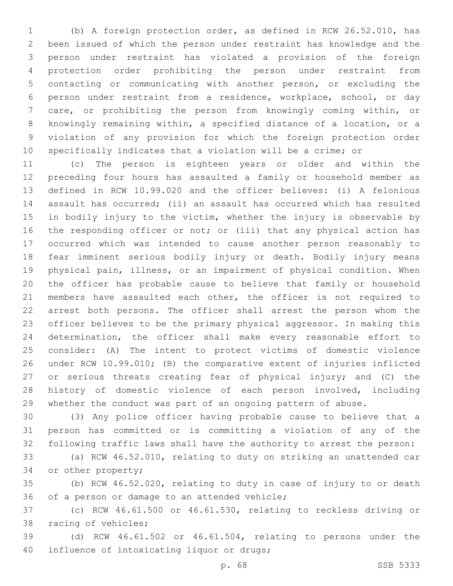(b) A foreign protection order, as defined in RCW 26.52.010, has been issued of which the person under restraint has knowledge and the person under restraint has violated a provision of the foreign protection order prohibiting the person under restraint from contacting or communicating with another person, or excluding the person under restraint from a residence, workplace, school, or day care, or prohibiting the person from knowingly coming within, or knowingly remaining within, a specified distance of a location, or a violation of any provision for which the foreign protection order specifically indicates that a violation will be a crime; or

 (c) The person is eighteen years or older and within the preceding four hours has assaulted a family or household member as defined in RCW 10.99.020 and the officer believes: (i) A felonious assault has occurred; (ii) an assault has occurred which has resulted 15 in bodily injury to the victim, whether the injury is observable by the responding officer or not; or (iii) that any physical action has occurred which was intended to cause another person reasonably to fear imminent serious bodily injury or death. Bodily injury means physical pain, illness, or an impairment of physical condition. When the officer has probable cause to believe that family or household 21 members have assaulted each other, the officer is not required to arrest both persons. The officer shall arrest the person whom the officer believes to be the primary physical aggressor. In making this determination, the officer shall make every reasonable effort to consider: (A) The intent to protect victims of domestic violence under RCW 10.99.010; (B) the comparative extent of injuries inflicted 27 or serious threats creating fear of physical injury; and (C) the history of domestic violence of each person involved, including whether the conduct was part of an ongoing pattern of abuse.

 (3) Any police officer having probable cause to believe that a person has committed or is committing a violation of any of the following traffic laws shall have the authority to arrest the person:

 (a) RCW 46.52.010, relating to duty on striking an unattended car 34 or other property;

 (b) RCW 46.52.020, relating to duty in case of injury to or death 36 of a person or damage to an attended vehicle;

 (c) RCW 46.61.500 or 46.61.530, relating to reckless driving or 38 racing of vehicles;

 (d) RCW 46.61.502 or 46.61.504, relating to persons under the 40 influence of intoxicating liquor or drugs;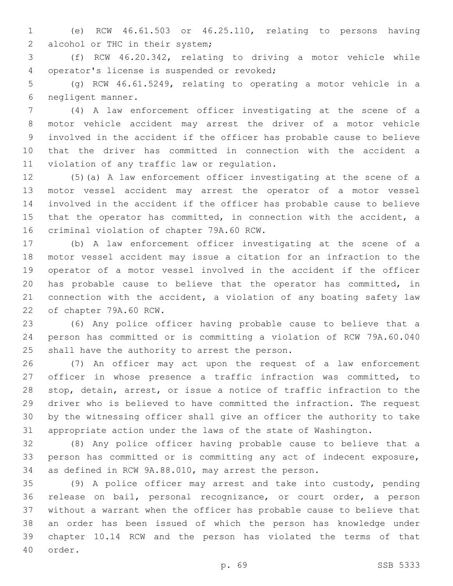(e) RCW 46.61.503 or 46.25.110, relating to persons having 2 alcohol or THC in their system;

 (f) RCW 46.20.342, relating to driving a motor vehicle while 4 operator's license is suspended or revoked;

 (g) RCW 46.61.5249, relating to operating a motor vehicle in a 6 negligent manner.

 (4) A law enforcement officer investigating at the scene of a motor vehicle accident may arrest the driver of a motor vehicle involved in the accident if the officer has probable cause to believe that the driver has committed in connection with the accident a 11 violation of any traffic law or regulation.

 (5)(a) A law enforcement officer investigating at the scene of a motor vessel accident may arrest the operator of a motor vessel involved in the accident if the officer has probable cause to believe that the operator has committed, in connection with the accident, a 16 criminal violation of chapter 79A.60 RCW.

 (b) A law enforcement officer investigating at the scene of a motor vessel accident may issue a citation for an infraction to the operator of a motor vessel involved in the accident if the officer has probable cause to believe that the operator has committed, in connection with the accident, a violation of any boating safety law 22 of chapter 79A.60 RCW.

 (6) Any police officer having probable cause to believe that a person has committed or is committing a violation of RCW 79A.60.040 25 shall have the authority to arrest the person.

 (7) An officer may act upon the request of a law enforcement officer in whose presence a traffic infraction was committed, to stop, detain, arrest, or issue a notice of traffic infraction to the driver who is believed to have committed the infraction. The request by the witnessing officer shall give an officer the authority to take appropriate action under the laws of the state of Washington.

 (8) Any police officer having probable cause to believe that a person has committed or is committing any act of indecent exposure, as defined in RCW 9A.88.010, may arrest the person.

 (9) A police officer may arrest and take into custody, pending release on bail, personal recognizance, or court order, a person without a warrant when the officer has probable cause to believe that an order has been issued of which the person has knowledge under chapter 10.14 RCW and the person has violated the terms of that 40 order.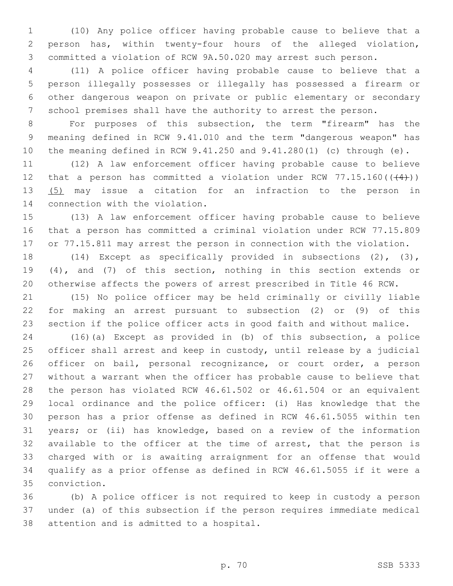(10) Any police officer having probable cause to believe that a person has, within twenty-four hours of the alleged violation, committed a violation of RCW 9A.50.020 may arrest such person.

 (11) A police officer having probable cause to believe that a person illegally possesses or illegally has possessed a firearm or other dangerous weapon on private or public elementary or secondary school premises shall have the authority to arrest the person.

 For purposes of this subsection, the term "firearm" has the meaning defined in RCW 9.41.010 and the term "dangerous weapon" has the meaning defined in RCW 9.41.250 and 9.41.280(1) (c) through (e).

 (12) A law enforcement officer having probable cause to believe 12 that a person has committed a violation under RCW  $77.15.160$  ( $(44)$ )) (5) may issue a citation for an infraction to the person in 14 connection with the violation.

 (13) A law enforcement officer having probable cause to believe that a person has committed a criminal violation under RCW 77.15.809 or 77.15.811 may arrest the person in connection with the violation.

 (14) Except as specifically provided in subsections (2), (3), (4), and (7) of this section, nothing in this section extends or otherwise affects the powers of arrest prescribed in Title 46 RCW.

 (15) No police officer may be held criminally or civilly liable for making an arrest pursuant to subsection (2) or (9) of this section if the police officer acts in good faith and without malice.

 (16)(a) Except as provided in (b) of this subsection, a police officer shall arrest and keep in custody, until release by a judicial 26 officer on bail, personal recognizance, or court order, a person without a warrant when the officer has probable cause to believe that the person has violated RCW 46.61.502 or 46.61.504 or an equivalent local ordinance and the police officer: (i) Has knowledge that the person has a prior offense as defined in RCW 46.61.5055 within ten years; or (ii) has knowledge, based on a review of the information available to the officer at the time of arrest, that the person is charged with or is awaiting arraignment for an offense that would qualify as a prior offense as defined in RCW 46.61.5055 if it were a conviction.35

 (b) A police officer is not required to keep in custody a person under (a) of this subsection if the person requires immediate medical 38 attention and is admitted to a hospital.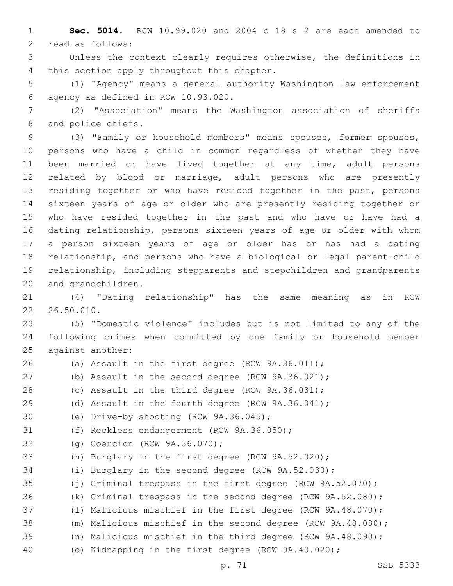**Sec. 5014.** RCW 10.99.020 and 2004 c 18 s 2 are each amended to 2 read as follows:

 Unless the context clearly requires otherwise, the definitions in 4 this section apply throughout this chapter.

 (1) "Agency" means a general authority Washington law enforcement agency as defined in RCW 10.93.020.6

 (2) "Association" means the Washington association of sheriffs 8 and police chiefs.

 (3) "Family or household members" means spouses, former spouses, persons who have a child in common regardless of whether they have been married or have lived together at any time, adult persons related by blood or marriage, adult persons who are presently residing together or who have resided together in the past, persons sixteen years of age or older who are presently residing together or who have resided together in the past and who have or have had a dating relationship, persons sixteen years of age or older with whom a person sixteen years of age or older has or has had a dating relationship, and persons who have a biological or legal parent-child relationship, including stepparents and stepchildren and grandparents 20 and grandchildren.

 (4) "Dating relationship" has the same meaning as in RCW 26.50.010.

 (5) "Domestic violence" includes but is not limited to any of the following crimes when committed by one family or household member 25 against another:

 (a) Assault in the first degree (RCW 9A.36.011); (b) Assault in the second degree (RCW 9A.36.021); (c) Assault in the third degree (RCW 9A.36.031); (d) Assault in the fourth degree (RCW 9A.36.041); 30 (e) Drive-by shooting (RCW 9A.36.045); 31 (f) Reckless endangerment (RCW 9A.36.050); 32 (g) Coercion (RCW 9A.36.070); (h) Burglary in the first degree (RCW 9A.52.020); (i) Burglary in the second degree (RCW 9A.52.030); (j) Criminal trespass in the first degree (RCW 9A.52.070); (k) Criminal trespass in the second degree (RCW 9A.52.080); (l) Malicious mischief in the first degree (RCW 9A.48.070); (m) Malicious mischief in the second degree (RCW 9A.48.080); (n) Malicious mischief in the third degree (RCW 9A.48.090); (o) Kidnapping in the first degree (RCW 9A.40.020);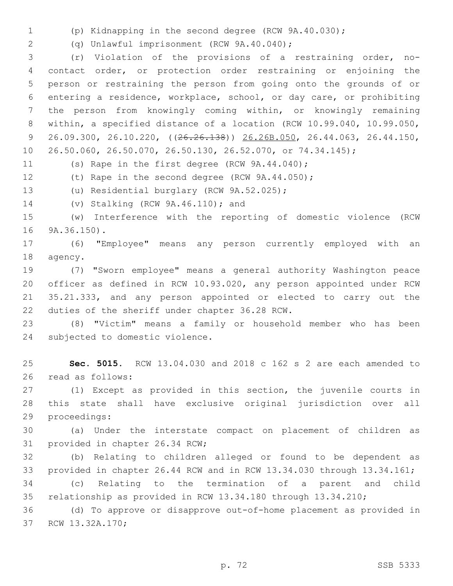(p) Kidnapping in the second degree (RCW 9A.40.030);

(q) Unlawful imprisonment (RCW 9A.40.040);2

 (r) Violation of the provisions of a restraining order, no- contact order, or protection order restraining or enjoining the person or restraining the person from going onto the grounds of or entering a residence, workplace, school, or day care, or prohibiting the person from knowingly coming within, or knowingly remaining within, a specified distance of a location (RCW 10.99.040, 10.99.050, 26.09.300, 26.10.220, ((26.26.138)) 26.26B.050, 26.44.063, 26.44.150, 26.50.060, 26.50.070, 26.50.130, 26.52.070, or 74.34.145);

11 (s) Rape in the first degree (RCW 9A.44.040);

(t) Rape in the second degree (RCW 9A.44.050);

13 (u) Residential burglary (RCW 9A.52.025);

14 (v) Stalking (RCW 9A.46.110); and

 (w) Interference with the reporting of domestic violence (RCW 16 9A.36.150).

 (6) "Employee" means any person currently employed with an 18 agency.

 (7) "Sworn employee" means a general authority Washington peace officer as defined in RCW 10.93.020, any person appointed under RCW 35.21.333, and any person appointed or elected to carry out the 22 duties of the sheriff under chapter 36.28 RCW.

 (8) "Victim" means a family or household member who has been 24 subjected to domestic violence.

 **Sec. 5015.** RCW 13.04.030 and 2018 c 162 s 2 are each amended to 26 read as follows:

 (1) Except as provided in this section, the juvenile courts in this state shall have exclusive original jurisdiction over all 29 proceedings:

 (a) Under the interstate compact on placement of children as 31 provided in chapter 26.34 RCW;

 (b) Relating to children alleged or found to be dependent as provided in chapter 26.44 RCW and in RCW 13.34.030 through 13.34.161;

 (c) Relating to the termination of a parent and child relationship as provided in RCW 13.34.180 through 13.34.210;

 (d) To approve or disapprove out-of-home placement as provided in 37 RCW 13.32A.170;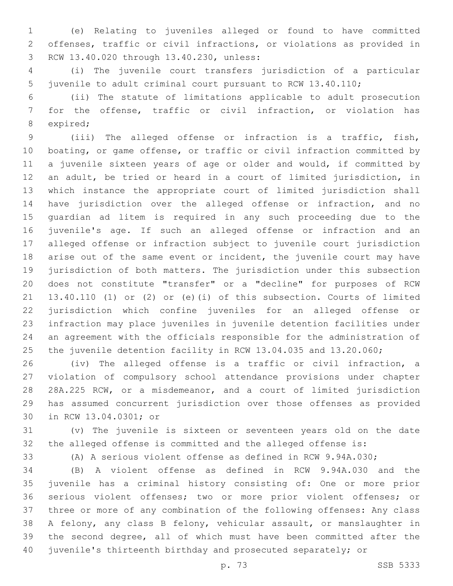(e) Relating to juveniles alleged or found to have committed offenses, traffic or civil infractions, or violations as provided in 8 RCW 13.40.020 through 13.40.230, unless:

 (i) The juvenile court transfers jurisdiction of a particular juvenile to adult criminal court pursuant to RCW 13.40.110;

 (ii) The statute of limitations applicable to adult prosecution for the offense, traffic or civil infraction, or violation has 8 expired;

 (iii) The alleged offense or infraction is a traffic, fish, boating, or game offense, or traffic or civil infraction committed by a juvenile sixteen years of age or older and would, if committed by an adult, be tried or heard in a court of limited jurisdiction, in which instance the appropriate court of limited jurisdiction shall have jurisdiction over the alleged offense or infraction, and no guardian ad litem is required in any such proceeding due to the juvenile's age. If such an alleged offense or infraction and an alleged offense or infraction subject to juvenile court jurisdiction arise out of the same event or incident, the juvenile court may have jurisdiction of both matters. The jurisdiction under this subsection does not constitute "transfer" or a "decline" for purposes of RCW 13.40.110 (1) or (2) or (e)(i) of this subsection. Courts of limited jurisdiction which confine juveniles for an alleged offense or infraction may place juveniles in juvenile detention facilities under an agreement with the officials responsible for the administration of 25 the juvenile detention facility in RCW 13.04.035 and 13.20.060;

 (iv) The alleged offense is a traffic or civil infraction, a violation of compulsory school attendance provisions under chapter 28A.225 RCW, or a misdemeanor, and a court of limited jurisdiction has assumed concurrent jurisdiction over those offenses as provided 30 in RCW 13.04.0301; or

 (v) The juvenile is sixteen or seventeen years old on the date the alleged offense is committed and the alleged offense is:

(A) A serious violent offense as defined in RCW 9.94A.030;

 (B) A violent offense as defined in RCW 9.94A.030 and the juvenile has a criminal history consisting of: One or more prior serious violent offenses; two or more prior violent offenses; or three or more of any combination of the following offenses: Any class A felony, any class B felony, vehicular assault, or manslaughter in the second degree, all of which must have been committed after the juvenile's thirteenth birthday and prosecuted separately; or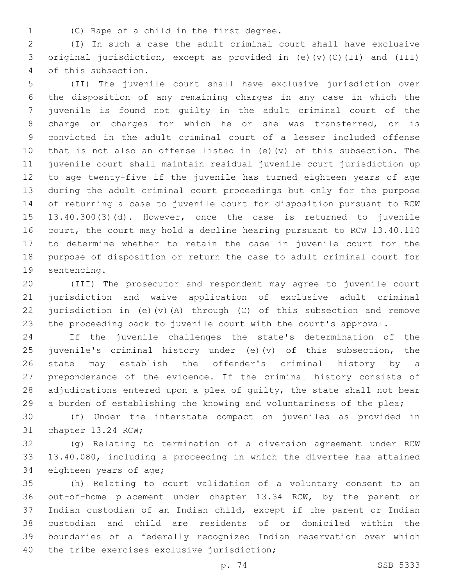1 (C) Rape of a child in the first degree.

 (I) In such a case the adult criminal court shall have exclusive original jurisdiction, except as provided in (e)(v)(C)(II) and (III) 4 of this subsection.

 (II) The juvenile court shall have exclusive jurisdiction over the disposition of any remaining charges in any case in which the juvenile is found not guilty in the adult criminal court of the charge or charges for which he or she was transferred, or is convicted in the adult criminal court of a lesser included offense that is not also an offense listed in (e)(v) of this subsection. The juvenile court shall maintain residual juvenile court jurisdiction up to age twenty-five if the juvenile has turned eighteen years of age during the adult criminal court proceedings but only for the purpose of returning a case to juvenile court for disposition pursuant to RCW 13.40.300(3)(d). However, once the case is returned to juvenile court, the court may hold a decline hearing pursuant to RCW 13.40.110 to determine whether to retain the case in juvenile court for the purpose of disposition or return the case to adult criminal court for 19 sentencing.

 (III) The prosecutor and respondent may agree to juvenile court jurisdiction and waive application of exclusive adult criminal jurisdiction in (e)(v)(A) through (C) of this subsection and remove the proceeding back to juvenile court with the court's approval.

 If the juvenile challenges the state's determination of the juvenile's criminal history under (e)(v) of this subsection, the state may establish the offender's criminal history by a preponderance of the evidence. If the criminal history consists of 28 adjudications entered upon a plea of quilty, the state shall not bear 29 a burden of establishing the knowing and voluntariness of the plea;

 (f) Under the interstate compact on juveniles as provided in 31 chapter 13.24 RCW;

 (g) Relating to termination of a diversion agreement under RCW 13.40.080, including a proceeding in which the divertee has attained 34 eighteen years of age;

 (h) Relating to court validation of a voluntary consent to an out-of-home placement under chapter 13.34 RCW, by the parent or Indian custodian of an Indian child, except if the parent or Indian custodian and child are residents of or domiciled within the boundaries of a federally recognized Indian reservation over which 40 the tribe exercises exclusive jurisdiction;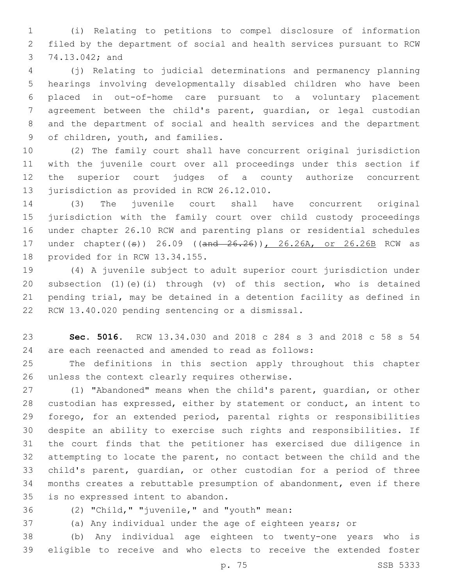(i) Relating to petitions to compel disclosure of information filed by the department of social and health services pursuant to RCW 3 74.13.042; and

 (j) Relating to judicial determinations and permanency planning hearings involving developmentally disabled children who have been placed in out-of-home care pursuant to a voluntary placement agreement between the child's parent, guardian, or legal custodian and the department of social and health services and the department 9 of children, youth, and families.

 (2) The family court shall have concurrent original jurisdiction with the juvenile court over all proceedings under this section if the superior court judges of a county authorize concurrent 13 jurisdiction as provided in RCW 26.12.010.

 (3) The juvenile court shall have concurrent original jurisdiction with the family court over child custody proceedings under chapter 26.10 RCW and parenting plans or residential schedules 17 under chapter((s)) 26.09 ((and 26.26)), 26.26A, or 26.26B RCW as 18 provided for in RCW 13.34.155.

 (4) A juvenile subject to adult superior court jurisdiction under subsection (1)(e)(i) through (v) of this section, who is detained pending trial, may be detained in a detention facility as defined in 22 RCW 13.40.020 pending sentencing or a dismissal.

 **Sec. 5016.** RCW 13.34.030 and 2018 c 284 s 3 and 2018 c 58 s 54 are each reenacted and amended to read as follows:

 The definitions in this section apply throughout this chapter 26 unless the context clearly requires otherwise.

 (1) "Abandoned" means when the child's parent, guardian, or other custodian has expressed, either by statement or conduct, an intent to forego, for an extended period, parental rights or responsibilities despite an ability to exercise such rights and responsibilities. If the court finds that the petitioner has exercised due diligence in attempting to locate the parent, no contact between the child and the child's parent, guardian, or other custodian for a period of three months creates a rebuttable presumption of abandonment, even if there 35 is no expressed intent to abandon.

(2) "Child," "juvenile," and "youth" mean:36

(a) Any individual under the age of eighteen years; or

 (b) Any individual age eighteen to twenty-one years who is eligible to receive and who elects to receive the extended foster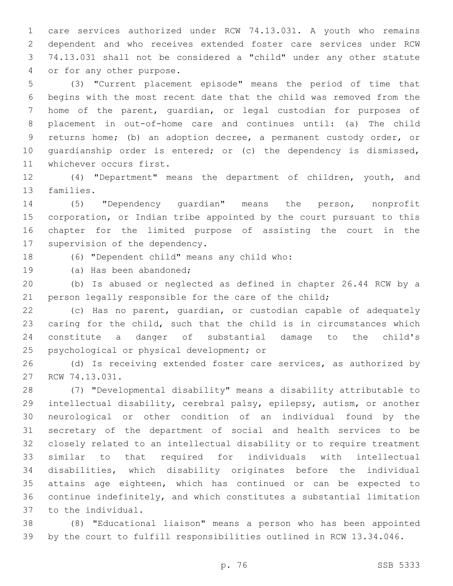care services authorized under RCW 74.13.031. A youth who remains dependent and who receives extended foster care services under RCW 74.13.031 shall not be considered a "child" under any other statute 4 or for any other purpose.

 (3) "Current placement episode" means the period of time that begins with the most recent date that the child was removed from the home of the parent, guardian, or legal custodian for purposes of placement in out-of-home care and continues until: (a) The child returns home; (b) an adoption decree, a permanent custody order, or guardianship order is entered; or (c) the dependency is dismissed, 11 whichever occurs first.

 (4) "Department" means the department of children, youth, and 13 families.

 (5) "Dependency guardian" means the person, nonprofit corporation, or Indian tribe appointed by the court pursuant to this chapter for the limited purpose of assisting the court in the 17 supervision of the dependency.

18 (6) "Dependent child" means any child who:

19 (a) Has been abandoned;

 (b) Is abused or neglected as defined in chapter 26.44 RCW by a person legally responsible for the care of the child;

 (c) Has no parent, guardian, or custodian capable of adequately caring for the child, such that the child is in circumstances which constitute a danger of substantial damage to the child's 25 psychological or physical development; or

 (d) Is receiving extended foster care services, as authorized by 27 RCW 74.13.031.

 (7) "Developmental disability" means a disability attributable to intellectual disability, cerebral palsy, epilepsy, autism, or another neurological or other condition of an individual found by the secretary of the department of social and health services to be closely related to an intellectual disability or to require treatment similar to that required for individuals with intellectual disabilities, which disability originates before the individual attains age eighteen, which has continued or can be expected to continue indefinitely, and which constitutes a substantial limitation 37 to the individual.

 (8) "Educational liaison" means a person who has been appointed by the court to fulfill responsibilities outlined in RCW 13.34.046.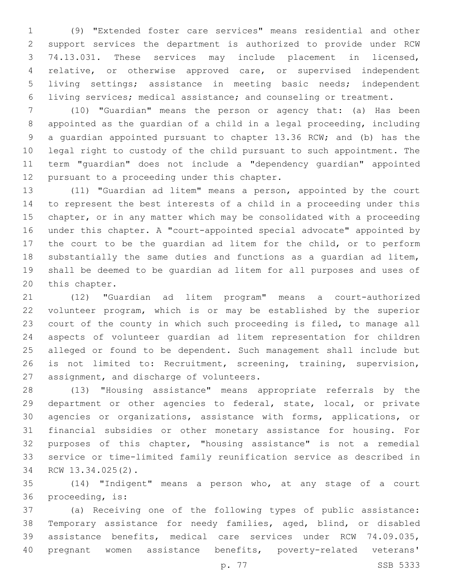(9) "Extended foster care services" means residential and other support services the department is authorized to provide under RCW 74.13.031. These services may include placement in licensed, relative, or otherwise approved care, or supervised independent living settings; assistance in meeting basic needs; independent living services; medical assistance; and counseling or treatment.

 (10) "Guardian" means the person or agency that: (a) Has been appointed as the guardian of a child in a legal proceeding, including a guardian appointed pursuant to chapter 13.36 RCW; and (b) has the legal right to custody of the child pursuant to such appointment. The term "guardian" does not include a "dependency guardian" appointed 12 pursuant to a proceeding under this chapter.

 (11) "Guardian ad litem" means a person, appointed by the court to represent the best interests of a child in a proceeding under this chapter, or in any matter which may be consolidated with a proceeding under this chapter. A "court-appointed special advocate" appointed by the court to be the guardian ad litem for the child, or to perform substantially the same duties and functions as a guardian ad litem, shall be deemed to be guardian ad litem for all purposes and uses of 20 this chapter.

 (12) "Guardian ad litem program" means a court-authorized volunteer program, which is or may be established by the superior court of the county in which such proceeding is filed, to manage all aspects of volunteer guardian ad litem representation for children alleged or found to be dependent. Such management shall include but is not limited to: Recruitment, screening, training, supervision, 27 assignment, and discharge of volunteers.

 (13) "Housing assistance" means appropriate referrals by the 29 department or other agencies to federal, state, local, or private agencies or organizations, assistance with forms, applications, or financial subsidies or other monetary assistance for housing. For purposes of this chapter, "housing assistance" is not a remedial service or time-limited family reunification service as described in 34 RCW 13.34.025(2).

 (14) "Indigent" means a person who, at any stage of a court 36 proceeding, is:

 (a) Receiving one of the following types of public assistance: Temporary assistance for needy families, aged, blind, or disabled assistance benefits, medical care services under RCW 74.09.035, pregnant women assistance benefits, poverty-related veterans'

p. 77 SSB 5333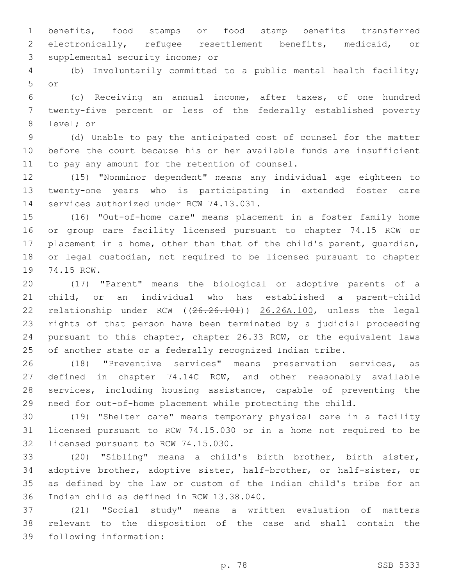benefits, food stamps or food stamp benefits transferred electronically, refugee resettlement benefits, medicaid, or 3 supplemental security income; or

 (b) Involuntarily committed to a public mental health facility; or5

 (c) Receiving an annual income, after taxes, of one hundred twenty-five percent or less of the federally established poverty 8 level; or

 (d) Unable to pay the anticipated cost of counsel for the matter before the court because his or her available funds are insufficient 11 to pay any amount for the retention of counsel.

 (15) "Nonminor dependent" means any individual age eighteen to twenty-one years who is participating in extended foster care 14 services authorized under RCW 74.13.031.

 (16) "Out-of-home care" means placement in a foster family home or group care facility licensed pursuant to chapter 74.15 RCW or placement in a home, other than that of the child's parent, guardian, or legal custodian, not required to be licensed pursuant to chapter 19 74.15 RCW.

 (17) "Parent" means the biological or adoptive parents of a child, or an individual who has established a parent-child 22 relationship under RCW ((26.26.101)) 26.26A.100, unless the legal rights of that person have been terminated by a judicial proceeding pursuant to this chapter, chapter 26.33 RCW, or the equivalent laws of another state or a federally recognized Indian tribe.

 (18) "Preventive services" means preservation services, as defined in chapter 74.14C RCW, and other reasonably available services, including housing assistance, capable of preventing the need for out-of-home placement while protecting the child.

 (19) "Shelter care" means temporary physical care in a facility licensed pursuant to RCW 74.15.030 or in a home not required to be 32 licensed pursuant to RCW 74.15.030.

 (20) "Sibling" means a child's birth brother, birth sister, adoptive brother, adoptive sister, half-brother, or half-sister, or as defined by the law or custom of the Indian child's tribe for an 36 Indian child as defined in RCW 13.38.040.

 (21) "Social study" means a written evaluation of matters relevant to the disposition of the case and shall contain the 39 following information: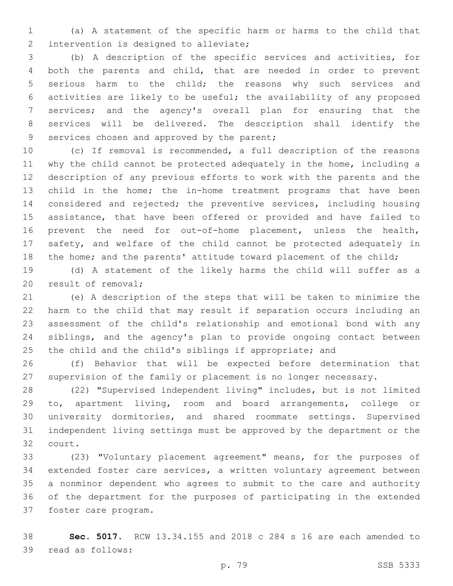(a) A statement of the specific harm or harms to the child that 2 intervention is designed to alleviate;

 (b) A description of the specific services and activities, for both the parents and child, that are needed in order to prevent serious harm to the child; the reasons why such services and activities are likely to be useful; the availability of any proposed services; and the agency's overall plan for ensuring that the services will be delivered. The description shall identify the 9 services chosen and approved by the parent;

 (c) If removal is recommended, a full description of the reasons why the child cannot be protected adequately in the home, including a description of any previous efforts to work with the parents and the 13 child in the home; the in-home treatment programs that have been considered and rejected; the preventive services, including housing assistance, that have been offered or provided and have failed to prevent the need for out-of-home placement, unless the health, safety, and welfare of the child cannot be protected adequately in 18 the home; and the parents' attitude toward placement of the child;

 (d) A statement of the likely harms the child will suffer as a 20 result of removal;

 (e) A description of the steps that will be taken to minimize the harm to the child that may result if separation occurs including an assessment of the child's relationship and emotional bond with any siblings, and the agency's plan to provide ongoing contact between 25 the child and the child's siblings if appropriate; and

 (f) Behavior that will be expected before determination that supervision of the family or placement is no longer necessary.

 (22) "Supervised independent living" includes, but is not limited to, apartment living, room and board arrangements, college or university dormitories, and shared roommate settings. Supervised independent living settings must be approved by the department or the 32 court.

 (23) "Voluntary placement agreement" means, for the purposes of extended foster care services, a written voluntary agreement between a nonminor dependent who agrees to submit to the care and authority of the department for the purposes of participating in the extended 37 foster care program.

 **Sec. 5017.** RCW 13.34.155 and 2018 c 284 s 16 are each amended to 39 read as follows: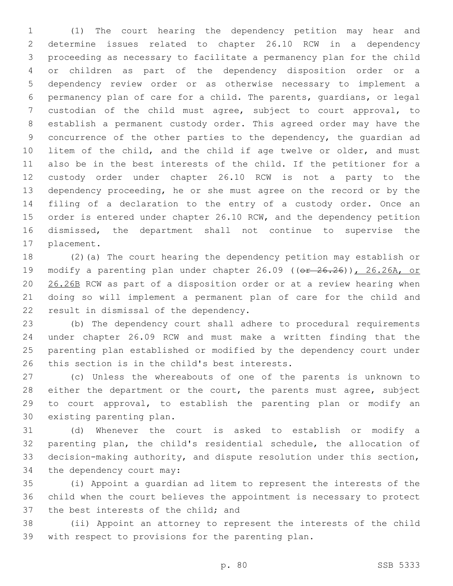(1) The court hearing the dependency petition may hear and determine issues related to chapter 26.10 RCW in a dependency proceeding as necessary to facilitate a permanency plan for the child or children as part of the dependency disposition order or a dependency review order or as otherwise necessary to implement a permanency plan of care for a child. The parents, guardians, or legal custodian of the child must agree, subject to court approval, to establish a permanent custody order. This agreed order may have the concurrence of the other parties to the dependency, the guardian ad litem of the child, and the child if age twelve or older, and must also be in the best interests of the child. If the petitioner for a custody order under chapter 26.10 RCW is not a party to the dependency proceeding, he or she must agree on the record or by the filing of a declaration to the entry of a custody order. Once an 15 order is entered under chapter 26.10 RCW, and the dependency petition dismissed, the department shall not continue to supervise the 17 placement.

 (2)(a) The court hearing the dependency petition may establish or 19 modify a parenting plan under chapter 26.09 ((or 26.26)), 26.26A, or 26.26B RCW as part of a disposition order or at a review hearing when doing so will implement a permanent plan of care for the child and 22 result in dismissal of the dependency.

 (b) The dependency court shall adhere to procedural requirements under chapter 26.09 RCW and must make a written finding that the parenting plan established or modified by the dependency court under 26 this section is in the child's best interests.

 (c) Unless the whereabouts of one of the parents is unknown to 28 either the department or the court, the parents must agree, subject to court approval, to establish the parenting plan or modify an 30 existing parenting plan.

 (d) Whenever the court is asked to establish or modify a parenting plan, the child's residential schedule, the allocation of decision-making authority, and dispute resolution under this section, 34 the dependency court may:

 (i) Appoint a guardian ad litem to represent the interests of the child when the court believes the appointment is necessary to protect 37 the best interests of the child; and

 (ii) Appoint an attorney to represent the interests of the child with respect to provisions for the parenting plan.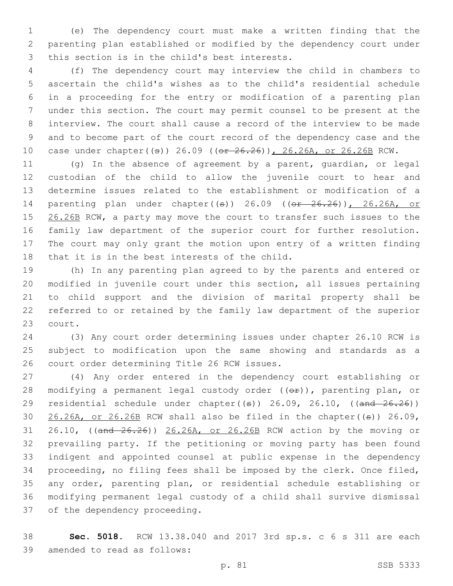(e) The dependency court must make a written finding that the parenting plan established or modified by the dependency court under 3 this section is in the child's best interests.

 (f) The dependency court may interview the child in chambers to ascertain the child's wishes as to the child's residential schedule in a proceeding for the entry or modification of a parenting plan under this section. The court may permit counsel to be present at the interview. The court shall cause a record of the interview to be made and to become part of the court record of the dependency case and the 10 case under chapter((s)) 26.09 ((or 26.26)), 26.26A, or 26.26B RCW.

 (g) In the absence of agreement by a parent, guardian, or legal custodian of the child to allow the juvenile court to hear and determine issues related to the establishment or modification of a 14 parenting plan under chapter((s)) 26.09 ((er 26.26)), 26.26A, or 15 26.26B RCW, a party may move the court to transfer such issues to the family law department of the superior court for further resolution. The court may only grant the motion upon entry of a written finding 18 that it is in the best interests of the child.

 (h) In any parenting plan agreed to by the parents and entered or modified in juvenile court under this section, all issues pertaining to child support and the division of marital property shall be referred to or retained by the family law department of the superior 23 court.

 (3) Any court order determining issues under chapter 26.10 RCW is subject to modification upon the same showing and standards as a 26 court order determining Title 26 RCW issues.

 (4) Any order entered in the dependency court establishing or 28 modifying a permanent legal custody order ((or)), parenting plan, or 29 residential schedule under chapter( $(\pm)$ ) 26.09, 26.10, ( $(\text{and } 26.26)$ )  $26.26A$ , or  $26.26B$  RCW shall also be filed in the chapter(( $\theta$ )) 26.09, 31 26.10, ((and  $26.26$ )) 26.26A, or 26.26B RCW action by the moving or prevailing party. If the petitioning or moving party has been found indigent and appointed counsel at public expense in the dependency proceeding, no filing fees shall be imposed by the clerk. Once filed, any order, parenting plan, or residential schedule establishing or modifying permanent legal custody of a child shall survive dismissal 37 of the dependency proceeding.

 **Sec. 5018.** RCW 13.38.040 and 2017 3rd sp.s. c 6 s 311 are each 39 amended to read as follows: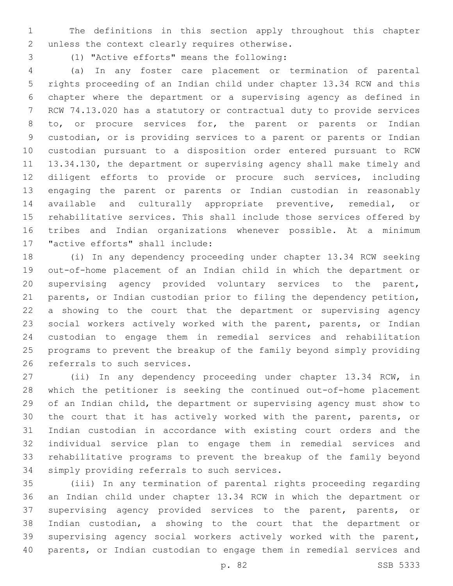The definitions in this section apply throughout this chapter 2 unless the context clearly requires otherwise.

(1) "Active efforts" means the following:3

 (a) In any foster care placement or termination of parental rights proceeding of an Indian child under chapter 13.34 RCW and this chapter where the department or a supervising agency as defined in RCW 74.13.020 has a statutory or contractual duty to provide services 8 to, or procure services for, the parent or parents or Indian custodian, or is providing services to a parent or parents or Indian custodian pursuant to a disposition order entered pursuant to RCW 13.34.130, the department or supervising agency shall make timely and diligent efforts to provide or procure such services, including engaging the parent or parents or Indian custodian in reasonably available and culturally appropriate preventive, remedial, or rehabilitative services. This shall include those services offered by tribes and Indian organizations whenever possible. At a minimum 17 "active efforts" shall include:

 (i) In any dependency proceeding under chapter 13.34 RCW seeking out-of-home placement of an Indian child in which the department or supervising agency provided voluntary services to the parent, parents, or Indian custodian prior to filing the dependency petition, a showing to the court that the department or supervising agency social workers actively worked with the parent, parents, or Indian custodian to engage them in remedial services and rehabilitation programs to prevent the breakup of the family beyond simply providing 26 referrals to such services.

 (ii) In any dependency proceeding under chapter 13.34 RCW, in which the petitioner is seeking the continued out-of-home placement of an Indian child, the department or supervising agency must show to the court that it has actively worked with the parent, parents, or Indian custodian in accordance with existing court orders and the individual service plan to engage them in remedial services and rehabilitative programs to prevent the breakup of the family beyond 34 simply providing referrals to such services.

 (iii) In any termination of parental rights proceeding regarding an Indian child under chapter 13.34 RCW in which the department or supervising agency provided services to the parent, parents, or Indian custodian, a showing to the court that the department or supervising agency social workers actively worked with the parent, parents, or Indian custodian to engage them in remedial services and

p. 82 SSB 5333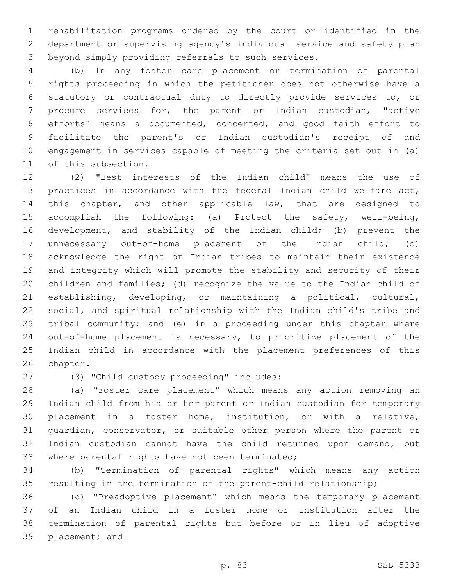rehabilitation programs ordered by the court or identified in the department or supervising agency's individual service and safety plan beyond simply providing referrals to such services.

 (b) In any foster care placement or termination of parental rights proceeding in which the petitioner does not otherwise have a statutory or contractual duty to directly provide services to, or procure services for, the parent or Indian custodian, "active efforts" means a documented, concerted, and good faith effort to facilitate the parent's or Indian custodian's receipt of and engagement in services capable of meeting the criteria set out in (a) 11 of this subsection.

 (2) "Best interests of the Indian child" means the use of practices in accordance with the federal Indian child welfare act, this chapter, and other applicable law, that are designed to accomplish the following: (a) Protect the safety, well-being, development, and stability of the Indian child; (b) prevent the unnecessary out-of-home placement of the Indian child; (c) acknowledge the right of Indian tribes to maintain their existence and integrity which will promote the stability and security of their children and families; (d) recognize the value to the Indian child of establishing, developing, or maintaining a political, cultural, social, and spiritual relationship with the Indian child's tribe and tribal community; and (e) in a proceeding under this chapter where out-of-home placement is necessary, to prioritize placement of the Indian child in accordance with the placement preferences of this 26 chapter.

(3) "Child custody proceeding" includes:27

 (a) "Foster care placement" which means any action removing an Indian child from his or her parent or Indian custodian for temporary placement in a foster home, institution, or with a relative, guardian, conservator, or suitable other person where the parent or Indian custodian cannot have the child returned upon demand, but 33 where parental rights have not been terminated;

 (b) "Termination of parental rights" which means any action resulting in the termination of the parent-child relationship;

 (c) "Preadoptive placement" which means the temporary placement of an Indian child in a foster home or institution after the termination of parental rights but before or in lieu of adoptive 39 placement; and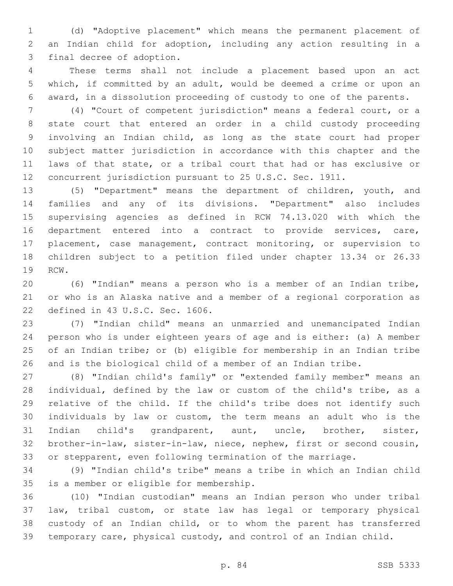(d) "Adoptive placement" which means the permanent placement of an Indian child for adoption, including any action resulting in a 3 final decree of adoption.

 These terms shall not include a placement based upon an act which, if committed by an adult, would be deemed a crime or upon an award, in a dissolution proceeding of custody to one of the parents.

 (4) "Court of competent jurisdiction" means a federal court, or a state court that entered an order in a child custody proceeding involving an Indian child, as long as the state court had proper subject matter jurisdiction in accordance with this chapter and the laws of that state, or a tribal court that had or has exclusive or concurrent jurisdiction pursuant to 25 U.S.C. Sec. 1911.

 (5) "Department" means the department of children, youth, and families and any of its divisions. "Department" also includes supervising agencies as defined in RCW 74.13.020 with which the department entered into a contract to provide services, care, placement, case management, contract monitoring, or supervision to children subject to a petition filed under chapter 13.34 or 26.33 19 RCW.

 (6) "Indian" means a person who is a member of an Indian tribe, or who is an Alaska native and a member of a regional corporation as 22 defined in 43 U.S.C. Sec. 1606.

 (7) "Indian child" means an unmarried and unemancipated Indian person who is under eighteen years of age and is either: (a) A member of an Indian tribe; or (b) eligible for membership in an Indian tribe and is the biological child of a member of an Indian tribe.

 (8) "Indian child's family" or "extended family member" means an individual, defined by the law or custom of the child's tribe, as a relative of the child. If the child's tribe does not identify such individuals by law or custom, the term means an adult who is the Indian child's grandparent, aunt, uncle, brother, sister, brother-in-law, sister-in-law, niece, nephew, first or second cousin, or stepparent, even following termination of the marriage.

 (9) "Indian child's tribe" means a tribe in which an Indian child 35 is a member or eligible for membership.

 (10) "Indian custodian" means an Indian person who under tribal law, tribal custom, or state law has legal or temporary physical custody of an Indian child, or to whom the parent has transferred temporary care, physical custody, and control of an Indian child.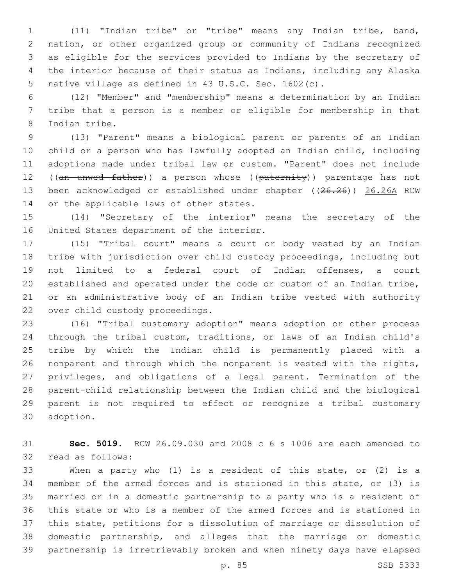(11) "Indian tribe" or "tribe" means any Indian tribe, band, nation, or other organized group or community of Indians recognized as eligible for the services provided to Indians by the secretary of the interior because of their status as Indians, including any Alaska native village as defined in 43 U.S.C. Sec. 1602(c).

 (12) "Member" and "membership" means a determination by an Indian tribe that a person is a member or eligible for membership in that 8 Indian tribe.

 (13) "Parent" means a biological parent or parents of an Indian child or a person who has lawfully adopted an Indian child, including adoptions made under tribal law or custom. "Parent" does not include 12 ((an unwed father)) a person whose ((paternity)) parentage has not 13 been acknowledged or established under chapter ((26.26)) 26.26A RCW 14 or the applicable laws of other states.

 (14) "Secretary of the interior" means the secretary of the 16 United States department of the interior.

 (15) "Tribal court" means a court or body vested by an Indian tribe with jurisdiction over child custody proceedings, including but not limited to a federal court of Indian offenses, a court established and operated under the code or custom of an Indian tribe, or an administrative body of an Indian tribe vested with authority 22 over child custody proceedings.

 (16) "Tribal customary adoption" means adoption or other process through the tribal custom, traditions, or laws of an Indian child's tribe by which the Indian child is permanently placed with a nonparent and through which the nonparent is vested with the rights, privileges, and obligations of a legal parent. Termination of the parent-child relationship between the Indian child and the biological parent is not required to effect or recognize a tribal customary 30 adoption.

 **Sec. 5019.** RCW 26.09.030 and 2008 c 6 s 1006 are each amended to 32 read as follows:

 When a party who (1) is a resident of this state, or (2) is a member of the armed forces and is stationed in this state, or (3) is married or in a domestic partnership to a party who is a resident of this state or who is a member of the armed forces and is stationed in this state, petitions for a dissolution of marriage or dissolution of domestic partnership, and alleges that the marriage or domestic partnership is irretrievably broken and when ninety days have elapsed

p. 85 SSB 5333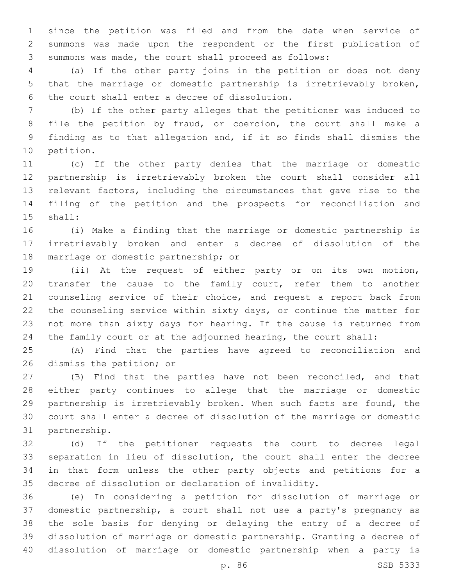since the petition was filed and from the date when service of summons was made upon the respondent or the first publication of summons was made, the court shall proceed as follows:

 (a) If the other party joins in the petition or does not deny that the marriage or domestic partnership is irretrievably broken, 6 the court shall enter a decree of dissolution.

 (b) If the other party alleges that the petitioner was induced to file the petition by fraud, or coercion, the court shall make a finding as to that allegation and, if it so finds shall dismiss the 10 petition.

 (c) If the other party denies that the marriage or domestic partnership is irretrievably broken the court shall consider all relevant factors, including the circumstances that gave rise to the filing of the petition and the prospects for reconciliation and 15 shall:

 (i) Make a finding that the marriage or domestic partnership is irretrievably broken and enter a decree of dissolution of the 18 marriage or domestic partnership; or

 (ii) At the request of either party or on its own motion, transfer the cause to the family court, refer them to another counseling service of their choice, and request a report back from the counseling service within sixty days, or continue the matter for not more than sixty days for hearing. If the cause is returned from the family court or at the adjourned hearing, the court shall:

 (A) Find that the parties have agreed to reconciliation and 26 dismiss the petition; or

 (B) Find that the parties have not been reconciled, and that either party continues to allege that the marriage or domestic partnership is irretrievably broken. When such facts are found, the court shall enter a decree of dissolution of the marriage or domestic 31 partnership.

 (d) If the petitioner requests the court to decree legal separation in lieu of dissolution, the court shall enter the decree in that form unless the other party objects and petitions for a decree of dissolution or declaration of invalidity.

 (e) In considering a petition for dissolution of marriage or domestic partnership, a court shall not use a party's pregnancy as the sole basis for denying or delaying the entry of a decree of dissolution of marriage or domestic partnership. Granting a decree of dissolution of marriage or domestic partnership when a party is

p. 86 SSB 5333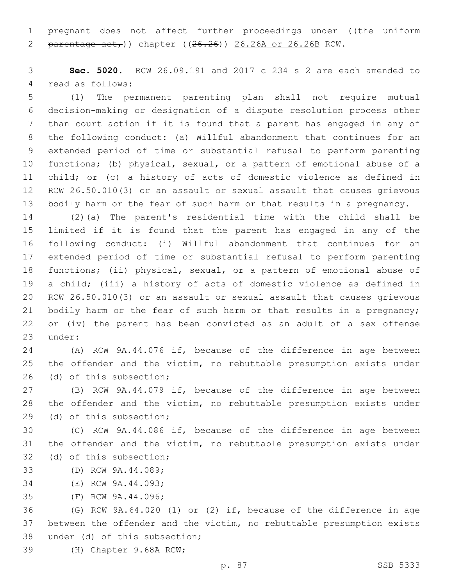1 pregnant does not affect further proceedings under ((the uniform 2 parentage  $act$ , 2 chapter ((26.26)) 26.26A or 26.26B RCW.

 **Sec. 5020.** RCW 26.09.191 and 2017 c 234 s 2 are each amended to 4 read as follows:

 (1) The permanent parenting plan shall not require mutual decision-making or designation of a dispute resolution process other than court action if it is found that a parent has engaged in any of the following conduct: (a) Willful abandonment that continues for an extended period of time or substantial refusal to perform parenting functions; (b) physical, sexual, or a pattern of emotional abuse of a child; or (c) a history of acts of domestic violence as defined in RCW 26.50.010(3) or an assault or sexual assault that causes grievous bodily harm or the fear of such harm or that results in a pregnancy.

 (2)(a) The parent's residential time with the child shall be limited if it is found that the parent has engaged in any of the following conduct: (i) Willful abandonment that continues for an extended period of time or substantial refusal to perform parenting functions; (ii) physical, sexual, or a pattern of emotional abuse of a child; (iii) a history of acts of domestic violence as defined in RCW 26.50.010(3) or an assault or sexual assault that causes grievous bodily harm or the fear of such harm or that results in a pregnancy; or (iv) the parent has been convicted as an adult of a sex offense 23 under:

 (A) RCW 9A.44.076 if, because of the difference in age between the offender and the victim, no rebuttable presumption exists under 26 (d) of this subsection;

 (B) RCW 9A.44.079 if, because of the difference in age between the offender and the victim, no rebuttable presumption exists under 29 (d) of this subsection;

 (C) RCW 9A.44.086 if, because of the difference in age between the offender and the victim, no rebuttable presumption exists under 32 (d) of this subsection;

- 33 (D) RCW 9A.44.089;
- 34 (E) RCW 9A.44.093;
- 35 (F) RCW 9A.44.096;

 (G) RCW 9A.64.020 (1) or (2) if, because of the difference in age between the offender and the victim, no rebuttable presumption exists 38 under (d) of this subsection;

39 (H) Chapter 9.68A RCW;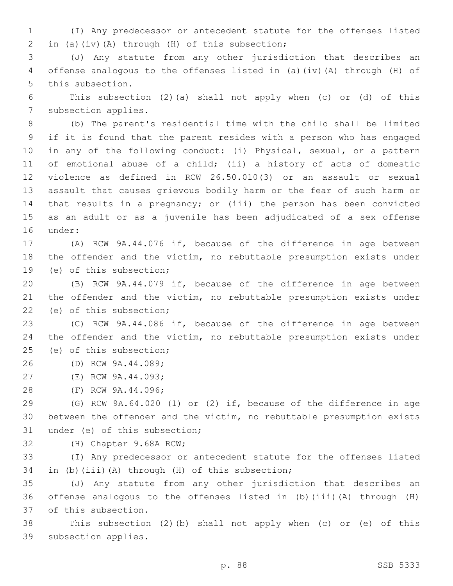1 (I) Any predecessor or antecedent statute for the offenses listed 2 in (a)(iv)(A) through (H) of this subsection;

3 (J) Any statute from any other jurisdiction that describes an 4 offense analogous to the offenses listed in (a)(iv)(A) through (H) of 5 this subsection.

6 This subsection (2)(a) shall not apply when (c) or (d) of this 7 subsection applies.

 (b) The parent's residential time with the child shall be limited if it is found that the parent resides with a person who has engaged in any of the following conduct: (i) Physical, sexual, or a pattern of emotional abuse of a child; (ii) a history of acts of domestic violence as defined in RCW 26.50.010(3) or an assault or sexual assault that causes grievous bodily harm or the fear of such harm or that results in a pregnancy; or (iii) the person has been convicted as an adult or as a juvenile has been adjudicated of a sex offense 16 under:

17 (A) RCW 9A.44.076 if, because of the difference in age between 18 the offender and the victim, no rebuttable presumption exists under 19 (e) of this subsection;

20 (B) RCW 9A.44.079 if, because of the difference in age between 21 the offender and the victim, no rebuttable presumption exists under 22 (e) of this subsection;

23 (C) RCW 9A.44.086 if, because of the difference in age between 24 the offender and the victim, no rebuttable presumption exists under 25 (e) of this subsection;

26 (D) RCW 9A.44.089;

27 (E) RCW 9A.44.093;

28 (F) RCW 9A.44.096;

29 (G) RCW 9A.64.020 (1) or (2) if, because of the difference in age 30 between the offender and the victim, no rebuttable presumption exists 31 under (e) of this subsection;

32 (H) Chapter 9.68A RCW;

33 (I) Any predecessor or antecedent statute for the offenses listed 34 in (b)(iii)(A) through (H) of this subsection;

35 (J) Any statute from any other jurisdiction that describes an 36 offense analogous to the offenses listed in (b)(iii)(A) through (H) 37 of this subsection.

38 This subsection (2)(b) shall not apply when (c) or (e) of this 39 subsection applies.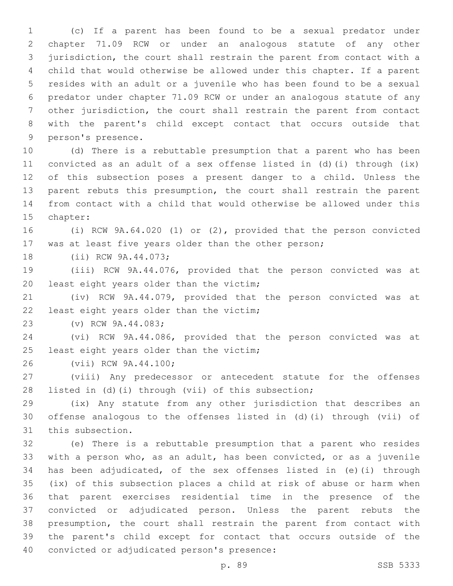(c) If a parent has been found to be a sexual predator under chapter 71.09 RCW or under an analogous statute of any other jurisdiction, the court shall restrain the parent from contact with a child that would otherwise be allowed under this chapter. If a parent resides with an adult or a juvenile who has been found to be a sexual predator under chapter 71.09 RCW or under an analogous statute of any other jurisdiction, the court shall restrain the parent from contact with the parent's child except contact that occurs outside that 9 person's presence.

 (d) There is a rebuttable presumption that a parent who has been convicted as an adult of a sex offense listed in (d)(i) through (ix) of this subsection poses a present danger to a child. Unless the parent rebuts this presumption, the court shall restrain the parent from contact with a child that would otherwise be allowed under this 15 chapter:

 (i) RCW 9A.64.020 (1) or (2), provided that the person convicted was at least five years older than the other person;

18 (ii) RCW 9A.44.073;

 (iii) RCW 9A.44.076, provided that the person convicted was at 20 least eight years older than the victim;

 (iv) RCW 9A.44.079, provided that the person convicted was at 22 least eight years older than the victim;

23 (v) RCW 9A.44.083;

 (vi) RCW 9A.44.086, provided that the person convicted was at 25 least eight years older than the victim;

26 (vii) RCW 9A.44.100;

 (viii) Any predecessor or antecedent statute for the offenses listed in (d)(i) through (vii) of this subsection;

 (ix) Any statute from any other jurisdiction that describes an offense analogous to the offenses listed in (d)(i) through (vii) of 31 this subsection.

 (e) There is a rebuttable presumption that a parent who resides with a person who, as an adult, has been convicted, or as a juvenile has been adjudicated, of the sex offenses listed in (e)(i) through (ix) of this subsection places a child at risk of abuse or harm when that parent exercises residential time in the presence of the convicted or adjudicated person. Unless the parent rebuts the presumption, the court shall restrain the parent from contact with the parent's child except for contact that occurs outside of the 40 convicted or adjudicated person's presence: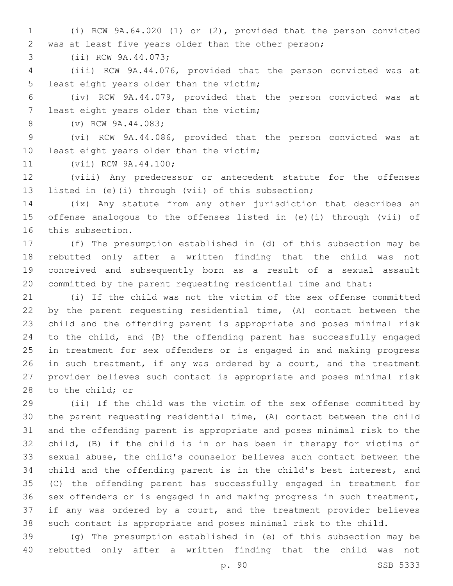(i) RCW 9A.64.020 (1) or (2), provided that the person convicted was at least five years older than the other person;

3 (ii) RCW 9A.44.073;

 (iii) RCW 9A.44.076, provided that the person convicted was at 5 least eight years older than the victim;

 (iv) RCW 9A.44.079, provided that the person convicted was at 7 least eight years older than the victim;

8 (v) RCW 9A.44.083;

 (vi) RCW 9A.44.086, provided that the person convicted was at 10 least eight years older than the victim;

11 (vii) RCW 9A.44.100;

 (viii) Any predecessor or antecedent statute for the offenses listed in (e)(i) through (vii) of this subsection;

 (ix) Any statute from any other jurisdiction that describes an offense analogous to the offenses listed in (e)(i) through (vii) of 16 this subsection.

 (f) The presumption established in (d) of this subsection may be rebutted only after a written finding that the child was not conceived and subsequently born as a result of a sexual assault committed by the parent requesting residential time and that:

 (i) If the child was not the victim of the sex offense committed by the parent requesting residential time, (A) contact between the child and the offending parent is appropriate and poses minimal risk to the child, and (B) the offending parent has successfully engaged in treatment for sex offenders or is engaged in and making progress in such treatment, if any was ordered by a court, and the treatment provider believes such contact is appropriate and poses minimal risk 28 to the child; or

 (ii) If the child was the victim of the sex offense committed by the parent requesting residential time, (A) contact between the child and the offending parent is appropriate and poses minimal risk to the child, (B) if the child is in or has been in therapy for victims of sexual abuse, the child's counselor believes such contact between the child and the offending parent is in the child's best interest, and (C) the offending parent has successfully engaged in treatment for sex offenders or is engaged in and making progress in such treatment, if any was ordered by a court, and the treatment provider believes such contact is appropriate and poses minimal risk to the child.

 (g) The presumption established in (e) of this subsection may be rebutted only after a written finding that the child was not

p. 90 SSB 5333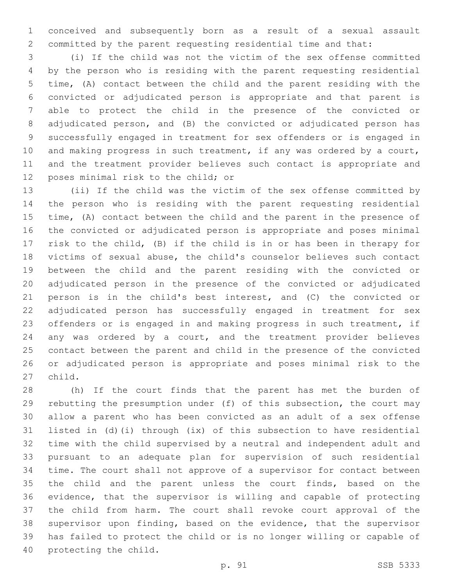conceived and subsequently born as a result of a sexual assault committed by the parent requesting residential time and that:

 (i) If the child was not the victim of the sex offense committed by the person who is residing with the parent requesting residential time, (A) contact between the child and the parent residing with the convicted or adjudicated person is appropriate and that parent is able to protect the child in the presence of the convicted or adjudicated person, and (B) the convicted or adjudicated person has successfully engaged in treatment for sex offenders or is engaged in 10 and making progress in such treatment, if any was ordered by a court, and the treatment provider believes such contact is appropriate and 12 poses minimal risk to the child; or

 (ii) If the child was the victim of the sex offense committed by the person who is residing with the parent requesting residential time, (A) contact between the child and the parent in the presence of the convicted or adjudicated person is appropriate and poses minimal risk to the child, (B) if the child is in or has been in therapy for victims of sexual abuse, the child's counselor believes such contact between the child and the parent residing with the convicted or adjudicated person in the presence of the convicted or adjudicated person is in the child's best interest, and (C) the convicted or adjudicated person has successfully engaged in treatment for sex offenders or is engaged in and making progress in such treatment, if any was ordered by a court, and the treatment provider believes contact between the parent and child in the presence of the convicted or adjudicated person is appropriate and poses minimal risk to the 27 child.

 (h) If the court finds that the parent has met the burden of rebutting the presumption under (f) of this subsection, the court may allow a parent who has been convicted as an adult of a sex offense listed in (d)(i) through (ix) of this subsection to have residential time with the child supervised by a neutral and independent adult and pursuant to an adequate plan for supervision of such residential time. The court shall not approve of a supervisor for contact between the child and the parent unless the court finds, based on the evidence, that the supervisor is willing and capable of protecting the child from harm. The court shall revoke court approval of the supervisor upon finding, based on the evidence, that the supervisor has failed to protect the child or is no longer willing or capable of 40 protecting the child.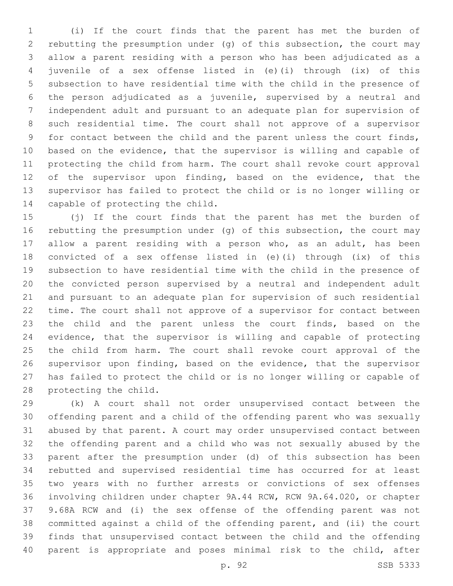(i) If the court finds that the parent has met the burden of rebutting the presumption under (g) of this subsection, the court may allow a parent residing with a person who has been adjudicated as a juvenile of a sex offense listed in (e)(i) through (ix) of this subsection to have residential time with the child in the presence of the person adjudicated as a juvenile, supervised by a neutral and independent adult and pursuant to an adequate plan for supervision of such residential time. The court shall not approve of a supervisor 9 for contact between the child and the parent unless the court finds, based on the evidence, that the supervisor is willing and capable of protecting the child from harm. The court shall revoke court approval 12 of the supervisor upon finding, based on the evidence, that the supervisor has failed to protect the child or is no longer willing or 14 capable of protecting the child.

 (j) If the court finds that the parent has met the burden of rebutting the presumption under (g) of this subsection, the court may allow a parent residing with a person who, as an adult, has been convicted of a sex offense listed in (e)(i) through (ix) of this subsection to have residential time with the child in the presence of the convicted person supervised by a neutral and independent adult and pursuant to an adequate plan for supervision of such residential time. The court shall not approve of a supervisor for contact between the child and the parent unless the court finds, based on the evidence, that the supervisor is willing and capable of protecting the child from harm. The court shall revoke court approval of the supervisor upon finding, based on the evidence, that the supervisor has failed to protect the child or is no longer willing or capable of 28 protecting the child.

 (k) A court shall not order unsupervised contact between the offending parent and a child of the offending parent who was sexually abused by that parent. A court may order unsupervised contact between the offending parent and a child who was not sexually abused by the parent after the presumption under (d) of this subsection has been rebutted and supervised residential time has occurred for at least two years with no further arrests or convictions of sex offenses involving children under chapter 9A.44 RCW, RCW 9A.64.020, or chapter 9.68A RCW and (i) the sex offense of the offending parent was not committed against a child of the offending parent, and (ii) the court finds that unsupervised contact between the child and the offending parent is appropriate and poses minimal risk to the child, after

p. 92 SSB 5333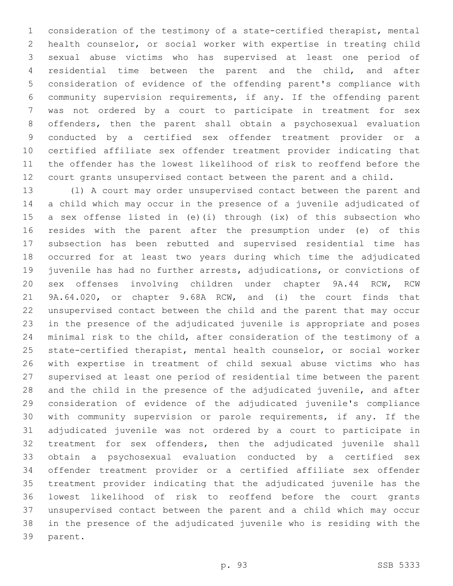consideration of the testimony of a state-certified therapist, mental health counselor, or social worker with expertise in treating child sexual abuse victims who has supervised at least one period of residential time between the parent and the child, and after consideration of evidence of the offending parent's compliance with community supervision requirements, if any. If the offending parent was not ordered by a court to participate in treatment for sex offenders, then the parent shall obtain a psychosexual evaluation conducted by a certified sex offender treatment provider or a certified affiliate sex offender treatment provider indicating that the offender has the lowest likelihood of risk to reoffend before the court grants unsupervised contact between the parent and a child.

 (l) A court may order unsupervised contact between the parent and a child which may occur in the presence of a juvenile adjudicated of a sex offense listed in (e)(i) through (ix) of this subsection who resides with the parent after the presumption under (e) of this subsection has been rebutted and supervised residential time has occurred for at least two years during which time the adjudicated juvenile has had no further arrests, adjudications, or convictions of sex offenses involving children under chapter 9A.44 RCW, RCW 9A.64.020, or chapter 9.68A RCW, and (i) the court finds that unsupervised contact between the child and the parent that may occur in the presence of the adjudicated juvenile is appropriate and poses minimal risk to the child, after consideration of the testimony of a state-certified therapist, mental health counselor, or social worker with expertise in treatment of child sexual abuse victims who has supervised at least one period of residential time between the parent and the child in the presence of the adjudicated juvenile, and after consideration of evidence of the adjudicated juvenile's compliance with community supervision or parole requirements, if any. If the adjudicated juvenile was not ordered by a court to participate in treatment for sex offenders, then the adjudicated juvenile shall obtain a psychosexual evaluation conducted by a certified sex offender treatment provider or a certified affiliate sex offender treatment provider indicating that the adjudicated juvenile has the lowest likelihood of risk to reoffend before the court grants unsupervised contact between the parent and a child which may occur in the presence of the adjudicated juvenile who is residing with the 39 parent.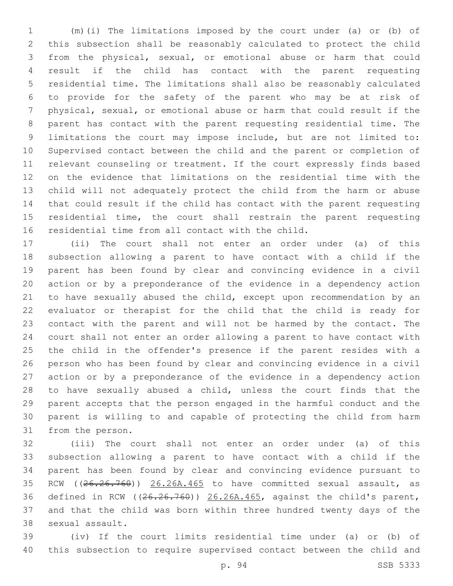(m)(i) The limitations imposed by the court under (a) or (b) of this subsection shall be reasonably calculated to protect the child from the physical, sexual, or emotional abuse or harm that could result if the child has contact with the parent requesting residential time. The limitations shall also be reasonably calculated to provide for the safety of the parent who may be at risk of physical, sexual, or emotional abuse or harm that could result if the parent has contact with the parent requesting residential time. The limitations the court may impose include, but are not limited to: Supervised contact between the child and the parent or completion of relevant counseling or treatment. If the court expressly finds based on the evidence that limitations on the residential time with the child will not adequately protect the child from the harm or abuse that could result if the child has contact with the parent requesting residential time, the court shall restrain the parent requesting 16 residential time from all contact with the child.

 (ii) The court shall not enter an order under (a) of this subsection allowing a parent to have contact with a child if the parent has been found by clear and convincing evidence in a civil action or by a preponderance of the evidence in a dependency action to have sexually abused the child, except upon recommendation by an evaluator or therapist for the child that the child is ready for contact with the parent and will not be harmed by the contact. The court shall not enter an order allowing a parent to have contact with the child in the offender's presence if the parent resides with a person who has been found by clear and convincing evidence in a civil action or by a preponderance of the evidence in a dependency action to have sexually abused a child, unless the court finds that the parent accepts that the person engaged in the harmful conduct and the parent is willing to and capable of protecting the child from harm 31 from the person.

 (iii) The court shall not enter an order under (a) of this subsection allowing a parent to have contact with a child if the parent has been found by clear and convincing evidence pursuant to 35 RCW ((26.26.760)) 26.26A.465 to have committed sexual assault, as defined in RCW ((26.26.760)) 26.26A.465, against the child's parent, and that the child was born within three hundred twenty days of the 38 sexual assault.

 (iv) If the court limits residential time under (a) or (b) of this subsection to require supervised contact between the child and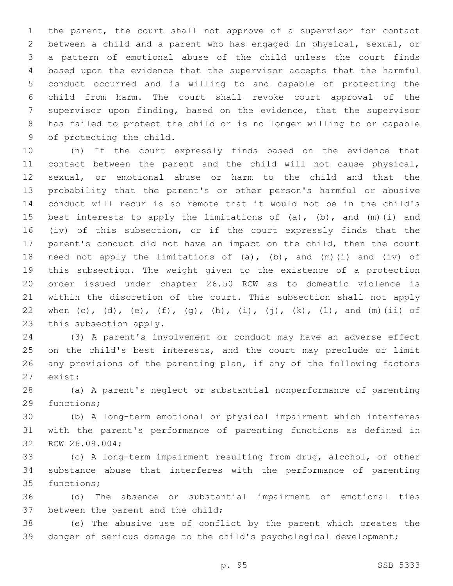the parent, the court shall not approve of a supervisor for contact between a child and a parent who has engaged in physical, sexual, or a pattern of emotional abuse of the child unless the court finds based upon the evidence that the supervisor accepts that the harmful conduct occurred and is willing to and capable of protecting the child from harm. The court shall revoke court approval of the supervisor upon finding, based on the evidence, that the supervisor has failed to protect the child or is no longer willing to or capable 9 of protecting the child.

 (n) If the court expressly finds based on the evidence that contact between the parent and the child will not cause physical, sexual, or emotional abuse or harm to the child and that the probability that the parent's or other person's harmful or abusive conduct will recur is so remote that it would not be in the child's 15 best interests to apply the limitations of  $(a)$ ,  $(b)$ , and  $(m)$  (i) and (iv) of this subsection, or if the court expressly finds that the parent's conduct did not have an impact on the child, then the court 18 need not apply the limitations of (a), (b), and (m)(i) and (iv) of this subsection. The weight given to the existence of a protection order issued under chapter 26.50 RCW as to domestic violence is within the discretion of the court. This subsection shall not apply 22 when (c), (d), (e), (f), (q), (h), (i), (j), (k), (l), and (m)(ii) of 23 this subsection apply.

 (3) A parent's involvement or conduct may have an adverse effect 25 on the child's best interests, and the court may preclude or limit any provisions of the parenting plan, if any of the following factors 27 exist:

 (a) A parent's neglect or substantial nonperformance of parenting 29 functions;

 (b) A long-term emotional or physical impairment which interferes with the parent's performance of parenting functions as defined in 32 RCW 26.09.004;

 (c) A long-term impairment resulting from drug, alcohol, or other substance abuse that interferes with the performance of parenting 35 functions;

 (d) The absence or substantial impairment of emotional ties 37 between the parent and the child;

 (e) The abusive use of conflict by the parent which creates the danger of serious damage to the child's psychological development;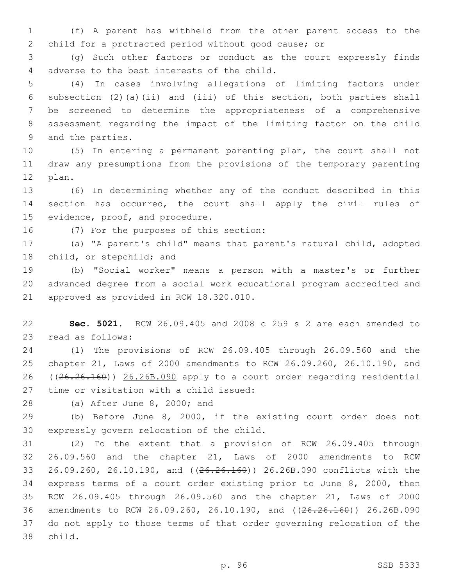(f) A parent has withheld from the other parent access to the child for a protracted period without good cause; or

 (g) Such other factors or conduct as the court expressly finds 4 adverse to the best interests of the child.

 (4) In cases involving allegations of limiting factors under subsection (2)(a)(ii) and (iii) of this section, both parties shall be screened to determine the appropriateness of a comprehensive assessment regarding the impact of the limiting factor on the child 9 and the parties.

 (5) In entering a permanent parenting plan, the court shall not draw any presumptions from the provisions of the temporary parenting 12 plan.

 (6) In determining whether any of the conduct described in this section has occurred, the court shall apply the civil rules of 15 evidence, proof, and procedure.

16 (7) For the purposes of this section:

 (a) "A parent's child" means that parent's natural child, adopted 18 child, or stepchild; and

 (b) "Social worker" means a person with a master's or further advanced degree from a social work educational program accredited and 21 approved as provided in RCW 18.320.010.

 **Sec. 5021.** RCW 26.09.405 and 2008 c 259 s 2 are each amended to 23 read as follows:

 (1) The provisions of RCW 26.09.405 through 26.09.560 and the chapter 21, Laws of 2000 amendments to RCW 26.09.260, 26.10.190, and ((26.26.160)) 26.26B.090 apply to a court order regarding residential 27 time or visitation with a child issued:

28 (a) After June 8, 2000; and

 (b) Before June 8, 2000, if the existing court order does not 30 expressly govern relocation of the child.

 (2) To the extent that a provision of RCW 26.09.405 through 26.09.560 and the chapter 21, Laws of 2000 amendments to RCW 26.09.260, 26.10.190, and ((26.26.160)) 26.26B.090 conflicts with the express terms of a court order existing prior to June 8, 2000, then RCW 26.09.405 through 26.09.560 and the chapter 21, Laws of 2000 amendments to RCW 26.09.260, 26.10.190, and ((26.26.160)) 26.26B.090 do not apply to those terms of that order governing relocation of the 38 child.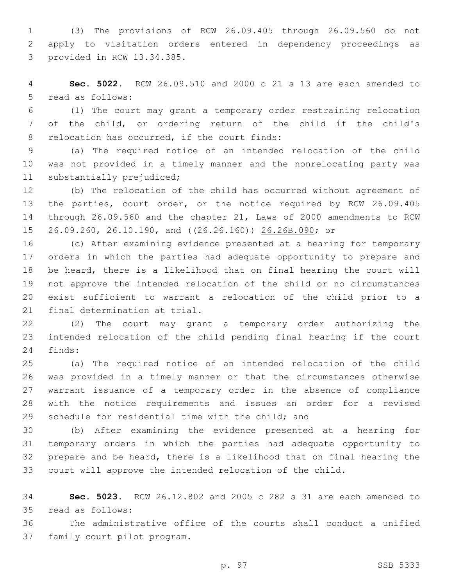(3) The provisions of RCW 26.09.405 through 26.09.560 do not apply to visitation orders entered in dependency proceedings as 3 provided in RCW 13.34.385.

 **Sec. 5022.** RCW 26.09.510 and 2000 c 21 s 13 are each amended to 5 read as follows:

 (1) The court may grant a temporary order restraining relocation of the child, or ordering return of the child if the child's 8 relocation has occurred, if the court finds:

 (a) The required notice of an intended relocation of the child was not provided in a timely manner and the nonrelocating party was 11 substantially prejudiced;

 (b) The relocation of the child has occurred without agreement of the parties, court order, or the notice required by RCW 26.09.405 through 26.09.560 and the chapter 21, Laws of 2000 amendments to RCW 26.09.260, 26.10.190, and ((26.26.160)) 26.26B.090; or

 (c) After examining evidence presented at a hearing for temporary orders in which the parties had adequate opportunity to prepare and be heard, there is a likelihood that on final hearing the court will not approve the intended relocation of the child or no circumstances exist sufficient to warrant a relocation of the child prior to a 21 final determination at trial.

 (2) The court may grant a temporary order authorizing the intended relocation of the child pending final hearing if the court 24 finds:

 (a) The required notice of an intended relocation of the child was provided in a timely manner or that the circumstances otherwise warrant issuance of a temporary order in the absence of compliance with the notice requirements and issues an order for a revised 29 schedule for residential time with the child; and

 (b) After examining the evidence presented at a hearing for temporary orders in which the parties had adequate opportunity to prepare and be heard, there is a likelihood that on final hearing the court will approve the intended relocation of the child.

 **Sec. 5023.** RCW 26.12.802 and 2005 c 282 s 31 are each amended to read as follows:35

 The administrative office of the courts shall conduct a unified 37 family court pilot program.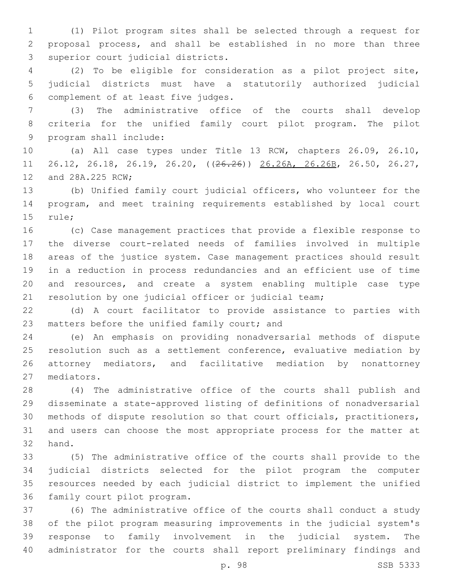(1) Pilot program sites shall be selected through a request for proposal process, and shall be established in no more than three 3 superior court judicial districts.

 (2) To be eligible for consideration as a pilot project site, judicial districts must have a statutorily authorized judicial complement of at least five judges.6

 (3) The administrative office of the courts shall develop criteria for the unified family court pilot program. The pilot 9 program shall include:

 (a) All case types under Title 13 RCW, chapters 26.09, 26.10, 26.12, 26.18, 26.19, 26.20, ((26.26)) 26.26A, 26.26B, 26.50, 26.27, 12 and 28A.225 RCW;

 (b) Unified family court judicial officers, who volunteer for the program, and meet training requirements established by local court 15 rule;

 (c) Case management practices that provide a flexible response to the diverse court-related needs of families involved in multiple areas of the justice system. Case management practices should result in a reduction in process redundancies and an efficient use of time and resources, and create a system enabling multiple case type resolution by one judicial officer or judicial team;

 (d) A court facilitator to provide assistance to parties with 23 matters before the unified family court; and

 (e) An emphasis on providing nonadversarial methods of dispute resolution such as a settlement conference, evaluative mediation by attorney mediators, and facilitative mediation by nonattorney 27 mediators.

 (4) The administrative office of the courts shall publish and disseminate a state-approved listing of definitions of nonadversarial methods of dispute resolution so that court officials, practitioners, and users can choose the most appropriate process for the matter at 32 hand.

 (5) The administrative office of the courts shall provide to the judicial districts selected for the pilot program the computer resources needed by each judicial district to implement the unified 36 family court pilot program.

 (6) The administrative office of the courts shall conduct a study of the pilot program measuring improvements in the judicial system's response to family involvement in the judicial system. The administrator for the courts shall report preliminary findings and

p. 98 SSB 5333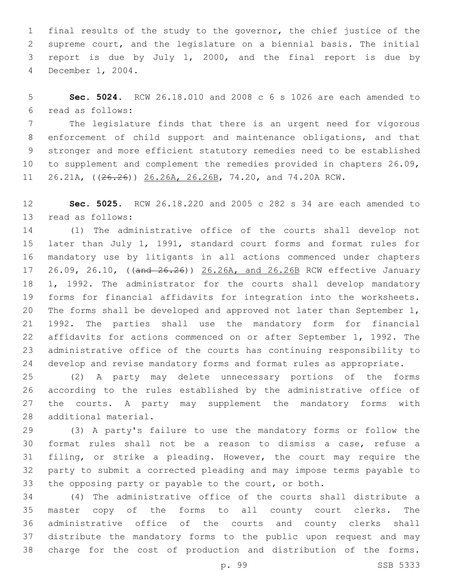final results of the study to the governor, the chief justice of the supreme court, and the legislature on a biennial basis. The initial report is due by July 1, 2000, and the final report is due by 4 December 1, 2004.

 **Sec. 5024.** RCW 26.18.010 and 2008 c 6 s 1026 are each amended to read as follows:6

 The legislature finds that there is an urgent need for vigorous enforcement of child support and maintenance obligations, and that stronger and more efficient statutory remedies need to be established to supplement and complement the remedies provided in chapters 26.09, 26.21A, ((26.26)) 26.26A, 26.26B, 74.20, and 74.20A RCW.

 **Sec. 5025.** RCW 26.18.220 and 2005 c 282 s 34 are each amended to 13 read as follows:

 (1) The administrative office of the courts shall develop not later than July 1, 1991, standard court forms and format rules for mandatory use by litigants in all actions commenced under chapters 17 26.09, 26.10, ((and 26.26)) 26.26A, and 26.26B RCW effective January 1, 1992. The administrator for the courts shall develop mandatory forms for financial affidavits for integration into the worksheets. The forms shall be developed and approved not later than September 1, 1992. The parties shall use the mandatory form for financial affidavits for actions commenced on or after September 1, 1992. The administrative office of the courts has continuing responsibility to develop and revise mandatory forms and format rules as appropriate.

 (2) A party may delete unnecessary portions of the forms according to the rules established by the administrative office of the courts. A party may supplement the mandatory forms with 28 additional material.

 (3) A party's failure to use the mandatory forms or follow the format rules shall not be a reason to dismiss a case, refuse a filing, or strike a pleading. However, the court may require the party to submit a corrected pleading and may impose terms payable to the opposing party or payable to the court, or both.

 (4) The administrative office of the courts shall distribute a master copy of the forms to all county court clerks. The administrative office of the courts and county clerks shall distribute the mandatory forms to the public upon request and may charge for the cost of production and distribution of the forms.

p. 99 SSB 5333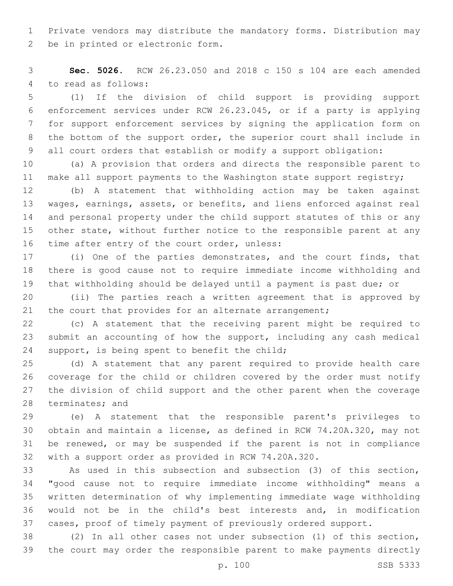Private vendors may distribute the mandatory forms. Distribution may 2 be in printed or electronic form.

 **Sec. 5026.** RCW 26.23.050 and 2018 c 150 s 104 are each amended 4 to read as follows:

 (1) If the division of child support is providing support enforcement services under RCW 26.23.045, or if a party is applying for support enforcement services by signing the application form on the bottom of the support order, the superior court shall include in all court orders that establish or modify a support obligation:

 (a) A provision that orders and directs the responsible parent to make all support payments to the Washington state support registry;

 (b) A statement that withholding action may be taken against wages, earnings, assets, or benefits, and liens enforced against real and personal property under the child support statutes of this or any other state, without further notice to the responsible parent at any 16 time after entry of the court order, unless:

 (i) One of the parties demonstrates, and the court finds, that there is good cause not to require immediate income withholding and that withholding should be delayed until a payment is past due; or

 (ii) The parties reach a written agreement that is approved by 21 the court that provides for an alternate arrangement;

 (c) A statement that the receiving parent might be required to submit an accounting of how the support, including any cash medical 24 support, is being spent to benefit the child;

 (d) A statement that any parent required to provide health care coverage for the child or children covered by the order must notify the division of child support and the other parent when the coverage 28 terminates; and

 (e) A statement that the responsible parent's privileges to obtain and maintain a license, as defined in RCW 74.20A.320, may not be renewed, or may be suspended if the parent is not in compliance with a support order as provided in RCW 74.20A.320.

 As used in this subsection and subsection (3) of this section, "good cause not to require immediate income withholding" means a written determination of why implementing immediate wage withholding would not be in the child's best interests and, in modification cases, proof of timely payment of previously ordered support.

 (2) In all other cases not under subsection (1) of this section, the court may order the responsible parent to make payments directly

p. 100 SSB 5333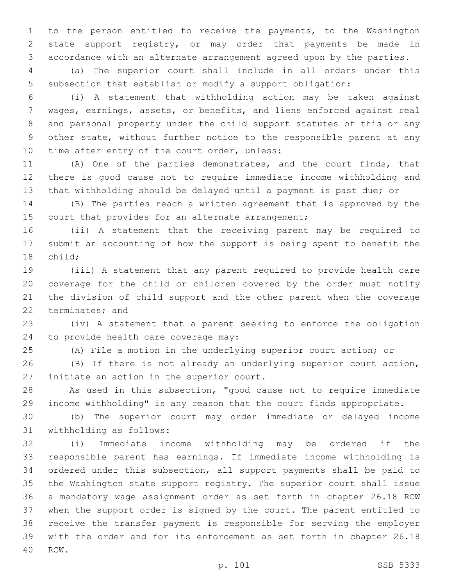to the person entitled to receive the payments, to the Washington state support registry, or may order that payments be made in accordance with an alternate arrangement agreed upon by the parties.

 (a) The superior court shall include in all orders under this subsection that establish or modify a support obligation:

 (i) A statement that withholding action may be taken against wages, earnings, assets, or benefits, and liens enforced against real and personal property under the child support statutes of this or any other state, without further notice to the responsible parent at any 10 time after entry of the court order, unless:

 (A) One of the parties demonstrates, and the court finds, that there is good cause not to require immediate income withholding and that withholding should be delayed until a payment is past due; or

 (B) The parties reach a written agreement that is approved by the 15 court that provides for an alternate arrangement;

 (ii) A statement that the receiving parent may be required to submit an accounting of how the support is being spent to benefit the 18 child;

 (iii) A statement that any parent required to provide health care coverage for the child or children covered by the order must notify the division of child support and the other parent when the coverage 22 terminates; and

 (iv) A statement that a parent seeking to enforce the obligation 24 to provide health care coverage may:

(A) File a motion in the underlying superior court action; or

 (B) If there is not already an underlying superior court action, 27 initiate an action in the superior court.

 As used in this subsection, "good cause not to require immediate income withholding" is any reason that the court finds appropriate.

 (b) The superior court may order immediate or delayed income 31 withholding as follows:

 (i) Immediate income withholding may be ordered if the responsible parent has earnings. If immediate income withholding is ordered under this subsection, all support payments shall be paid to the Washington state support registry. The superior court shall issue a mandatory wage assignment order as set forth in chapter 26.18 RCW when the support order is signed by the court. The parent entitled to receive the transfer payment is responsible for serving the employer with the order and for its enforcement as set forth in chapter 26.18 40 RCW.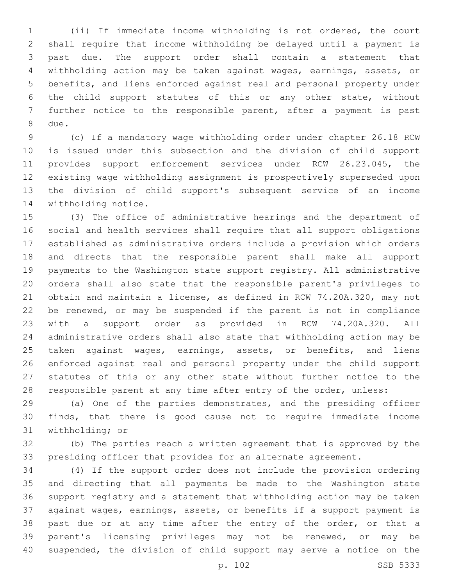(ii) If immediate income withholding is not ordered, the court shall require that income withholding be delayed until a payment is past due. The support order shall contain a statement that withholding action may be taken against wages, earnings, assets, or benefits, and liens enforced against real and personal property under the child support statutes of this or any other state, without further notice to the responsible parent, after a payment is past 8 due.

 (c) If a mandatory wage withholding order under chapter 26.18 RCW is issued under this subsection and the division of child support provides support enforcement services under RCW 26.23.045, the existing wage withholding assignment is prospectively superseded upon the division of child support's subsequent service of an income 14 withholding notice.

 (3) The office of administrative hearings and the department of social and health services shall require that all support obligations established as administrative orders include a provision which orders and directs that the responsible parent shall make all support payments to the Washington state support registry. All administrative orders shall also state that the responsible parent's privileges to obtain and maintain a license, as defined in RCW 74.20A.320, may not be renewed, or may be suspended if the parent is not in compliance with a support order as provided in RCW 74.20A.320. All administrative orders shall also state that withholding action may be 25 taken against wages, earnings, assets, or benefits, and liens enforced against real and personal property under the child support statutes of this or any other state without further notice to the 28 responsible parent at any time after entry of the order, unless:

 (a) One of the parties demonstrates, and the presiding officer finds, that there is good cause not to require immediate income 31 withholding; or

 (b) The parties reach a written agreement that is approved by the presiding officer that provides for an alternate agreement.

 (4) If the support order does not include the provision ordering and directing that all payments be made to the Washington state support registry and a statement that withholding action may be taken against wages, earnings, assets, or benefits if a support payment is 38 past due or at any time after the entry of the order, or that a parent's licensing privileges may not be renewed, or may be suspended, the division of child support may serve a notice on the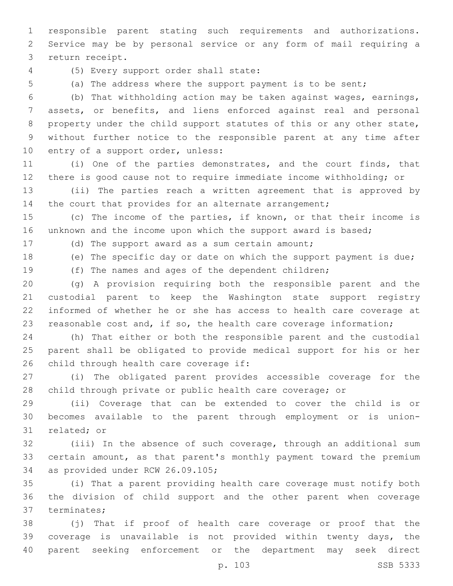responsible parent stating such requirements and authorizations. Service may be by personal service or any form of mail requiring a 3 return receipt.

(5) Every support order shall state:4

(a) The address where the support payment is to be sent;

 (b) That withholding action may be taken against wages, earnings, assets, or benefits, and liens enforced against real and personal property under the child support statutes of this or any other state, without further notice to the responsible parent at any time after 10 entry of a support order, unless:

 (i) One of the parties demonstrates, and the court finds, that there is good cause not to require immediate income withholding; or

 (ii) The parties reach a written agreement that is approved by 14 the court that provides for an alternate arrangement;

 (c) The income of the parties, if known, or that their income is 16 unknown and the income upon which the support award is based;

(d) The support award as a sum certain amount;

(e) The specific day or date on which the support payment is due;

(f) The names and ages of the dependent children;

 (g) A provision requiring both the responsible parent and the custodial parent to keep the Washington state support registry informed of whether he or she has access to health care coverage at reasonable cost and, if so, the health care coverage information;

 (h) That either or both the responsible parent and the custodial parent shall be obligated to provide medical support for his or her 26 child through health care coverage if:

 (i) The obligated parent provides accessible coverage for the child through private or public health care coverage; or

 (ii) Coverage that can be extended to cover the child is or becomes available to the parent through employment or is union-31 related; or

 (iii) In the absence of such coverage, through an additional sum certain amount, as that parent's monthly payment toward the premium 34 as provided under RCW 26.09.105;

 (i) That a parent providing health care coverage must notify both the division of child support and the other parent when coverage 37 terminates;

 (j) That if proof of health care coverage or proof that the coverage is unavailable is not provided within twenty days, the parent seeking enforcement or the department may seek direct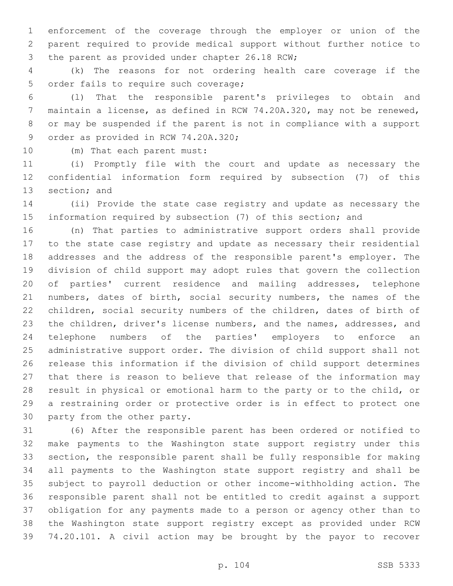enforcement of the coverage through the employer or union of the parent required to provide medical support without further notice to 3 the parent as provided under chapter 26.18 RCW;

 (k) The reasons for not ordering health care coverage if the 5 order fails to require such coverage;

 (l) That the responsible parent's privileges to obtain and maintain a license, as defined in RCW 74.20A.320, may not be renewed, or may be suspended if the parent is not in compliance with a support 9 order as provided in RCW 74.20A.320;

10 (m) That each parent must:

 (i) Promptly file with the court and update as necessary the confidential information form required by subsection (7) of this 13 section; and

 (ii) Provide the state case registry and update as necessary the information required by subsection (7) of this section; and

 (n) That parties to administrative support orders shall provide to the state case registry and update as necessary their residential addresses and the address of the responsible parent's employer. The division of child support may adopt rules that govern the collection of parties' current residence and mailing addresses, telephone numbers, dates of birth, social security numbers, the names of the children, social security numbers of the children, dates of birth of the children, driver's license numbers, and the names, addresses, and telephone numbers of the parties' employers to enforce an administrative support order. The division of child support shall not release this information if the division of child support determines that there is reason to believe that release of the information may result in physical or emotional harm to the party or to the child, or a restraining order or protective order is in effect to protect one 30 party from the other party.

 (6) After the responsible parent has been ordered or notified to make payments to the Washington state support registry under this section, the responsible parent shall be fully responsible for making all payments to the Washington state support registry and shall be subject to payroll deduction or other income-withholding action. The responsible parent shall not be entitled to credit against a support obligation for any payments made to a person or agency other than to the Washington state support registry except as provided under RCW 74.20.101. A civil action may be brought by the payor to recover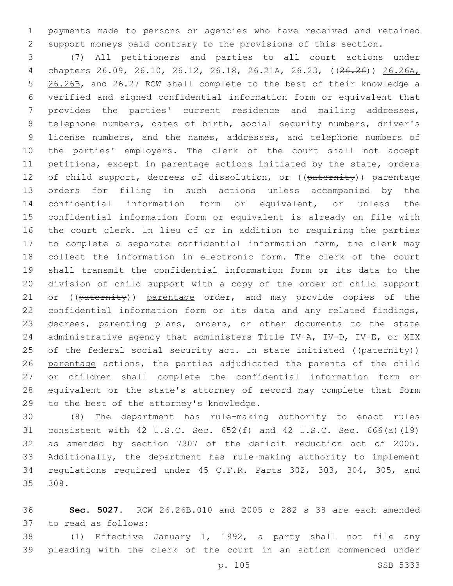payments made to persons or agencies who have received and retained support moneys paid contrary to the provisions of this section.

 (7) All petitioners and parties to all court actions under chapters 26.09, 26.10, 26.12, 26.18, 26.21A, 26.23, ((26.26)) 26.26A, 26.26B, and 26.27 RCW shall complete to the best of their knowledge a verified and signed confidential information form or equivalent that provides the parties' current residence and mailing addresses, telephone numbers, dates of birth, social security numbers, driver's license numbers, and the names, addresses, and telephone numbers of the parties' employers. The clerk of the court shall not accept petitions, except in parentage actions initiated by the state, orders 12 of child support, decrees of dissolution, or ((paternity)) parentage orders for filing in such actions unless accompanied by the confidential information form or equivalent, or unless the confidential information form or equivalent is already on file with the court clerk. In lieu of or in addition to requiring the parties to complete a separate confidential information form, the clerk may collect the information in electronic form. The clerk of the court shall transmit the confidential information form or its data to the division of child support with a copy of the order of child support 21 or ((paternity)) parentage order, and may provide copies of the confidential information form or its data and any related findings, decrees, parenting plans, orders, or other documents to the state administrative agency that administers Title IV-A, IV-D, IV-E, or XIX 25 of the federal social security act. In state initiated ((paternity)) parentage actions, the parties adjudicated the parents of the child or children shall complete the confidential information form or equivalent or the state's attorney of record may complete that form 29 to the best of the attorney's knowledge.

 (8) The department has rule-making authority to enact rules consistent with 42 U.S.C. Sec. 652(f) and 42 U.S.C. Sec. 666(a)(19) as amended by section 7307 of the deficit reduction act of 2005. Additionally, the department has rule-making authority to implement regulations required under 45 C.F.R. Parts 302, 303, 304, 305, and 308.

 **Sec. 5027.** RCW 26.26B.010 and 2005 c 282 s 38 are each amended 37 to read as follows:

 (1) Effective January 1, 1992, a party shall not file any pleading with the clerk of the court in an action commenced under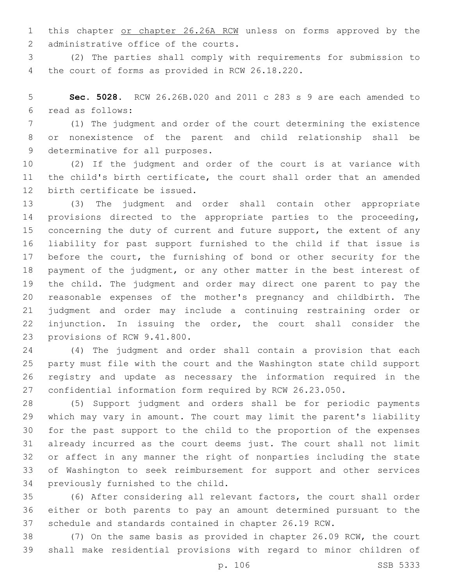1 this chapter or chapter 26.26A RCW unless on forms approved by the 2 administrative office of the courts.

 (2) The parties shall comply with requirements for submission to 4 the court of forms as provided in RCW 26.18.220.

 **Sec. 5028.** RCW 26.26B.020 and 2011 c 283 s 9 are each amended to read as follows:6

 (1) The judgment and order of the court determining the existence or nonexistence of the parent and child relationship shall be 9 determinative for all purposes.

 (2) If the judgment and order of the court is at variance with the child's birth certificate, the court shall order that an amended 12 birth certificate be issued.

 (3) The judgment and order shall contain other appropriate provisions directed to the appropriate parties to the proceeding, 15 concerning the duty of current and future support, the extent of any liability for past support furnished to the child if that issue is 17 before the court, the furnishing of bond or other security for the payment of the judgment, or any other matter in the best interest of the child. The judgment and order may direct one parent to pay the reasonable expenses of the mother's pregnancy and childbirth. The judgment and order may include a continuing restraining order or injunction. In issuing the order, the court shall consider the 23 provisions of RCW 9.41.800.

 (4) The judgment and order shall contain a provision that each party must file with the court and the Washington state child support registry and update as necessary the information required in the confidential information form required by RCW 26.23.050.

 (5) Support judgment and orders shall be for periodic payments which may vary in amount. The court may limit the parent's liability for the past support to the child to the proportion of the expenses already incurred as the court deems just. The court shall not limit or affect in any manner the right of nonparties including the state of Washington to seek reimbursement for support and other services 34 previously furnished to the child.

 (6) After considering all relevant factors, the court shall order either or both parents to pay an amount determined pursuant to the schedule and standards contained in chapter 26.19 RCW.

 (7) On the same basis as provided in chapter 26.09 RCW, the court shall make residential provisions with regard to minor children of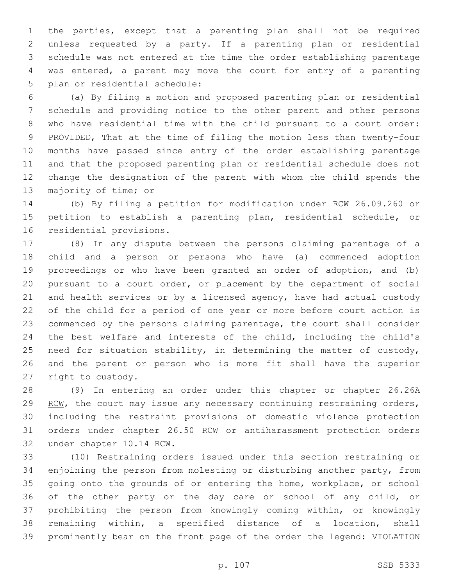the parties, except that a parenting plan shall not be required unless requested by a party. If a parenting plan or residential schedule was not entered at the time the order establishing parentage was entered, a parent may move the court for entry of a parenting 5 plan or residential schedule:

 (a) By filing a motion and proposed parenting plan or residential schedule and providing notice to the other parent and other persons who have residential time with the child pursuant to a court order: PROVIDED, That at the time of filing the motion less than twenty-four months have passed since entry of the order establishing parentage and that the proposed parenting plan or residential schedule does not change the designation of the parent with whom the child spends the 13 majority of time; or

 (b) By filing a petition for modification under RCW 26.09.260 or petition to establish a parenting plan, residential schedule, or 16 residential provisions.

 (8) In any dispute between the persons claiming parentage of a child and a person or persons who have (a) commenced adoption proceedings or who have been granted an order of adoption, and (b) pursuant to a court order, or placement by the department of social and health services or by a licensed agency, have had actual custody of the child for a period of one year or more before court action is commenced by the persons claiming parentage, the court shall consider the best welfare and interests of the child, including the child's need for situation stability, in determining the matter of custody, and the parent or person who is more fit shall have the superior 27 right to custody.

28 (9) In entering an order under this chapter or chapter 26.26A 29 RCW, the court may issue any necessary continuing restraining orders, including the restraint provisions of domestic violence protection orders under chapter 26.50 RCW or antiharassment protection orders 32 under chapter 10.14 RCW.

 (10) Restraining orders issued under this section restraining or enjoining the person from molesting or disturbing another party, from going onto the grounds of or entering the home, workplace, or school of the other party or the day care or school of any child, or prohibiting the person from knowingly coming within, or knowingly remaining within, a specified distance of a location, shall prominently bear on the front page of the order the legend: VIOLATION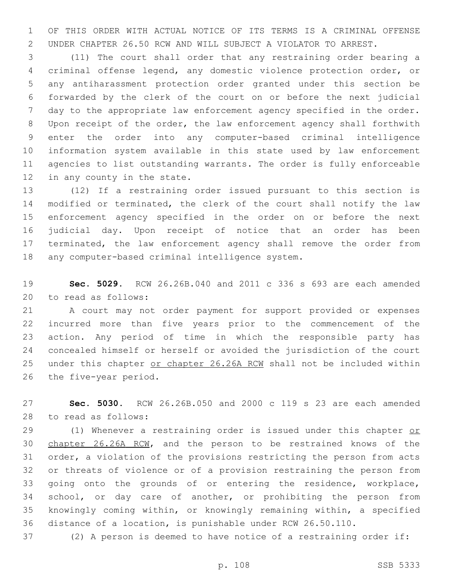OF THIS ORDER WITH ACTUAL NOTICE OF ITS TERMS IS A CRIMINAL OFFENSE UNDER CHAPTER 26.50 RCW AND WILL SUBJECT A VIOLATOR TO ARREST.

 (11) The court shall order that any restraining order bearing a criminal offense legend, any domestic violence protection order, or any antiharassment protection order granted under this section be forwarded by the clerk of the court on or before the next judicial day to the appropriate law enforcement agency specified in the order. Upon receipt of the order, the law enforcement agency shall forthwith enter the order into any computer-based criminal intelligence information system available in this state used by law enforcement agencies to list outstanding warrants. The order is fully enforceable 12 in any county in the state.

 (12) If a restraining order issued pursuant to this section is modified or terminated, the clerk of the court shall notify the law enforcement agency specified in the order on or before the next judicial day. Upon receipt of notice that an order has been terminated, the law enforcement agency shall remove the order from 18 any computer-based criminal intelligence system.

 **Sec. 5029.** RCW 26.26B.040 and 2011 c 336 s 693 are each amended 20 to read as follows:

 A court may not order payment for support provided or expenses incurred more than five years prior to the commencement of the action. Any period of time in which the responsible party has concealed himself or herself or avoided the jurisdiction of the court 25 under this chapter or chapter 26.26A RCW shall not be included within 26 the five-year period.

 **Sec. 5030.** RCW 26.26B.050 and 2000 c 119 s 23 are each amended 28 to read as follows:

29 (1) Whenever a restraining order is issued under this chapter or chapter 26.26A RCW, and the person to be restrained knows of the order, a violation of the provisions restricting the person from acts or threats of violence or of a provision restraining the person from going onto the grounds of or entering the residence, workplace, school, or day care of another, or prohibiting the person from knowingly coming within, or knowingly remaining within, a specified distance of a location, is punishable under RCW 26.50.110.

(2) A person is deemed to have notice of a restraining order if: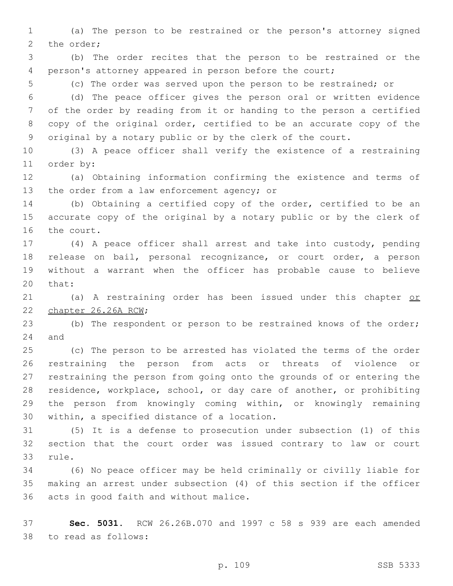(a) The person to be restrained or the person's attorney signed 2 the order;

 (b) The order recites that the person to be restrained or the person's attorney appeared in person before the court;

(c) The order was served upon the person to be restrained; or

 (d) The peace officer gives the person oral or written evidence of the order by reading from it or handing to the person a certified copy of the original order, certified to be an accurate copy of the original by a notary public or by the clerk of the court.

 (3) A peace officer shall verify the existence of a restraining 11 order by:

 (a) Obtaining information confirming the existence and terms of 13 the order from a law enforcement agency; or

 (b) Obtaining a certified copy of the order, certified to be an accurate copy of the original by a notary public or by the clerk of 16 the court.

 (4) A peace officer shall arrest and take into custody, pending release on bail, personal recognizance, or court order, a person without a warrant when the officer has probable cause to believe 20 that:

21 (a) A restraining order has been issued under this chapter or 22 chapter 26.26A RCW;

 (b) The respondent or person to be restrained knows of the order; 24 and

 (c) The person to be arrested has violated the terms of the order restraining the person from acts or threats of violence or restraining the person from going onto the grounds of or entering the residence, workplace, school, or day care of another, or prohibiting the person from knowingly coming within, or knowingly remaining 30 within, a specified distance of a location.

 (5) It is a defense to prosecution under subsection (1) of this section that the court order was issued contrary to law or court 33 rule.

 (6) No peace officer may be held criminally or civilly liable for making an arrest under subsection (4) of this section if the officer 36 acts in good faith and without malice.

 **Sec. 5031.** RCW 26.26B.070 and 1997 c 58 s 939 are each amended to read as follows:38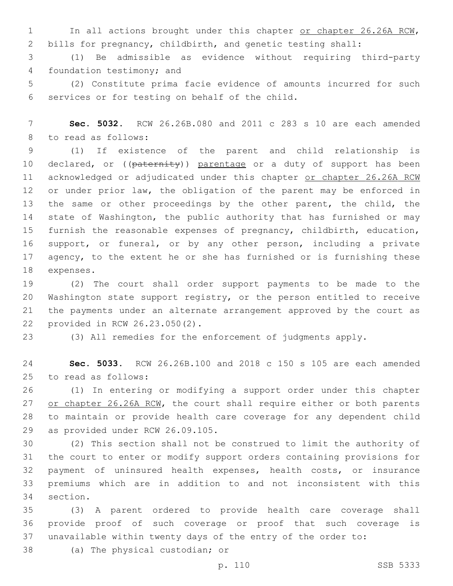1 In all actions brought under this chapter or chapter 26.26A RCW, 2 bills for pregnancy, childbirth, and genetic testing shall:

3 (1) Be admissible as evidence without requiring third-party 4 foundation testimony; and

5 (2) Constitute prima facie evidence of amounts incurred for such 6 services or for testing on behalf of the child.

7 **Sec. 5032.** RCW 26.26B.080 and 2011 c 283 s 10 are each amended 8 to read as follows:

9 (1) If existence of the parent and child relationship is 10 declared, or ((paternity)) parentage or a duty of support has been 11 acknowledged or adjudicated under this chapter or chapter 26.26A RCW 12 or under prior law, the obligation of the parent may be enforced in 13 the same or other proceedings by the other parent, the child, the 14 state of Washington, the public authority that has furnished or may 15 furnish the reasonable expenses of pregnancy, childbirth, education, 16 support, or funeral, or by any other person, including a private 17 agency, to the extent he or she has furnished or is furnishing these 18 expenses.

 (2) The court shall order support payments to be made to the Washington state support registry, or the person entitled to receive the payments under an alternate arrangement approved by the court as provided in RCW 26.23.050(2).22

23 (3) All remedies for the enforcement of judgments apply.

24 **Sec. 5033.** RCW 26.26B.100 and 2018 c 150 s 105 are each amended 25 to read as follows:

 (1) In entering or modifying a support order under this chapter or chapter 26.26A RCW, the court shall require either or both parents to maintain or provide health care coverage for any dependent child 29 as provided under RCW 26.09.105.

 (2) This section shall not be construed to limit the authority of the court to enter or modify support orders containing provisions for payment of uninsured health expenses, health costs, or insurance premiums which are in addition to and not inconsistent with this 34 section.

35 (3) A parent ordered to provide health care coverage shall 36 provide proof of such coverage or proof that such coverage is 37 unavailable within twenty days of the entry of the order to:

38 (a) The physical custodian; or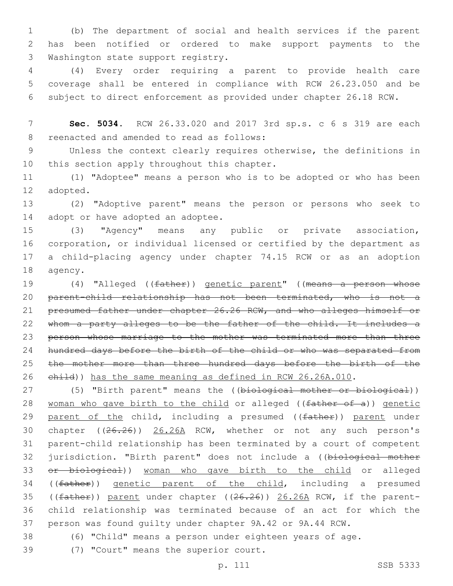1 (b) The department of social and health services if the parent 2 has been notified or ordered to make support payments to the 3 Washington state support registry.

4 (4) Every order requiring a parent to provide health care 5 coverage shall be entered in compliance with RCW 26.23.050 and be 6 subject to direct enforcement as provided under chapter 26.18 RCW.

7 **Sec. 5034.** RCW 26.33.020 and 2017 3rd sp.s. c 6 s 319 are each 8 reenacted and amended to read as follows:

9 Unless the context clearly requires otherwise, the definitions in 10 this section apply throughout this chapter.

11 (1) "Adoptee" means a person who is to be adopted or who has been 12 adopted.

13 (2) "Adoptive parent" means the person or persons who seek to 14 adopt or have adopted an adoptee.

 (3) "Agency" means any public or private association, corporation, or individual licensed or certified by the department as a child-placing agency under chapter 74.15 RCW or as an adoption 18 agency.

19 (4) "Alleged ((father)) genetic parent" ((means a person whose 20 parent-child relationship has not been terminated, who is not a 21 presumed father under chapter 26.26 RCW, and who alleges himself or 22 whom a party alleges to be the father of the child. It includes a 23 person whose marriage to the mother was terminated more than three 24 hundred days before the birth of the child or who was separated from 25 the mother more than three hundred days before the birth of the 26 ehild)) has the same meaning as defined in RCW 26.26A.010.

27 (5) "Birth parent" means the ((biological mother or biological)) 28 woman who gave birth to the child or alleged ( $(father of a)$ ) genetic 29 parent of the child, including a presumed ((father)) parent under 30 chapter ((26.26)) 26.26A RCW, whether or not any such person's 31 parent-child relationship has been terminated by a court of competent 32 jurisdiction. "Birth parent" does not include a ((biological mother 33 or biological)) woman who gave birth to the child or alleged 34 ((father)) genetic parent of the child, including a presumed 35 ((father)) parent under chapter ((26.26)) 26.26A RCW, if the parent-36 child relationship was terminated because of an act for which the 37 person was found guilty under chapter 9A.42 or 9A.44 RCW.

38 (6) "Child" means a person under eighteen years of age.

39 (7) "Court" means the superior court.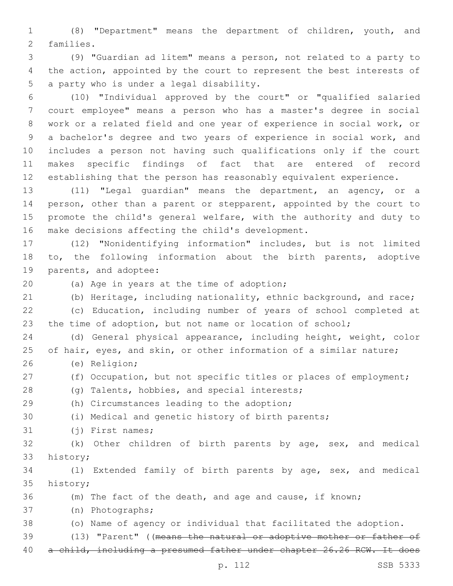(8) "Department" means the department of children, youth, and 2 families.

 (9) "Guardian ad litem" means a person, not related to a party to the action, appointed by the court to represent the best interests of 5 a party who is under a legal disability.

 (10) "Individual approved by the court" or "qualified salaried court employee" means a person who has a master's degree in social work or a related field and one year of experience in social work, or a bachelor's degree and two years of experience in social work, and includes a person not having such qualifications only if the court makes specific findings of fact that are entered of record establishing that the person has reasonably equivalent experience.

 (11) "Legal guardian" means the department, an agency, or a person, other than a parent or stepparent, appointed by the court to promote the child's general welfare, with the authority and duty to 16 make decisions affecting the child's development.

 (12) "Nonidentifying information" includes, but is not limited to, the following information about the birth parents, adoptive 19 parents, and adoptee:

20 (a) Age in years at the time of adoption;

(b) Heritage, including nationality, ethnic background, and race;

 (c) Education, including number of years of school completed at the time of adoption, but not name or location of school;

 (d) General physical appearance, including height, weight, color 25 of hair, eyes, and skin, or other information of a similar nature; (e) Religion;26

(f) Occupation, but not specific titles or places of employment;

28 (g) Talents, hobbies, and special interests;

(h) Circumstances leading to the adoption;29

(i) Medical and genetic history of birth parents;

31 (i) First names;

 (k) Other children of birth parents by age, sex, and medical 33 history;

 (l) Extended family of birth parents by age, sex, and medical 35 history;

(m) The fact of the death, and age and cause, if known;

(n) Photographs;37

(o) Name of agency or individual that facilitated the adoption.

39 (13) "Parent" ((means the natural or adoptive mother or father of

a child, including a presumed father under chapter 26.26 RCW. It does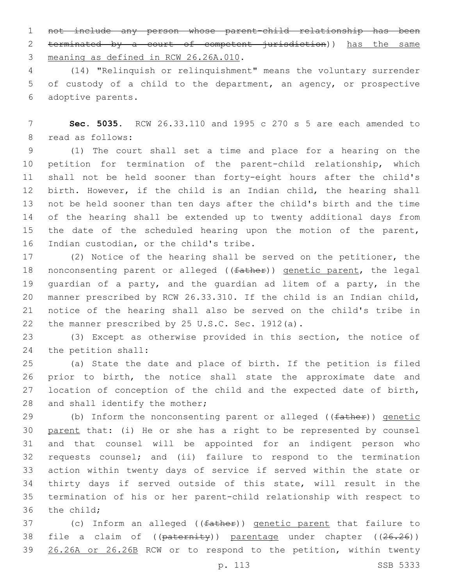not include any person whose parent-child relationship has been terminated by a court of competent jurisdiction)) has the same 3 meaning as defined in RCW 26.26A.010.

 (14) "Relinquish or relinquishment" means the voluntary surrender of custody of a child to the department, an agency, or prospective adoptive parents.6

 **Sec. 5035.** RCW 26.33.110 and 1995 c 270 s 5 are each amended to 8 read as follows:

 (1) The court shall set a time and place for a hearing on the petition for termination of the parent-child relationship, which shall not be held sooner than forty-eight hours after the child's birth. However, if the child is an Indian child, the hearing shall not be held sooner than ten days after the child's birth and the time of the hearing shall be extended up to twenty additional days from 15 the date of the scheduled hearing upon the motion of the parent, 16 Indian custodian, or the child's tribe.

 (2) Notice of the hearing shall be served on the petitioner, the 18 nonconsenting parent or alleged ((father)) genetic parent, the legal guardian of a party, and the guardian ad litem of a party, in the manner prescribed by RCW 26.33.310. If the child is an Indian child, notice of the hearing shall also be served on the child's tribe in 22 the manner prescribed by 25 U.S.C. Sec. 1912(a).

 (3) Except as otherwise provided in this section, the notice of 24 the petition shall:

 (a) State the date and place of birth. If the petition is filed prior to birth, the notice shall state the approximate date and location of conception of the child and the expected date of birth, 28 and shall identify the mother;

29 (b) Inform the nonconsenting parent or alleged ((father)) genetic parent that: (i) He or she has a right to be represented by counsel and that counsel will be appointed for an indigent person who requests counsel; and (ii) failure to respond to the termination action within twenty days of service if served within the state or thirty days if served outside of this state, will result in the termination of his or her parent-child relationship with respect to 36 the child:

37 (c) Inform an alleged ((<del>father</del>)) genetic parent that failure to 38 file a claim of ((paternity)) parentage under chapter ((26.26)) 26.26A or 26.26B RCW or to respond to the petition, within twenty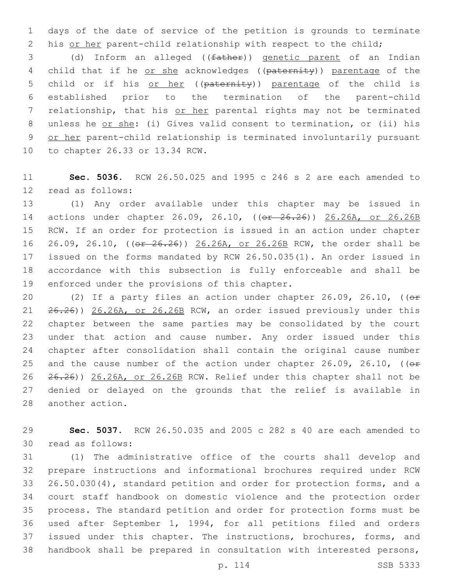days of the date of service of the petition is grounds to terminate 2 his or her parent-child relationship with respect to the child;

 (d) Inform an alleged ((father)) genetic parent of an Indian 4 child that if he or she acknowledges ((paternity)) parentage of the 5 child or if his or her ((paternity)) parentage of the child is established prior to the termination of the parent-child 7 relationship, that his or her parental rights may not be terminated 8 unless he or she: (i) Gives valid consent to termination, or (ii) his 9 or her parent-child relationship is terminated involuntarily pursuant 10 to chapter 26.33 or 13.34 RCW.

 **Sec. 5036.** RCW 26.50.025 and 1995 c 246 s 2 are each amended to 12 read as follows:

 (1) Any order available under this chapter may be issued in actions under chapter 26.09, 26.10, ((or 26.26)) 26.26A, or 26.26B RCW. If an order for protection is issued in an action under chapter 26.09, 26.10, ((or 26.26)) 26.26A, or 26.26B RCW, the order shall be issued on the forms mandated by RCW 26.50.035(1). An order issued in accordance with this subsection is fully enforceable and shall be 19 enforced under the provisions of this chapter.

20 (2) If a party files an action under chapter 26.09, 26.10, ((or 26.26)) 26.26A, or 26.26B RCW, an order issued previously under this chapter between the same parties may be consolidated by the court under that action and cause number. Any order issued under this chapter after consolidation shall contain the original cause number 25 and the cause number of the action under chapter 26.09, 26.10, ( $\Theta$ f 26.26)) 26.26A, or 26.26B RCW. Relief under this chapter shall not be denied or delayed on the grounds that the relief is available in 28 another action.

 **Sec. 5037.** RCW 26.50.035 and 2005 c 282 s 40 are each amended to 30 read as follows:

 (1) The administrative office of the courts shall develop and prepare instructions and informational brochures required under RCW 26.50.030(4), standard petition and order for protection forms, and a court staff handbook on domestic violence and the protection order process. The standard petition and order for protection forms must be used after September 1, 1994, for all petitions filed and orders 37 issued under this chapter. The instructions, brochures, forms, and handbook shall be prepared in consultation with interested persons,

p. 114 SSB 5333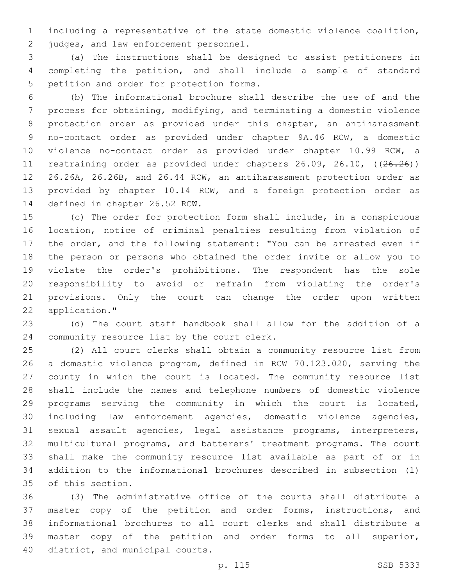including a representative of the state domestic violence coalition, 2 judges, and law enforcement personnel.

 (a) The instructions shall be designed to assist petitioners in completing the petition, and shall include a sample of standard 5 petition and order for protection forms.

 (b) The informational brochure shall describe the use of and the process for obtaining, modifying, and terminating a domestic violence protection order as provided under this chapter, an antiharassment no-contact order as provided under chapter 9A.46 RCW, a domestic violence no-contact order as provided under chapter 10.99 RCW, a 11 restraining order as provided under chapters 26.09, 26.10, ((26.26)) 12 26.26A, 26.26B, and 26.44 RCW, an antiharassment protection order as provided by chapter 10.14 RCW, and a foreign protection order as 14 defined in chapter 26.52 RCW.

 (c) The order for protection form shall include, in a conspicuous location, notice of criminal penalties resulting from violation of the order, and the following statement: "You can be arrested even if the person or persons who obtained the order invite or allow you to violate the order's prohibitions. The respondent has the sole responsibility to avoid or refrain from violating the order's provisions. Only the court can change the order upon written 22 application."

 (d) The court staff handbook shall allow for the addition of a 24 community resource list by the court clerk.

 (2) All court clerks shall obtain a community resource list from a domestic violence program, defined in RCW 70.123.020, serving the county in which the court is located. The community resource list shall include the names and telephone numbers of domestic violence programs serving the community in which the court is located, including law enforcement agencies, domestic violence agencies, sexual assault agencies, legal assistance programs, interpreters, multicultural programs, and batterers' treatment programs. The court shall make the community resource list available as part of or in addition to the informational brochures described in subsection (1) 35 of this section.

 (3) The administrative office of the courts shall distribute a master copy of the petition and order forms, instructions, and informational brochures to all court clerks and shall distribute a master copy of the petition and order forms to all superior, 40 district, and municipal courts.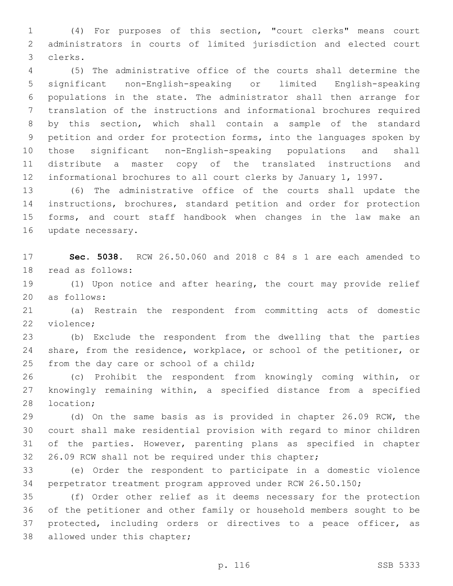(4) For purposes of this section, "court clerks" means court administrators in courts of limited jurisdiction and elected court 3 clerks.

 (5) The administrative office of the courts shall determine the significant non-English-speaking or limited English-speaking populations in the state. The administrator shall then arrange for translation of the instructions and informational brochures required by this section, which shall contain a sample of the standard petition and order for protection forms, into the languages spoken by those significant non-English-speaking populations and shall distribute a master copy of the translated instructions and informational brochures to all court clerks by January 1, 1997.

 (6) The administrative office of the courts shall update the instructions, brochures, standard petition and order for protection forms, and court staff handbook when changes in the law make an 16 update necessary.

 **Sec. 5038.** RCW 26.50.060 and 2018 c 84 s 1 are each amended to 18 read as follows:

 (1) Upon notice and after hearing, the court may provide relief 20 as follows:

 (a) Restrain the respondent from committing acts of domestic 22 violence;

 (b) Exclude the respondent from the dwelling that the parties share, from the residence, workplace, or school of the petitioner, or 25 from the day care or school of a child;

 (c) Prohibit the respondent from knowingly coming within, or knowingly remaining within, a specified distance from a specified 28 location;

 (d) On the same basis as is provided in chapter 26.09 RCW, the court shall make residential provision with regard to minor children of the parties. However, parenting plans as specified in chapter 26.09 RCW shall not be required under this chapter;

 (e) Order the respondent to participate in a domestic violence perpetrator treatment program approved under RCW 26.50.150;

 (f) Order other relief as it deems necessary for the protection of the petitioner and other family or household members sought to be protected, including orders or directives to a peace officer, as 38 allowed under this chapter;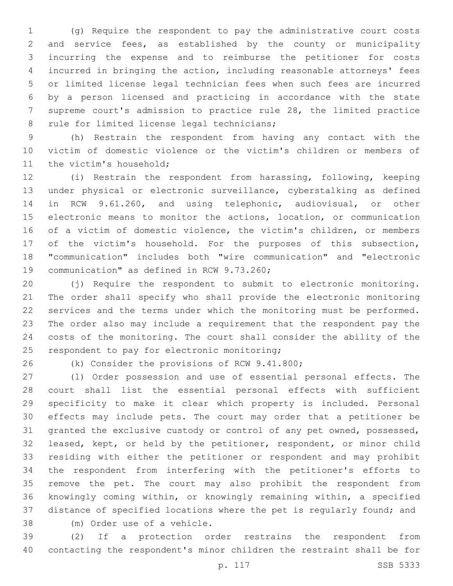(g) Require the respondent to pay the administrative court costs and service fees, as established by the county or municipality incurring the expense and to reimburse the petitioner for costs incurred in bringing the action, including reasonable attorneys' fees or limited license legal technician fees when such fees are incurred by a person licensed and practicing in accordance with the state supreme court's admission to practice rule 28, the limited practice 8 rule for limited license legal technicians;

 (h) Restrain the respondent from having any contact with the victim of domestic violence or the victim's children or members of 11 the victim's household;

 (i) Restrain the respondent from harassing, following, keeping under physical or electronic surveillance, cyberstalking as defined in RCW 9.61.260, and using telephonic, audiovisual, or other electronic means to monitor the actions, location, or communication of a victim of domestic violence, the victim's children, or members of the victim's household. For the purposes of this subsection, "communication" includes both "wire communication" and "electronic 19 communication" as defined in RCW 9.73.260;

 (j) Require the respondent to submit to electronic monitoring. The order shall specify who shall provide the electronic monitoring services and the terms under which the monitoring must be performed. The order also may include a requirement that the respondent pay the costs of the monitoring. The court shall consider the ability of the 25 respondent to pay for electronic monitoring;

26 (k) Consider the provisions of RCW 9.41.800;

 (l) Order possession and use of essential personal effects. The court shall list the essential personal effects with sufficient specificity to make it clear which property is included. Personal effects may include pets. The court may order that a petitioner be granted the exclusive custody or control of any pet owned, possessed, leased, kept, or held by the petitioner, respondent, or minor child residing with either the petitioner or respondent and may prohibit the respondent from interfering with the petitioner's efforts to remove the pet. The court may also prohibit the respondent from knowingly coming within, or knowingly remaining within, a specified distance of specified locations where the pet is regularly found; and

38 (m) Order use of a vehicle.

 (2) If a protection order restrains the respondent from contacting the respondent's minor children the restraint shall be for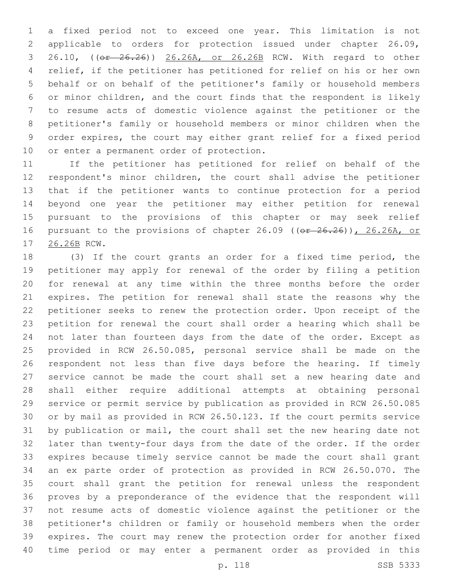a fixed period not to exceed one year. This limitation is not applicable to orders for protection issued under chapter 26.09, 26.10, ((or 26.26)) 26.26A, or 26.26B RCW. With regard to other relief, if the petitioner has petitioned for relief on his or her own behalf or on behalf of the petitioner's family or household members or minor children, and the court finds that the respondent is likely to resume acts of domestic violence against the petitioner or the petitioner's family or household members or minor children when the order expires, the court may either grant relief for a fixed period 10 or enter a permanent order of protection.

 If the petitioner has petitioned for relief on behalf of the respondent's minor children, the court shall advise the petitioner that if the petitioner wants to continue protection for a period beyond one year the petitioner may either petition for renewal pursuant to the provisions of this chapter or may seek relief 16 pursuant to the provisions of chapter 26.09 ((or 26.26)), 26.26A, or 17 26.26B RCW.

 (3) If the court grants an order for a fixed time period, the petitioner may apply for renewal of the order by filing a petition for renewal at any time within the three months before the order expires. The petition for renewal shall state the reasons why the petitioner seeks to renew the protection order. Upon receipt of the petition for renewal the court shall order a hearing which shall be not later than fourteen days from the date of the order. Except as provided in RCW 26.50.085, personal service shall be made on the respondent not less than five days before the hearing. If timely service cannot be made the court shall set a new hearing date and shall either require additional attempts at obtaining personal service or permit service by publication as provided in RCW 26.50.085 or by mail as provided in RCW 26.50.123. If the court permits service by publication or mail, the court shall set the new hearing date not later than twenty-four days from the date of the order. If the order expires because timely service cannot be made the court shall grant an ex parte order of protection as provided in RCW 26.50.070. The court shall grant the petition for renewal unless the respondent proves by a preponderance of the evidence that the respondent will not resume acts of domestic violence against the petitioner or the petitioner's children or family or household members when the order expires. The court may renew the protection order for another fixed time period or may enter a permanent order as provided in this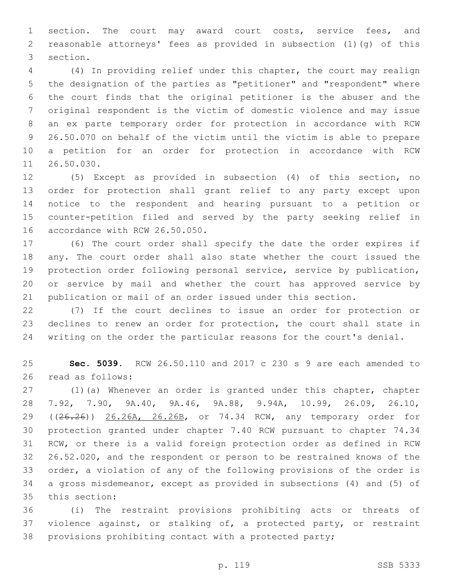section. The court may award court costs, service fees, and reasonable attorneys' fees as provided in subsection (1)(g) of this 3 section.

 (4) In providing relief under this chapter, the court may realign the designation of the parties as "petitioner" and "respondent" where the court finds that the original petitioner is the abuser and the original respondent is the victim of domestic violence and may issue an ex parte temporary order for protection in accordance with RCW 26.50.070 on behalf of the victim until the victim is able to prepare a petition for an order for protection in accordance with RCW 11 26.50.030.

 (5) Except as provided in subsection (4) of this section, no order for protection shall grant relief to any party except upon notice to the respondent and hearing pursuant to a petition or counter-petition filed and served by the party seeking relief in 16 accordance with RCW 26.50.050.

 (6) The court order shall specify the date the order expires if any. The court order shall also state whether the court issued the protection order following personal service, service by publication, or service by mail and whether the court has approved service by publication or mail of an order issued under this section.

 (7) If the court declines to issue an order for protection or declines to renew an order for protection, the court shall state in writing on the order the particular reasons for the court's denial.

 **Sec. 5039.** RCW 26.50.110 and 2017 c 230 s 9 are each amended to 26 read as follows:

 (1)(a) Whenever an order is granted under this chapter, chapter 7.92, 7.90, 9A.40, 9A.46, 9A.88, 9.94A, 10.99, 26.09, 26.10, 29 ((26.26)) 26.26A, 26.26B, or 74.34 RCW, any temporary order for protection granted under chapter 7.40 RCW pursuant to chapter 74.34 RCW, or there is a valid foreign protection order as defined in RCW 26.52.020, and the respondent or person to be restrained knows of the order, a violation of any of the following provisions of the order is a gross misdemeanor, except as provided in subsections (4) and (5) of 35 this section:

 (i) The restraint provisions prohibiting acts or threats of 37 violence against, or stalking of, a protected party, or restraint provisions prohibiting contact with a protected party;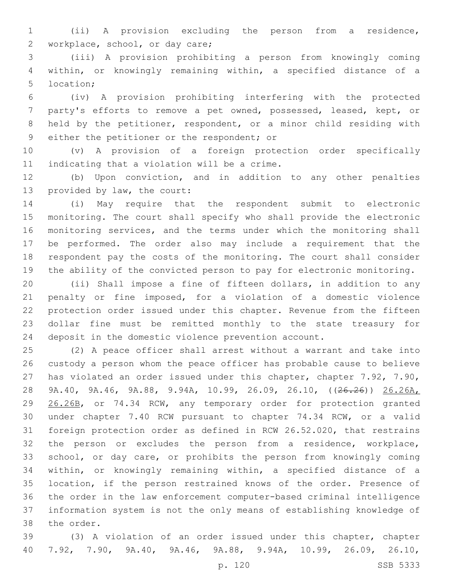(ii) A provision excluding the person from a residence, 2 workplace, school, or day care;

 (iii) A provision prohibiting a person from knowingly coming within, or knowingly remaining within, a specified distance of a 5 location;

 (iv) A provision prohibiting interfering with the protected party's efforts to remove a pet owned, possessed, leased, kept, or held by the petitioner, respondent, or a minor child residing with 9 either the petitioner or the respondent; or

 (v) A provision of a foreign protection order specifically 11 indicating that a violation will be a crime.

 (b) Upon conviction, and in addition to any other penalties 13 provided by law, the court:

 (i) May require that the respondent submit to electronic monitoring. The court shall specify who shall provide the electronic monitoring services, and the terms under which the monitoring shall be performed. The order also may include a requirement that the respondent pay the costs of the monitoring. The court shall consider the ability of the convicted person to pay for electronic monitoring.

 (ii) Shall impose a fine of fifteen dollars, in addition to any penalty or fine imposed, for a violation of a domestic violence protection order issued under this chapter. Revenue from the fifteen dollar fine must be remitted monthly to the state treasury for deposit in the domestic violence prevention account.

 (2) A peace officer shall arrest without a warrant and take into custody a person whom the peace officer has probable cause to believe has violated an order issued under this chapter, chapter 7.92, 7.90, 9A.40, 9A.46, 9A.88, 9.94A, 10.99, 26.09, 26.10, ((26.26)) 26.26A, 26.26B, or 74.34 RCW, any temporary order for protection granted under chapter 7.40 RCW pursuant to chapter 74.34 RCW, or a valid foreign protection order as defined in RCW 26.52.020, that restrains the person or excludes the person from a residence, workplace, school, or day care, or prohibits the person from knowingly coming within, or knowingly remaining within, a specified distance of a location, if the person restrained knows of the order. Presence of the order in the law enforcement computer-based criminal intelligence information system is not the only means of establishing knowledge of 38 the order.

 (3) A violation of an order issued under this chapter, chapter 7.92, 7.90, 9A.40, 9A.46, 9A.88, 9.94A, 10.99, 26.09, 26.10,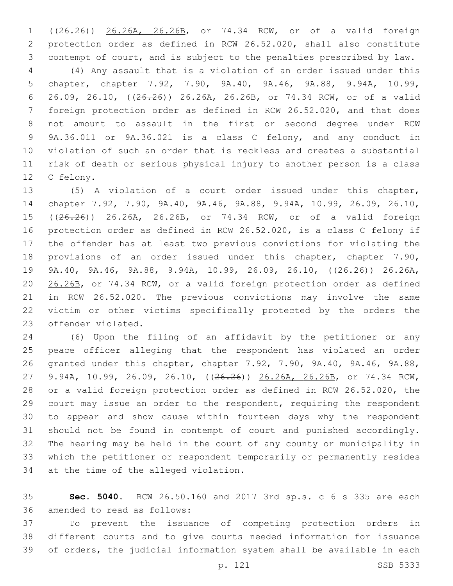((26.26)) 26.26A, 26.26B, or 74.34 RCW, or of a valid foreign protection order as defined in RCW 26.52.020, shall also constitute contempt of court, and is subject to the penalties prescribed by law.

 (4) Any assault that is a violation of an order issued under this chapter, chapter 7.92, 7.90, 9A.40, 9A.46, 9A.88, 9.94A, 10.99, 26.09, 26.10, ((26.26)) 26.26A, 26.26B, or 74.34 RCW, or of a valid foreign protection order as defined in RCW 26.52.020, and that does not amount to assault in the first or second degree under RCW 9A.36.011 or 9A.36.021 is a class C felony, and any conduct in violation of such an order that is reckless and creates a substantial risk of death or serious physical injury to another person is a class 12 C felony.

 (5) A violation of a court order issued under this chapter, chapter 7.92, 7.90, 9A.40, 9A.46, 9A.88, 9.94A, 10.99, 26.09, 26.10, 15 ((26.26)) 26.26A, 26.26B, or 74.34 RCW, or of a valid foreign protection order as defined in RCW 26.52.020, is a class C felony if the offender has at least two previous convictions for violating the provisions of an order issued under this chapter, chapter 7.90, 9A.40, 9A.46, 9A.88, 9.94A, 10.99, 26.09, 26.10, ((26.26)) 26.26A, 26.26B, or 74.34 RCW, or a valid foreign protection order as defined in RCW 26.52.020. The previous convictions may involve the same victim or other victims specifically protected by the orders the 23 offender violated.

 (6) Upon the filing of an affidavit by the petitioner or any peace officer alleging that the respondent has violated an order granted under this chapter, chapter 7.92, 7.90, 9A.40, 9A.46, 9A.88, 9.94A, 10.99, 26.09, 26.10, ((26.26)) 26.26A, 26.26B, or 74.34 RCW, or a valid foreign protection order as defined in RCW 26.52.020, the court may issue an order to the respondent, requiring the respondent to appear and show cause within fourteen days why the respondent should not be found in contempt of court and punished accordingly. The hearing may be held in the court of any county or municipality in which the petitioner or respondent temporarily or permanently resides 34 at the time of the alleged violation.

 **Sec. 5040.** RCW 26.50.160 and 2017 3rd sp.s. c 6 s 335 are each 36 amended to read as follows:

 To prevent the issuance of competing protection orders in different courts and to give courts needed information for issuance of orders, the judicial information system shall be available in each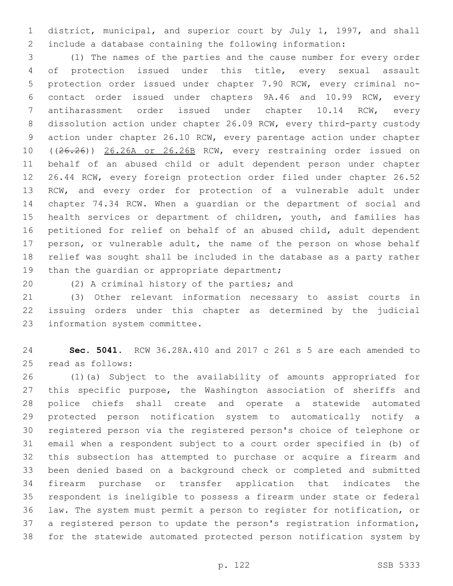district, municipal, and superior court by July 1, 1997, and shall include a database containing the following information:

 (1) The names of the parties and the cause number for every order of protection issued under this title, every sexual assault protection order issued under chapter 7.90 RCW, every criminal no- contact order issued under chapters 9A.46 and 10.99 RCW, every antiharassment order issued under chapter 10.14 RCW, every dissolution action under chapter 26.09 RCW, every third-party custody action under chapter 26.10 RCW, every parentage action under chapter 10 ((26.26)) 26.26A or 26.26B RCW, every restraining order issued on behalf of an abused child or adult dependent person under chapter 26.44 RCW, every foreign protection order filed under chapter 26.52 RCW, and every order for protection of a vulnerable adult under chapter 74.34 RCW. When a guardian or the department of social and 15 health services or department of children, youth, and families has petitioned for relief on behalf of an abused child, adult dependent 17 person, or vulnerable adult, the name of the person on whose behalf relief was sought shall be included in the database as a party rather 19 than the quardian or appropriate department;

20 (2) A criminal history of the parties; and

 (3) Other relevant information necessary to assist courts in issuing orders under this chapter as determined by the judicial 23 information system committee.

 **Sec. 5041.** RCW 36.28A.410 and 2017 c 261 s 5 are each amended to 25 read as follows:

 (1)(a) Subject to the availability of amounts appropriated for 27 this specific purpose, the Washington association of sheriffs and police chiefs shall create and operate a statewide automated protected person notification system to automatically notify a registered person via the registered person's choice of telephone or email when a respondent subject to a court order specified in (b) of this subsection has attempted to purchase or acquire a firearm and been denied based on a background check or completed and submitted firearm purchase or transfer application that indicates the respondent is ineligible to possess a firearm under state or federal law. The system must permit a person to register for notification, or a registered person to update the person's registration information, for the statewide automated protected person notification system by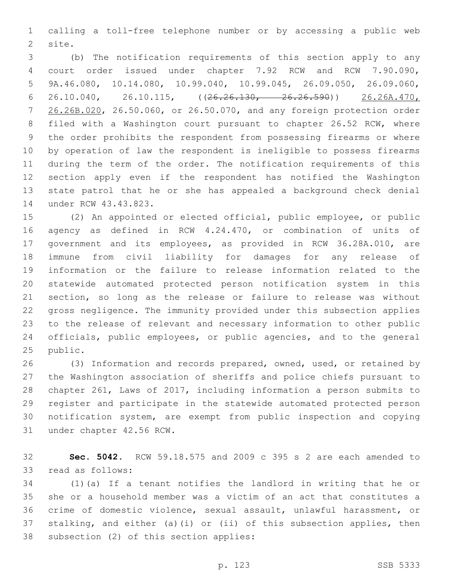calling a toll-free telephone number or by accessing a public web 2 site.

 (b) The notification requirements of this section apply to any court order issued under chapter 7.92 RCW and RCW 7.90.090, 9A.46.080, 10.14.080, 10.99.040, 10.99.045, 26.09.050, 26.09.060, 6 26.10.040, 26.10.115,  $((26.26.130, -26.26.590))$  26.26A.470, 26.26B.020, 26.50.060, or 26.50.070, and any foreign protection order filed with a Washington court pursuant to chapter 26.52 RCW, where the order prohibits the respondent from possessing firearms or where by operation of law the respondent is ineligible to possess firearms during the term of the order. The notification requirements of this section apply even if the respondent has notified the Washington state patrol that he or she has appealed a background check denial 14 under RCW 43.43.823.

 (2) An appointed or elected official, public employee, or public agency as defined in RCW 4.24.470, or combination of units of government and its employees, as provided in RCW 36.28A.010, are immune from civil liability for damages for any release of information or the failure to release information related to the statewide automated protected person notification system in this section, so long as the release or failure to release was without gross negligence. The immunity provided under this subsection applies to the release of relevant and necessary information to other public officials, public employees, or public agencies, and to the general 25 public.

 (3) Information and records prepared, owned, used, or retained by the Washington association of sheriffs and police chiefs pursuant to chapter 261, Laws of 2017, including information a person submits to register and participate in the statewide automated protected person notification system, are exempt from public inspection and copying 31 under chapter 42.56 RCW.

 **Sec. 5042.** RCW 59.18.575 and 2009 c 395 s 2 are each amended to 33 read as follows:

 (1)(a) If a tenant notifies the landlord in writing that he or she or a household member was a victim of an act that constitutes a crime of domestic violence, sexual assault, unlawful harassment, or stalking, and either (a)(i) or (ii) of this subsection applies, then 38 subsection (2) of this section applies: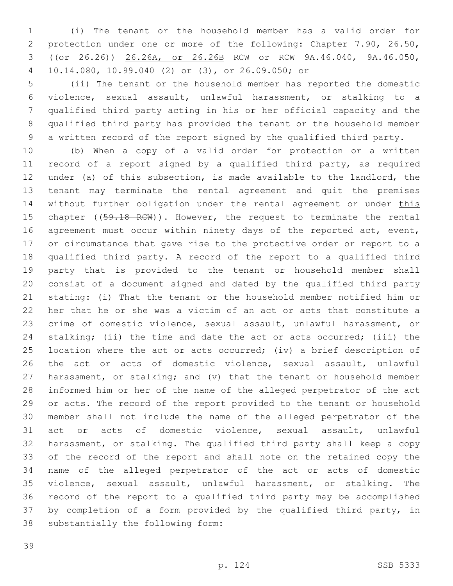(i) The tenant or the household member has a valid order for protection under one or more of the following: Chapter 7.90, 26.50, ((or 26.26)) 26.26A, or 26.26B RCW or RCW 9A.46.040, 9A.46.050, 10.14.080, 10.99.040 (2) or (3), or 26.09.050; or4

 (ii) The tenant or the household member has reported the domestic violence, sexual assault, unlawful harassment, or stalking to a qualified third party acting in his or her official capacity and the qualified third party has provided the tenant or the household member a written record of the report signed by the qualified third party.

 (b) When a copy of a valid order for protection or a written record of a report signed by a qualified third party, as required under (a) of this subsection, is made available to the landlord, the tenant may terminate the rental agreement and quit the premises 14 without further obligation under the rental agreement or under this 15 chapter ((59.18 RCW)). However, the request to terminate the rental 16 agreement must occur within ninety days of the reported act, event, or circumstance that gave rise to the protective order or report to a qualified third party. A record of the report to a qualified third party that is provided to the tenant or household member shall consist of a document signed and dated by the qualified third party stating: (i) That the tenant or the household member notified him or her that he or she was a victim of an act or acts that constitute a crime of domestic violence, sexual assault, unlawful harassment, or stalking; (ii) the time and date the act or acts occurred; (iii) the location where the act or acts occurred; (iv) a brief description of the act or acts of domestic violence, sexual assault, unlawful harassment, or stalking; and (v) that the tenant or household member informed him or her of the name of the alleged perpetrator of the act or acts. The record of the report provided to the tenant or household member shall not include the name of the alleged perpetrator of the act or acts of domestic violence, sexual assault, unlawful harassment, or stalking. The qualified third party shall keep a copy of the record of the report and shall note on the retained copy the name of the alleged perpetrator of the act or acts of domestic violence, sexual assault, unlawful harassment, or stalking. The record of the report to a qualified third party may be accomplished by completion of a form provided by the qualified third party, in 38 substantially the following form: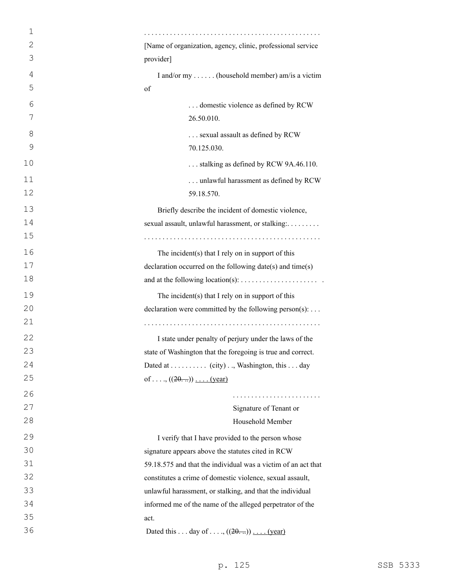| $\mathbf 1$ |                                                               |
|-------------|---------------------------------------------------------------|
| 2           | [Name of organization, agency, clinic, professional service   |
| 3           | provider]                                                     |
| 4           | I and/or my  (household member) am/is a victim                |
| 5           | of                                                            |
| 6           | domestic violence as defined by RCW                           |
| 7           | 26.50.010.                                                    |
| 8           | sexual assault as defined by RCW                              |
| 9           | 70.125.030.                                                   |
| 10          | stalking as defined by RCW 9A.46.110.                         |
| 11          | unlawful harassment as defined by RCW                         |
| 12          | 59.18.570.                                                    |
| 13          | Briefly describe the incident of domestic violence,           |
| 14          | sexual assault, unlawful harassment, or stalking:             |
| 15          |                                                               |
| 16          | The incident(s) that I rely on in support of this             |
| 17          | declaration occurred on the following date(s) and time(s)     |
| 18          |                                                               |
| 19          | The incident(s) that I rely on in support of this             |
| 20          | declaration were committed by the following person(s):        |
| 21          |                                                               |
| 22          | I state under penalty of perjury under the laws of the        |
| 23          | state of Washington that the foregoing is true and correct.   |
| 24          | Dated at (city) $\ldots$ , Washington, this day               |
| 25          | of, $((20))$ (year)                                           |
| 26          |                                                               |
| 27          | Signature of Tenant or                                        |
| 28          | Household Member                                              |
| 29          | I verify that I have provided to the person whose             |
| 30          | signature appears above the statutes cited in RCW             |
| 31          | 59.18.575 and that the individual was a victim of an act that |
| 32          | constitutes a crime of domestic violence, sexual assault,     |
| 33          | unlawful harassment, or stalking, and that the individual     |
| 34          | informed me of the name of the alleged perpetrator of the     |
| 35          | act.                                                          |
| 36          | Dated this day of , $((20))$ (year)                           |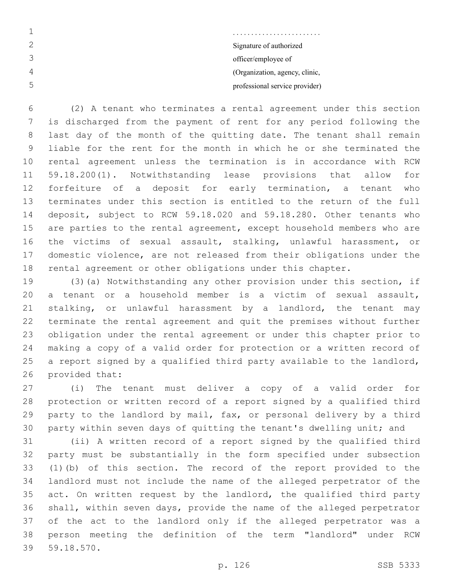| .                              |
|--------------------------------|
| Signature of authorized        |
| officer/employee of            |
| (Organization, agency, clinic, |
| professional service provider) |

 (2) A tenant who terminates a rental agreement under this section is discharged from the payment of rent for any period following the last day of the month of the quitting date. The tenant shall remain liable for the rent for the month in which he or she terminated the rental agreement unless the termination is in accordance with RCW 59.18.200(1). Notwithstanding lease provisions that allow for forfeiture of a deposit for early termination, a tenant who terminates under this section is entitled to the return of the full deposit, subject to RCW 59.18.020 and 59.18.280. Other tenants who are parties to the rental agreement, except household members who are the victims of sexual assault, stalking, unlawful harassment, or domestic violence, are not released from their obligations under the rental agreement or other obligations under this chapter.

 (3)(a) Notwithstanding any other provision under this section, if a tenant or a household member is a victim of sexual assault, stalking, or unlawful harassment by a landlord, the tenant may terminate the rental agreement and quit the premises without further obligation under the rental agreement or under this chapter prior to making a copy of a valid order for protection or a written record of a report signed by a qualified third party available to the landlord, 26 provided that:

 (i) The tenant must deliver a copy of a valid order for protection or written record of a report signed by a qualified third party to the landlord by mail, fax, or personal delivery by a third party within seven days of quitting the tenant's dwelling unit; and

 (ii) A written record of a report signed by the qualified third party must be substantially in the form specified under subsection (1)(b) of this section. The record of the report provided to the landlord must not include the name of the alleged perpetrator of the 35 act. On written request by the landlord, the qualified third party shall, within seven days, provide the name of the alleged perpetrator of the act to the landlord only if the alleged perpetrator was a person meeting the definition of the term "landlord" under RCW 59.18.570.39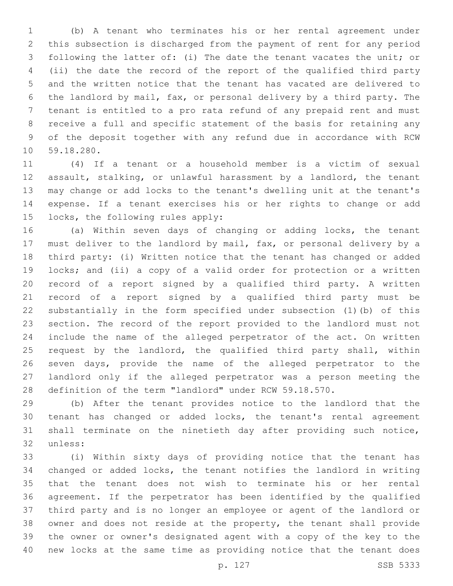(b) A tenant who terminates his or her rental agreement under this subsection is discharged from the payment of rent for any period following the latter of: (i) The date the tenant vacates the unit; or (ii) the date the record of the report of the qualified third party and the written notice that the tenant has vacated are delivered to the landlord by mail, fax, or personal delivery by a third party. The tenant is entitled to a pro rata refund of any prepaid rent and must receive a full and specific statement of the basis for retaining any of the deposit together with any refund due in accordance with RCW 10 59.18.280.

 (4) If a tenant or a household member is a victim of sexual assault, stalking, or unlawful harassment by a landlord, the tenant may change or add locks to the tenant's dwelling unit at the tenant's expense. If a tenant exercises his or her rights to change or add 15 locks, the following rules apply:

 (a) Within seven days of changing or adding locks, the tenant must deliver to the landlord by mail, fax, or personal delivery by a third party: (i) Written notice that the tenant has changed or added locks; and (ii) a copy of a valid order for protection or a written record of a report signed by a qualified third party. A written record of a report signed by a qualified third party must be substantially in the form specified under subsection (1)(b) of this section. The record of the report provided to the landlord must not include the name of the alleged perpetrator of the act. On written 25 request by the landlord, the qualified third party shall, within seven days, provide the name of the alleged perpetrator to the landlord only if the alleged perpetrator was a person meeting the definition of the term "landlord" under RCW 59.18.570.

 (b) After the tenant provides notice to the landlord that the tenant has changed or added locks, the tenant's rental agreement shall terminate on the ninetieth day after providing such notice, 32 unless:

 (i) Within sixty days of providing notice that the tenant has changed or added locks, the tenant notifies the landlord in writing that the tenant does not wish to terminate his or her rental agreement. If the perpetrator has been identified by the qualified third party and is no longer an employee or agent of the landlord or owner and does not reside at the property, the tenant shall provide the owner or owner's designated agent with a copy of the key to the new locks at the same time as providing notice that the tenant does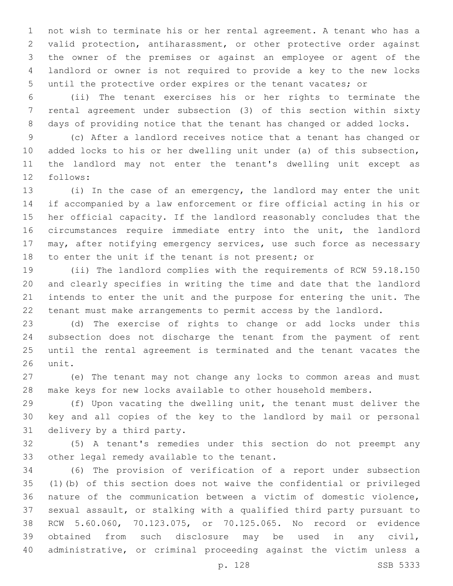not wish to terminate his or her rental agreement. A tenant who has a valid protection, antiharassment, or other protective order against the owner of the premises or against an employee or agent of the landlord or owner is not required to provide a key to the new locks until the protective order expires or the tenant vacates; or

 (ii) The tenant exercises his or her rights to terminate the rental agreement under subsection (3) of this section within sixty days of providing notice that the tenant has changed or added locks.

 (c) After a landlord receives notice that a tenant has changed or added locks to his or her dwelling unit under (a) of this subsection, the landlord may not enter the tenant's dwelling unit except as follows:12

 (i) In the case of an emergency, the landlord may enter the unit if accompanied by a law enforcement or fire official acting in his or her official capacity. If the landlord reasonably concludes that the circumstances require immediate entry into the unit, the landlord may, after notifying emergency services, use such force as necessary to enter the unit if the tenant is not present; or

 (ii) The landlord complies with the requirements of RCW 59.18.150 and clearly specifies in writing the time and date that the landlord intends to enter the unit and the purpose for entering the unit. The tenant must make arrangements to permit access by the landlord.

 (d) The exercise of rights to change or add locks under this subsection does not discharge the tenant from the payment of rent until the rental agreement is terminated and the tenant vacates the 26 unit.

 (e) The tenant may not change any locks to common areas and must make keys for new locks available to other household members.

 (f) Upon vacating the dwelling unit, the tenant must deliver the key and all copies of the key to the landlord by mail or personal 31 delivery by a third party.

 (5) A tenant's remedies under this section do not preempt any 33 other legal remedy available to the tenant.

 (6) The provision of verification of a report under subsection (1)(b) of this section does not waive the confidential or privileged nature of the communication between a victim of domestic violence, sexual assault, or stalking with a qualified third party pursuant to RCW 5.60.060, 70.123.075, or 70.125.065. No record or evidence obtained from such disclosure may be used in any civil, administrative, or criminal proceeding against the victim unless a

p. 128 SSB 5333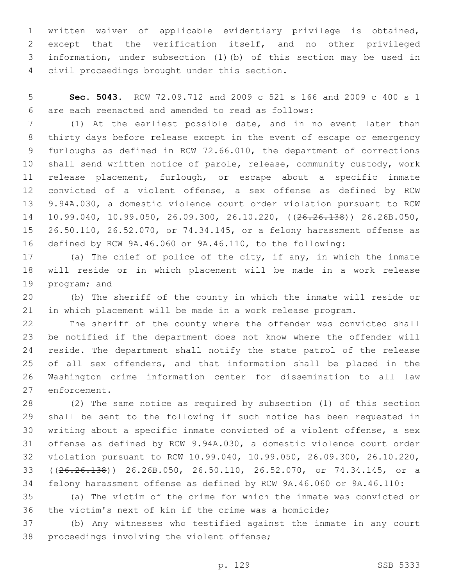written waiver of applicable evidentiary privilege is obtained, except that the verification itself, and no other privileged information, under subsection (1)(b) of this section may be used in civil proceedings brought under this section.4

 **Sec. 5043.** RCW 72.09.712 and 2009 c 521 s 166 and 2009 c 400 s 1 are each reenacted and amended to read as follows:6

 (1) At the earliest possible date, and in no event later than thirty days before release except in the event of escape or emergency furloughs as defined in RCW 72.66.010, the department of corrections shall send written notice of parole, release, community custody, work release placement, furlough, or escape about a specific inmate convicted of a violent offense, a sex offense as defined by RCW 9.94A.030, a domestic violence court order violation pursuant to RCW 10.99.040, 10.99.050, 26.09.300, 26.10.220, ((26.26.138)) 26.26B.050, 26.50.110, 26.52.070, or 74.34.145, or a felony harassment offense as defined by RCW 9A.46.060 or 9A.46.110, to the following:

 (a) The chief of police of the city, if any, in which the inmate will reside or in which placement will be made in a work release 19 program; and

 (b) The sheriff of the county in which the inmate will reside or in which placement will be made in a work release program.

 The sheriff of the county where the offender was convicted shall be notified if the department does not know where the offender will reside. The department shall notify the state patrol of the release of all sex offenders, and that information shall be placed in the Washington crime information center for dissemination to all law 27 enforcement.

 (2) The same notice as required by subsection (1) of this section shall be sent to the following if such notice has been requested in writing about a specific inmate convicted of a violent offense, a sex offense as defined by RCW 9.94A.030, a domestic violence court order violation pursuant to RCW 10.99.040, 10.99.050, 26.09.300, 26.10.220, ((26.26.138)) 26.26B.050, 26.50.110, 26.52.070, or 74.34.145, or a felony harassment offense as defined by RCW 9A.46.060 or 9A.46.110:

 (a) The victim of the crime for which the inmate was convicted or the victim's next of kin if the crime was a homicide;

 (b) Any witnesses who testified against the inmate in any court 38 proceedings involving the violent offense;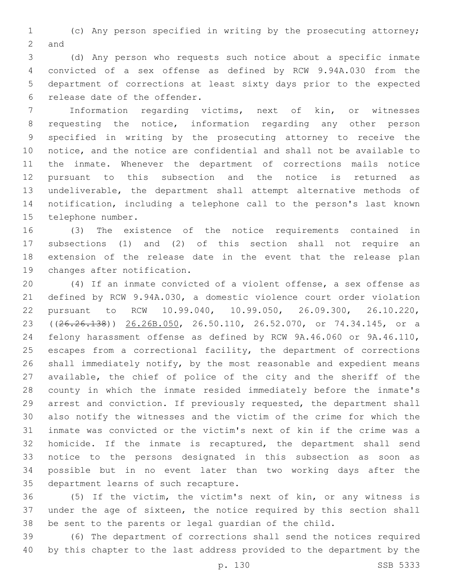(c) Any person specified in writing by the prosecuting attorney; 2 and

 (d) Any person who requests such notice about a specific inmate convicted of a sex offense as defined by RCW 9.94A.030 from the department of corrections at least sixty days prior to the expected 6 release date of the offender.

 Information regarding victims, next of kin, or witnesses requesting the notice, information regarding any other person specified in writing by the prosecuting attorney to receive the notice, and the notice are confidential and shall not be available to the inmate. Whenever the department of corrections mails notice pursuant to this subsection and the notice is returned as undeliverable, the department shall attempt alternative methods of notification, including a telephone call to the person's last known 15 telephone number.

 (3) The existence of the notice requirements contained in subsections (1) and (2) of this section shall not require an extension of the release date in the event that the release plan 19 changes after notification.

 (4) If an inmate convicted of a violent offense, a sex offense as defined by RCW 9.94A.030, a domestic violence court order violation pursuant to RCW 10.99.040, 10.99.050, 26.09.300, 26.10.220, 23 ((26.26.138)) 26.26B.050, 26.50.110, 26.52.070, or 74.34.145, or a felony harassment offense as defined by RCW 9A.46.060 or 9A.46.110, escapes from a correctional facility, the department of corrections shall immediately notify, by the most reasonable and expedient means available, the chief of police of the city and the sheriff of the county in which the inmate resided immediately before the inmate's arrest and conviction. If previously requested, the department shall also notify the witnesses and the victim of the crime for which the inmate was convicted or the victim's next of kin if the crime was a homicide. If the inmate is recaptured, the department shall send notice to the persons designated in this subsection as soon as possible but in no event later than two working days after the 35 department learns of such recapture.

 (5) If the victim, the victim's next of kin, or any witness is under the age of sixteen, the notice required by this section shall be sent to the parents or legal guardian of the child.

 (6) The department of corrections shall send the notices required by this chapter to the last address provided to the department by the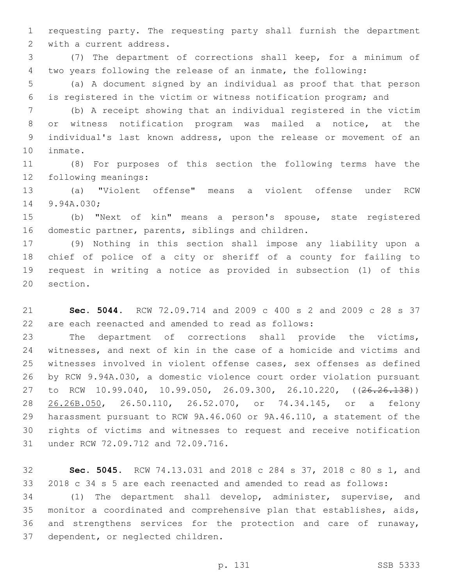requesting party. The requesting party shall furnish the department 2 with a current address.

 (7) The department of corrections shall keep, for a minimum of two years following the release of an inmate, the following:

 (a) A document signed by an individual as proof that that person is registered in the victim or witness notification program; and

 (b) A receipt showing that an individual registered in the victim or witness notification program was mailed a notice, at the individual's last known address, upon the release or movement of an 10 inmate.

 (8) For purposes of this section the following terms have the 12 following meanings:

 (a) "Violent offense" means a violent offense under RCW 14 9.94A.030;

 (b) "Next of kin" means a person's spouse, state registered 16 domestic partner, parents, siblings and children.

 (9) Nothing in this section shall impose any liability upon a chief of police of a city or sheriff of a county for failing to request in writing a notice as provided in subsection (1) of this 20 section.

 **Sec. 5044.** RCW 72.09.714 and 2009 c 400 s 2 and 2009 c 28 s 37 are each reenacted and amended to read as follows:

 The department of corrections shall provide the victims, witnesses, and next of kin in the case of a homicide and victims and witnesses involved in violent offense cases, sex offenses as defined by RCW 9.94A.030, a domestic violence court order violation pursuant 27 to RCW 10.99.040, 10.99.050, 26.09.300, 26.10.220, ((<del>26.26.138</del>)) 26.26B.050, 26.50.110, 26.52.070, or 74.34.145, or a felony harassment pursuant to RCW 9A.46.060 or 9A.46.110, a statement of the rights of victims and witnesses to request and receive notification 31 under RCW 72.09.712 and 72.09.716.

 **Sec. 5045.** RCW 74.13.031 and 2018 c 284 s 37, 2018 c 80 s 1, and 2018 c 34 s 5 are each reenacted and amended to read as follows:

 (1) The department shall develop, administer, supervise, and monitor a coordinated and comprehensive plan that establishes, aids, and strengthens services for the protection and care of runaway, 37 dependent, or neglected children.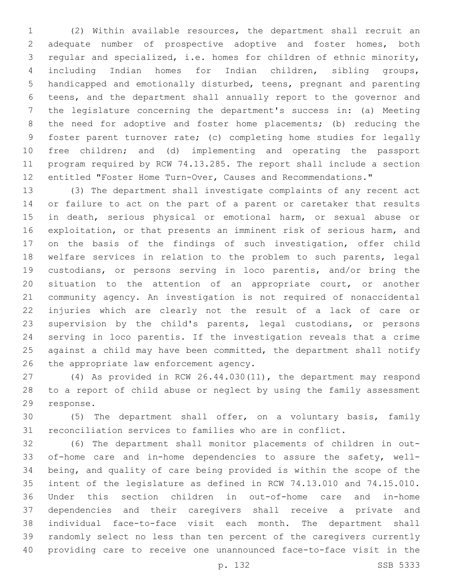(2) Within available resources, the department shall recruit an adequate number of prospective adoptive and foster homes, both regular and specialized, i.e. homes for children of ethnic minority, including Indian homes for Indian children, sibling groups, handicapped and emotionally disturbed, teens, pregnant and parenting teens, and the department shall annually report to the governor and the legislature concerning the department's success in: (a) Meeting the need for adoptive and foster home placements; (b) reducing the foster parent turnover rate; (c) completing home studies for legally free children; and (d) implementing and operating the passport program required by RCW 74.13.285. The report shall include a section entitled "Foster Home Turn-Over, Causes and Recommendations."

 (3) The department shall investigate complaints of any recent act or failure to act on the part of a parent or caretaker that results in death, serious physical or emotional harm, or sexual abuse or exploitation, or that presents an imminent risk of serious harm, and on the basis of the findings of such investigation, offer child welfare services in relation to the problem to such parents, legal custodians, or persons serving in loco parentis, and/or bring the situation to the attention of an appropriate court, or another community agency. An investigation is not required of nonaccidental injuries which are clearly not the result of a lack of care or supervision by the child's parents, legal custodians, or persons serving in loco parentis. If the investigation reveals that a crime against a child may have been committed, the department shall notify 26 the appropriate law enforcement agency.

 (4) As provided in RCW 26.44.030(11), the department may respond to a report of child abuse or neglect by using the family assessment 29 response.

 (5) The department shall offer, on a voluntary basis, family reconciliation services to families who are in conflict.

 (6) The department shall monitor placements of children in out- of-home care and in-home dependencies to assure the safety, well- being, and quality of care being provided is within the scope of the intent of the legislature as defined in RCW 74.13.010 and 74.15.010. Under this section children in out-of-home care and in-home dependencies and their caregivers shall receive a private and individual face-to-face visit each month. The department shall randomly select no less than ten percent of the caregivers currently providing care to receive one unannounced face-to-face visit in the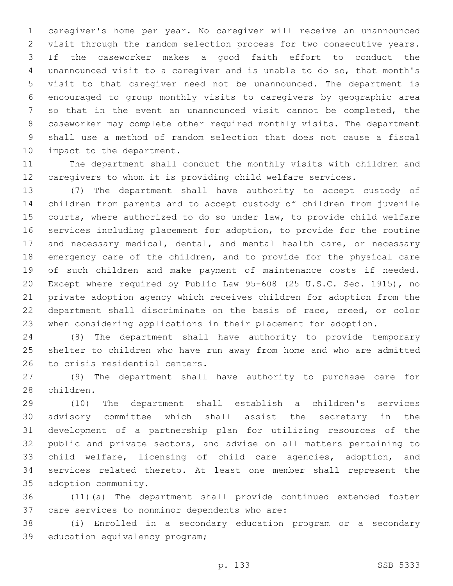caregiver's home per year. No caregiver will receive an unannounced visit through the random selection process for two consecutive years. If the caseworker makes a good faith effort to conduct the unannounced visit to a caregiver and is unable to do so, that month's visit to that caregiver need not be unannounced. The department is encouraged to group monthly visits to caregivers by geographic area so that in the event an unannounced visit cannot be completed, the caseworker may complete other required monthly visits. The department shall use a method of random selection that does not cause a fiscal 10 impact to the department.

 The department shall conduct the monthly visits with children and caregivers to whom it is providing child welfare services.

 (7) The department shall have authority to accept custody of children from parents and to accept custody of children from juvenile courts, where authorized to do so under law, to provide child welfare services including placement for adoption, to provide for the routine 17 and necessary medical, dental, and mental health care, or necessary emergency care of the children, and to provide for the physical care of such children and make payment of maintenance costs if needed. Except where required by Public Law 95-608 (25 U.S.C. Sec. 1915), no private adoption agency which receives children for adoption from the department shall discriminate on the basis of race, creed, or color when considering applications in their placement for adoption.

 (8) The department shall have authority to provide temporary shelter to children who have run away from home and who are admitted 26 to crisis residential centers.

 (9) The department shall have authority to purchase care for 28 children.

 (10) The department shall establish a children's services advisory committee which shall assist the secretary in the development of a partnership plan for utilizing resources of the public and private sectors, and advise on all matters pertaining to child welfare, licensing of child care agencies, adoption, and services related thereto. At least one member shall represent the 35 adoption community.

 (11)(a) The department shall provide continued extended foster 37 care services to nonminor dependents who are:

 (i) Enrolled in a secondary education program or a secondary 39 education equivalency program;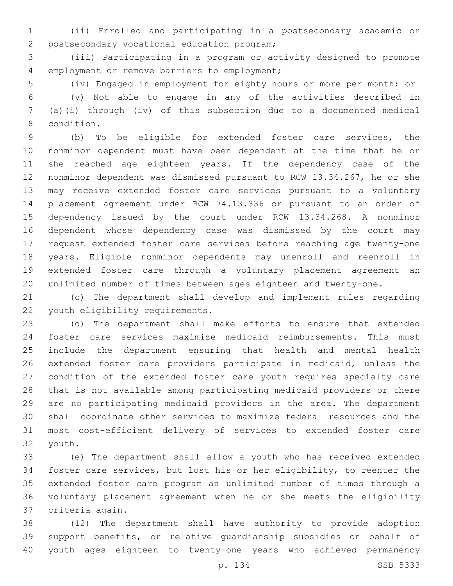(ii) Enrolled and participating in a postsecondary academic or 2 postsecondary vocational education program;

 (iii) Participating in a program or activity designed to promote 4 employment or remove barriers to employment;

(iv) Engaged in employment for eighty hours or more per month; or

 (v) Not able to engage in any of the activities described in (a)(i) through (iv) of this subsection due to a documented medical 8 condition.

 (b) To be eligible for extended foster care services, the nonminor dependent must have been dependent at the time that he or she reached age eighteen years. If the dependency case of the nonminor dependent was dismissed pursuant to RCW 13.34.267, he or she may receive extended foster care services pursuant to a voluntary placement agreement under RCW 74.13.336 or pursuant to an order of dependency issued by the court under RCW 13.34.268. A nonminor dependent whose dependency case was dismissed by the court may request extended foster care services before reaching age twenty-one years. Eligible nonminor dependents may unenroll and reenroll in extended foster care through a voluntary placement agreement an unlimited number of times between ages eighteen and twenty-one.

 (c) The department shall develop and implement rules regarding 22 youth eligibility requirements.

 (d) The department shall make efforts to ensure that extended foster care services maximize medicaid reimbursements. This must include the department ensuring that health and mental health extended foster care providers participate in medicaid, unless the condition of the extended foster care youth requires specialty care that is not available among participating medicaid providers or there are no participating medicaid providers in the area. The department shall coordinate other services to maximize federal resources and the most cost-efficient delivery of services to extended foster care 32 youth.

 (e) The department shall allow a youth who has received extended foster care services, but lost his or her eligibility, to reenter the extended foster care program an unlimited number of times through a voluntary placement agreement when he or she meets the eligibility criteria again.37

 (12) The department shall have authority to provide adoption support benefits, or relative guardianship subsidies on behalf of youth ages eighteen to twenty-one years who achieved permanency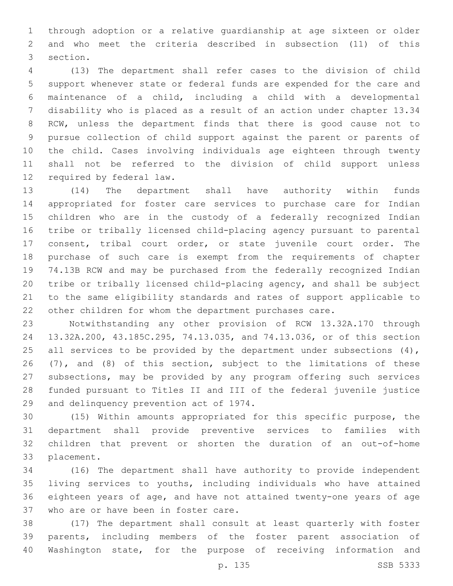through adoption or a relative guardianship at age sixteen or older and who meet the criteria described in subsection (11) of this 3 section.

 (13) The department shall refer cases to the division of child support whenever state or federal funds are expended for the care and maintenance of a child, including a child with a developmental disability who is placed as a result of an action under chapter 13.34 RCW, unless the department finds that there is good cause not to pursue collection of child support against the parent or parents of the child. Cases involving individuals age eighteen through twenty shall not be referred to the division of child support unless 12 required by federal law.

 (14) The department shall have authority within funds appropriated for foster care services to purchase care for Indian children who are in the custody of a federally recognized Indian tribe or tribally licensed child-placing agency pursuant to parental consent, tribal court order, or state juvenile court order. The purchase of such care is exempt from the requirements of chapter 74.13B RCW and may be purchased from the federally recognized Indian tribe or tribally licensed child-placing agency, and shall be subject to the same eligibility standards and rates of support applicable to other children for whom the department purchases care.

 Notwithstanding any other provision of RCW 13.32A.170 through 13.32A.200, 43.185C.295, 74.13.035, and 74.13.036, or of this section 25 all services to be provided by the department under subsections  $(4)$ , (7), and (8) of this section, subject to the limitations of these subsections, may be provided by any program offering such services funded pursuant to Titles II and III of the federal juvenile justice 29 and delinquency prevention act of 1974.

 (15) Within amounts appropriated for this specific purpose, the department shall provide preventive services to families with children that prevent or shorten the duration of an out-of-home 33 placement.

 (16) The department shall have authority to provide independent living services to youths, including individuals who have attained eighteen years of age, and have not attained twenty-one years of age 37 who are or have been in foster care.

 (17) The department shall consult at least quarterly with foster parents, including members of the foster parent association of Washington state, for the purpose of receiving information and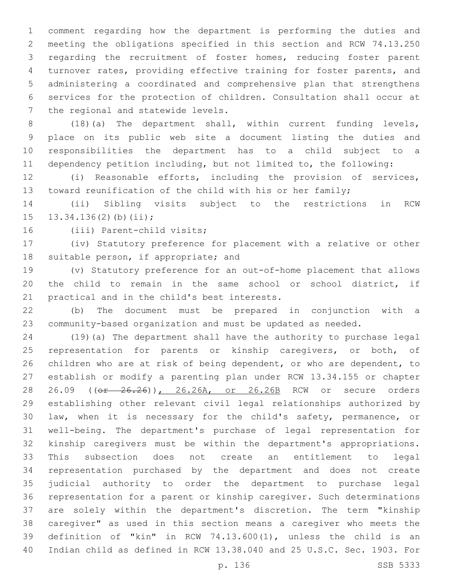comment regarding how the department is performing the duties and meeting the obligations specified in this section and RCW 74.13.250 regarding the recruitment of foster homes, reducing foster parent turnover rates, providing effective training for foster parents, and administering a coordinated and comprehensive plan that strengthens services for the protection of children. Consultation shall occur at 7 the regional and statewide levels.

 (18)(a) The department shall, within current funding levels, place on its public web site a document listing the duties and responsibilities the department has to a child subject to a dependency petition including, but not limited to, the following:

 (i) Reasonable efforts, including the provision of services, toward reunification of the child with his or her family;

 (ii) Sibling visits subject to the restrictions in RCW 15  $13.34.136(2)(b)(ii);$ 

16 (iii) Parent-child visits;

 (iv) Statutory preference for placement with a relative or other 18 suitable person, if appropriate; and

 (v) Statutory preference for an out-of-home placement that allows the child to remain in the same school or school district, if 21 practical and in the child's best interests.

 (b) The document must be prepared in conjunction with a community-based organization and must be updated as needed.

 (19)(a) The department shall have the authority to purchase legal 25 representation for parents or kinship caregivers, or both, of children who are at risk of being dependent, or who are dependent, to establish or modify a parenting plan under RCW 13.34.155 or chapter 28 26.09 ((or 26.26)), 26.26A, or 26.26B RCW or secure orders establishing other relevant civil legal relationships authorized by law, when it is necessary for the child's safety, permanence, or well-being. The department's purchase of legal representation for kinship caregivers must be within the department's appropriations. This subsection does not create an entitlement to legal representation purchased by the department and does not create judicial authority to order the department to purchase legal representation for a parent or kinship caregiver. Such determinations are solely within the department's discretion. The term "kinship caregiver" as used in this section means a caregiver who meets the definition of "kin" in RCW 74.13.600(1), unless the child is an Indian child as defined in RCW 13.38.040 and 25 U.S.C. Sec. 1903. For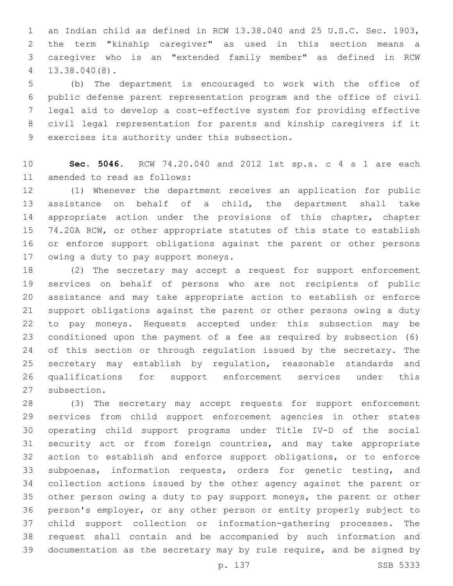an Indian child as defined in RCW 13.38.040 and 25 U.S.C. Sec. 1903, the term "kinship caregiver" as used in this section means a caregiver who is an "extended family member" as defined in RCW 13.38.040(8).4

 (b) The department is encouraged to work with the office of public defense parent representation program and the office of civil legal aid to develop a cost-effective system for providing effective civil legal representation for parents and kinship caregivers if it 9 exercises its authority under this subsection.

 **Sec. 5046.** RCW 74.20.040 and 2012 1st sp.s. c 4 s 1 are each 11 amended to read as follows:

 (1) Whenever the department receives an application for public assistance on behalf of a child, the department shall take 14 appropriate action under the provisions of this chapter, chapter 74.20A RCW, or other appropriate statutes of this state to establish or enforce support obligations against the parent or other persons 17 owing a duty to pay support moneys.

 (2) The secretary may accept a request for support enforcement services on behalf of persons who are not recipients of public assistance and may take appropriate action to establish or enforce support obligations against the parent or other persons owing a duty to pay moneys. Requests accepted under this subsection may be conditioned upon the payment of a fee as required by subsection (6) 24 of this section or through regulation issued by the secretary. The secretary may establish by regulation, reasonable standards and qualifications for support enforcement services under this 27 subsection.

 (3) The secretary may accept requests for support enforcement services from child support enforcement agencies in other states operating child support programs under Title IV-D of the social security act or from foreign countries, and may take appropriate action to establish and enforce support obligations, or to enforce subpoenas, information requests, orders for genetic testing, and collection actions issued by the other agency against the parent or other person owing a duty to pay support moneys, the parent or other person's employer, or any other person or entity properly subject to child support collection or information-gathering processes. The request shall contain and be accompanied by such information and documentation as the secretary may by rule require, and be signed by

p. 137 SSB 5333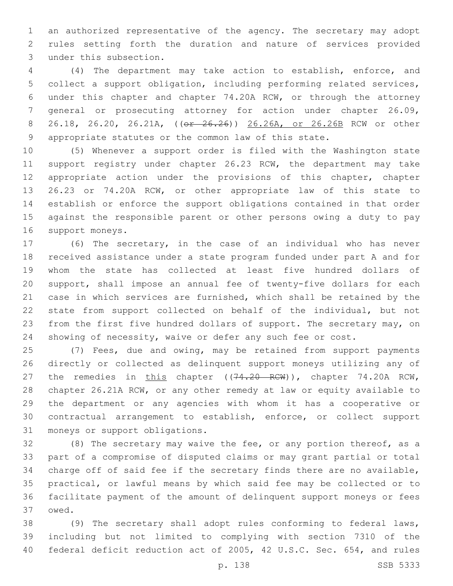an authorized representative of the agency. The secretary may adopt rules setting forth the duration and nature of services provided 3 under this subsection.

 (4) The department may take action to establish, enforce, and collect a support obligation, including performing related services, under this chapter and chapter 74.20A RCW, or through the attorney general or prosecuting attorney for action under chapter 26.09, 26.18, 26.20, 26.21A, ((or 26.26)) 26.26A, or 26.26B RCW or other appropriate statutes or the common law of this state.

 (5) Whenever a support order is filed with the Washington state support registry under chapter 26.23 RCW, the department may take appropriate action under the provisions of this chapter, chapter 26.23 or 74.20A RCW, or other appropriate law of this state to establish or enforce the support obligations contained in that order against the responsible parent or other persons owing a duty to pay 16 support moneys.

 (6) The secretary, in the case of an individual who has never received assistance under a state program funded under part A and for whom the state has collected at least five hundred dollars of support, shall impose an annual fee of twenty-five dollars for each case in which services are furnished, which shall be retained by the state from support collected on behalf of the individual, but not from the first five hundred dollars of support. The secretary may, on showing of necessity, waive or defer any such fee or cost.

 (7) Fees, due and owing, may be retained from support payments directly or collected as delinquent support moneys utilizing any of 27 the remedies in this chapter ((74.20 RCW)), chapter 74.20A RCW, chapter 26.21A RCW, or any other remedy at law or equity available to the department or any agencies with whom it has a cooperative or contractual arrangement to establish, enforce, or collect support 31 moneys or support obligations.

 (8) The secretary may waive the fee, or any portion thereof, as a part of a compromise of disputed claims or may grant partial or total charge off of said fee if the secretary finds there are no available, practical, or lawful means by which said fee may be collected or to facilitate payment of the amount of delinquent support moneys or fees 37 owed.

 (9) The secretary shall adopt rules conforming to federal laws, including but not limited to complying with section 7310 of the federal deficit reduction act of 2005, 42 U.S.C. Sec. 654, and rules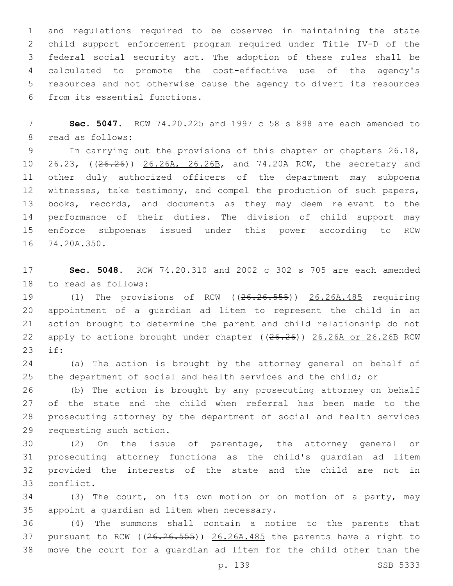and regulations required to be observed in maintaining the state child support enforcement program required under Title IV-D of the federal social security act. The adoption of these rules shall be calculated to promote the cost-effective use of the agency's resources and not otherwise cause the agency to divert its resources 6 from its essential functions.

 **Sec. 5047.** RCW 74.20.225 and 1997 c 58 s 898 are each amended to 8 read as follows:

9 In carrying out the provisions of this chapter or chapters 26.18, 10 26.23, ((26.26)) 26.26A, 26.26B, and 74.20A RCW, the secretary and other duly authorized officers of the department may subpoena witnesses, take testimony, and compel the production of such papers, books, records, and documents as they may deem relevant to the performance of their duties. The division of child support may enforce subpoenas issued under this power according to RCW 16 74.20A.350.

 **Sec. 5048.** RCW 74.20.310 and 2002 c 302 s 705 are each amended 18 to read as follows:

19 (1) The provisions of RCW ((26.26.555)) 26.26A.485 requiring appointment of a guardian ad litem to represent the child in an action brought to determine the parent and child relationship do not 22 apply to actions brought under chapter ((26.26)) 26.26A or 26.26B RCW 23 if:

 (a) The action is brought by the attorney general on behalf of the department of social and health services and the child; or

 (b) The action is brought by any prosecuting attorney on behalf of the state and the child when referral has been made to the prosecuting attorney by the department of social and health services 29 requesting such action.

 (2) On the issue of parentage, the attorney general or prosecuting attorney functions as the child's guardian ad litem provided the interests of the state and the child are not in 33 conflict.

 (3) The court, on its own motion or on motion of a party, may 35 appoint a guardian ad litem when necessary.

 (4) The summons shall contain a notice to the parents that 37 pursuant to RCW ( $(26.26.555)$ )  $26.26A.485$  the parents have a right to move the court for a guardian ad litem for the child other than the

p. 139 SSB 5333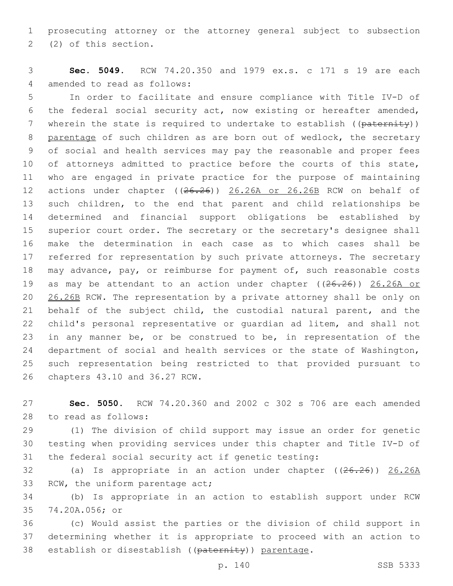prosecuting attorney or the attorney general subject to subsection (2) of this section.2

 **Sec. 5049.** RCW 74.20.350 and 1979 ex.s. c 171 s 19 are each 4 amended to read as follows:

 In order to facilitate and ensure compliance with Title IV-D of the federal social security act, now existing or hereafter amended, 7 wherein the state is required to undertake to establish ((paternity)) 8 parentage of such children as are born out of wedlock, the secretary of social and health services may pay the reasonable and proper fees 10 of attorneys admitted to practice before the courts of this state, who are engaged in private practice for the purpose of maintaining actions under chapter ((26.26)) 26.26A or 26.26B RCW on behalf of such children, to the end that parent and child relationships be determined and financial support obligations be established by superior court order. The secretary or the secretary's designee shall make the determination in each case as to which cases shall be referred for representation by such private attorneys. The secretary may advance, pay, or reimburse for payment of, such reasonable costs 19 as may be attendant to an action under chapter ((26.26)) 26.26A or 20 26.26B RCW. The representation by a private attorney shall be only on behalf of the subject child, the custodial natural parent, and the child's personal representative or guardian ad litem, and shall not 23 in any manner be, or be construed to be, in representation of the department of social and health services or the state of Washington, such representation being restricted to that provided pursuant to 26 chapters 43.10 and 36.27 RCW.

 **Sec. 5050.** RCW 74.20.360 and 2002 c 302 s 706 are each amended 28 to read as follows:

 (1) The division of child support may issue an order for genetic testing when providing services under this chapter and Title IV-D of the federal social security act if genetic testing:

 (a) Is appropriate in an action under chapter ((26.26)) 26.26A 33 RCW, the uniform parentage act;

 (b) Is appropriate in an action to establish support under RCW 35 74.20A.056; or

 (c) Would assist the parties or the division of child support in determining whether it is appropriate to proceed with an action to 38 establish or disestablish ((paternity)) parentage.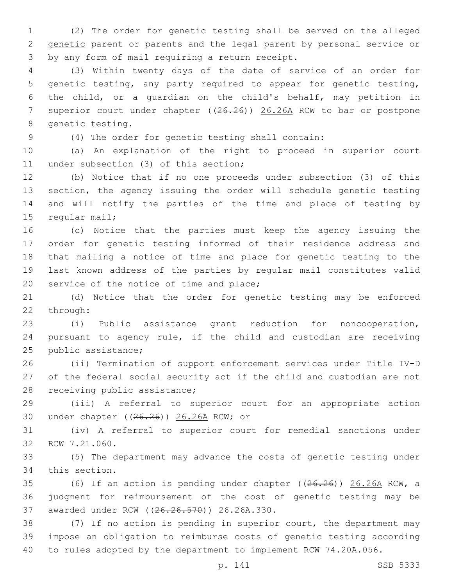(2) The order for genetic testing shall be served on the alleged genetic parent or parents and the legal parent by personal service or 3 by any form of mail requiring a return receipt.

 (3) Within twenty days of the date of service of an order for genetic testing, any party required to appear for genetic testing, the child, or a guardian on the child's behalf, may petition in 7 superior court under chapter ((26.26)) 26.26A RCW to bar or postpone 8 genetic testing.

(4) The order for genetic testing shall contain:

 (a) An explanation of the right to proceed in superior court 11 under subsection (3) of this section;

 (b) Notice that if no one proceeds under subsection (3) of this section, the agency issuing the order will schedule genetic testing and will notify the parties of the time and place of testing by 15 regular mail;

 (c) Notice that the parties must keep the agency issuing the order for genetic testing informed of their residence address and that mailing a notice of time and place for genetic testing to the last known address of the parties by regular mail constitutes valid 20 service of the notice of time and place;

 (d) Notice that the order for genetic testing may be enforced 22 through:

 (i) Public assistance grant reduction for noncooperation, pursuant to agency rule, if the child and custodian are receiving 25 public assistance;

 (ii) Termination of support enforcement services under Title IV-D of the federal social security act if the child and custodian are not 28 receiving public assistance;

 (iii) A referral to superior court for an appropriate action 30 under chapter ((26.26)) 26.26A RCW; or

 (iv) A referral to superior court for remedial sanctions under 32 RCW 7.21.060.

 (5) The department may advance the costs of genetic testing under 34 this section.

 (6) If an action is pending under chapter ((26.26)) 26.26A RCW, a judgment for reimbursement of the cost of genetic testing may be 37 awarded under RCW ((26.26.570)) 26.26A.330.

 (7) If no action is pending in superior court, the department may impose an obligation to reimburse costs of genetic testing according to rules adopted by the department to implement RCW 74.20A.056.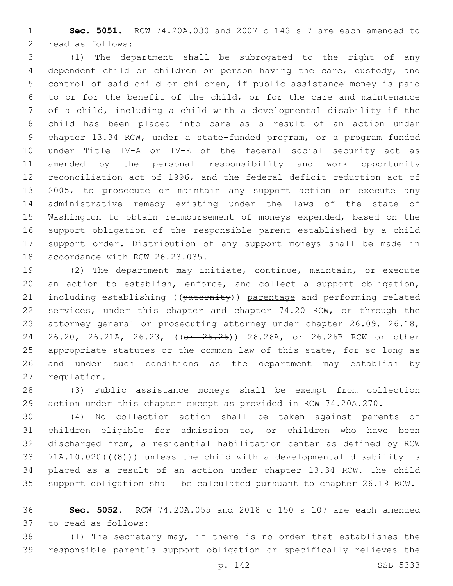**Sec. 5051.** RCW 74.20A.030 and 2007 c 143 s 7 are each amended to 2 read as follows:

 (1) The department shall be subrogated to the right of any dependent child or children or person having the care, custody, and control of said child or children, if public assistance money is paid to or for the benefit of the child, or for the care and maintenance of a child, including a child with a developmental disability if the child has been placed into care as a result of an action under chapter 13.34 RCW, under a state-funded program, or a program funded under Title IV-A or IV-E of the federal social security act as amended by the personal responsibility and work opportunity reconciliation act of 1996, and the federal deficit reduction act of 2005, to prosecute or maintain any support action or execute any administrative remedy existing under the laws of the state of Washington to obtain reimbursement of moneys expended, based on the support obligation of the responsible parent established by a child support order. Distribution of any support moneys shall be made in 18 accordance with RCW 26.23.035.

 (2) The department may initiate, continue, maintain, or execute an action to establish, enforce, and collect a support obligation, 21 including establishing ((paternity)) parentage and performing related services, under this chapter and chapter 74.20 RCW, or through the attorney general or prosecuting attorney under chapter 26.09, 26.18, 24 26.20, 26.21A, 26.23, (( $\sigma$ r 26.26)) 26.26A, or 26.26B RCW or other 25 appropriate statutes or the common law of this state, for so long as and under such conditions as the department may establish by 27 regulation.

 (3) Public assistance moneys shall be exempt from collection action under this chapter except as provided in RCW 74.20A.270.

 (4) No collection action shall be taken against parents of children eligible for admission to, or children who have been discharged from, a residential habilitation center as defined by RCW 33 71A.10.020( $(48)$ )) unless the child with a developmental disability is placed as a result of an action under chapter 13.34 RCW. The child support obligation shall be calculated pursuant to chapter 26.19 RCW.

 **Sec. 5052.** RCW 74.20A.055 and 2018 c 150 s 107 are each amended 37 to read as follows:

 (1) The secretary may, if there is no order that establishes the responsible parent's support obligation or specifically relieves the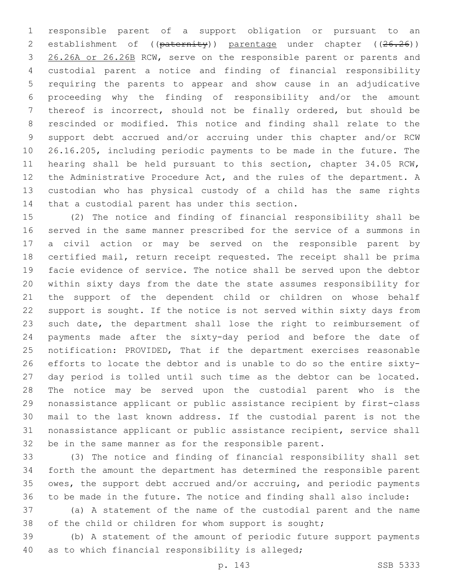responsible parent of a support obligation or pursuant to an 2 establishment of ((paternity)) parentage under chapter ((26.26)) 26.26A or 26.26B RCW, serve on the responsible parent or parents and custodial parent a notice and finding of financial responsibility requiring the parents to appear and show cause in an adjudicative proceeding why the finding of responsibility and/or the amount thereof is incorrect, should not be finally ordered, but should be rescinded or modified. This notice and finding shall relate to the support debt accrued and/or accruing under this chapter and/or RCW 26.16.205, including periodic payments to be made in the future. The hearing shall be held pursuant to this section, chapter 34.05 RCW, the Administrative Procedure Act, and the rules of the department. A custodian who has physical custody of a child has the same rights 14 that a custodial parent has under this section.

 (2) The notice and finding of financial responsibility shall be served in the same manner prescribed for the service of a summons in a civil action or may be served on the responsible parent by certified mail, return receipt requested. The receipt shall be prima facie evidence of service. The notice shall be served upon the debtor within sixty days from the date the state assumes responsibility for the support of the dependent child or children on whose behalf support is sought. If the notice is not served within sixty days from such date, the department shall lose the right to reimbursement of payments made after the sixty-day period and before the date of notification: PROVIDED, That if the department exercises reasonable efforts to locate the debtor and is unable to do so the entire sixty- day period is tolled until such time as the debtor can be located. The notice may be served upon the custodial parent who is the nonassistance applicant or public assistance recipient by first-class mail to the last known address. If the custodial parent is not the nonassistance applicant or public assistance recipient, service shall be in the same manner as for the responsible parent.

 (3) The notice and finding of financial responsibility shall set forth the amount the department has determined the responsible parent owes, the support debt accrued and/or accruing, and periodic payments to be made in the future. The notice and finding shall also include:

 (a) A statement of the name of the custodial parent and the name of the child or children for whom support is sought;

 (b) A statement of the amount of periodic future support payments 40 as to which financial responsibility is alleged;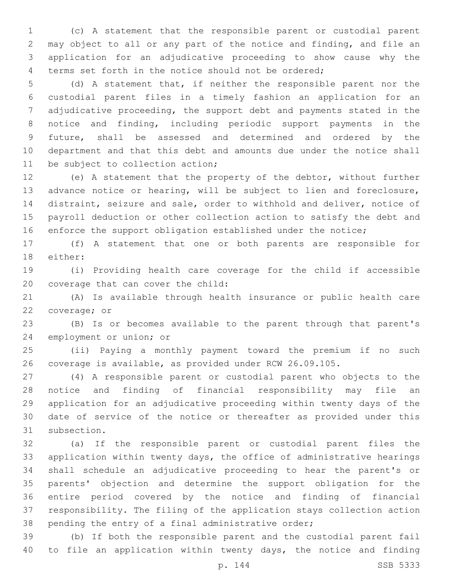(c) A statement that the responsible parent or custodial parent may object to all or any part of the notice and finding, and file an application for an adjudicative proceeding to show cause why the terms set forth in the notice should not be ordered;

 (d) A statement that, if neither the responsible parent nor the custodial parent files in a timely fashion an application for an adjudicative proceeding, the support debt and payments stated in the notice and finding, including periodic support payments in the future, shall be assessed and determined and ordered by the department and that this debt and amounts due under the notice shall 11 be subject to collection action;

 (e) A statement that the property of the debtor, without further advance notice or hearing, will be subject to lien and foreclosure, distraint, seizure and sale, order to withhold and deliver, notice of payroll deduction or other collection action to satisfy the debt and enforce the support obligation established under the notice;

 (f) A statement that one or both parents are responsible for 18 either:

 (i) Providing health care coverage for the child if accessible 20 coverage that can cover the child:

 (A) Is available through health insurance or public health care 22 coverage; or

 (B) Is or becomes available to the parent through that parent's 24 employment or union; or

 (ii) Paying a monthly payment toward the premium if no such coverage is available, as provided under RCW 26.09.105.

 (4) A responsible parent or custodial parent who objects to the notice and finding of financial responsibility may file an application for an adjudicative proceeding within twenty days of the date of service of the notice or thereafter as provided under this 31 subsection.

 (a) If the responsible parent or custodial parent files the application within twenty days, the office of administrative hearings shall schedule an adjudicative proceeding to hear the parent's or parents' objection and determine the support obligation for the entire period covered by the notice and finding of financial responsibility. The filing of the application stays collection action pending the entry of a final administrative order;

 (b) If both the responsible parent and the custodial parent fail to file an application within twenty days, the notice and finding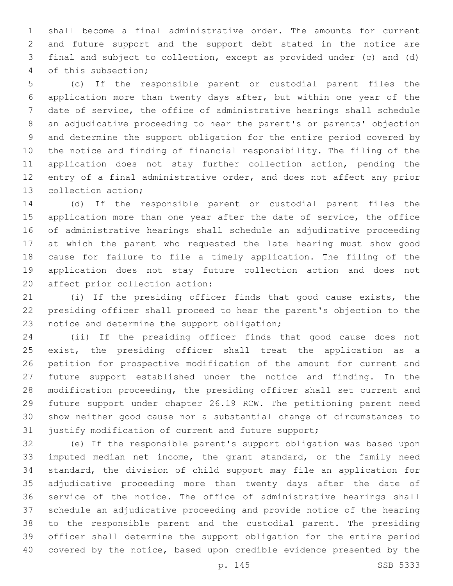shall become a final administrative order. The amounts for current and future support and the support debt stated in the notice are final and subject to collection, except as provided under (c) and (d) 4 of this subsection;

 (c) If the responsible parent or custodial parent files the application more than twenty days after, but within one year of the date of service, the office of administrative hearings shall schedule an adjudicative proceeding to hear the parent's or parents' objection and determine the support obligation for the entire period covered by the notice and finding of financial responsibility. The filing of the application does not stay further collection action, pending the entry of a final administrative order, and does not affect any prior 13 collection action;

 (d) If the responsible parent or custodial parent files the 15 application more than one year after the date of service, the office of administrative hearings shall schedule an adjudicative proceeding at which the parent who requested the late hearing must show good cause for failure to file a timely application. The filing of the application does not stay future collection action and does not 20 affect prior collection action:

 (i) If the presiding officer finds that good cause exists, the presiding officer shall proceed to hear the parent's objection to the 23 notice and determine the support obligation;

 (ii) If the presiding officer finds that good cause does not exist, the presiding officer shall treat the application as a petition for prospective modification of the amount for current and future support established under the notice and finding. In the modification proceeding, the presiding officer shall set current and future support under chapter 26.19 RCW. The petitioning parent need show neither good cause nor a substantial change of circumstances to justify modification of current and future support;

 (e) If the responsible parent's support obligation was based upon imputed median net income, the grant standard, or the family need standard, the division of child support may file an application for adjudicative proceeding more than twenty days after the date of service of the notice. The office of administrative hearings shall schedule an adjudicative proceeding and provide notice of the hearing to the responsible parent and the custodial parent. The presiding officer shall determine the support obligation for the entire period covered by the notice, based upon credible evidence presented by the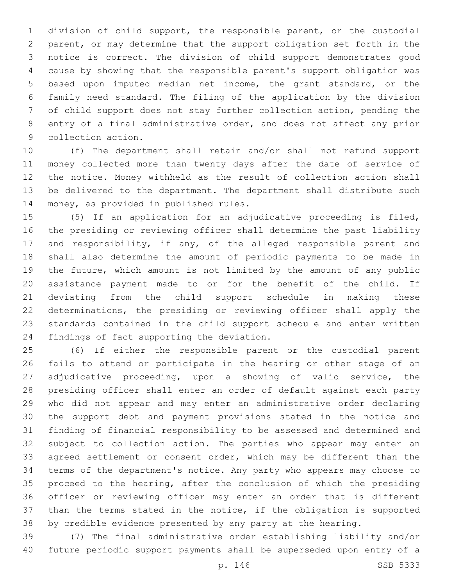division of child support, the responsible parent, or the custodial parent, or may determine that the support obligation set forth in the notice is correct. The division of child support demonstrates good cause by showing that the responsible parent's support obligation was based upon imputed median net income, the grant standard, or the family need standard. The filing of the application by the division of child support does not stay further collection action, pending the entry of a final administrative order, and does not affect any prior 9 collection action.

 (f) The department shall retain and/or shall not refund support money collected more than twenty days after the date of service of the notice. Money withheld as the result of collection action shall be delivered to the department. The department shall distribute such 14 money, as provided in published rules.

 (5) If an application for an adjudicative proceeding is filed, the presiding or reviewing officer shall determine the past liability and responsibility, if any, of the alleged responsible parent and shall also determine the amount of periodic payments to be made in the future, which amount is not limited by the amount of any public assistance payment made to or for the benefit of the child. If deviating from the child support schedule in making these determinations, the presiding or reviewing officer shall apply the standards contained in the child support schedule and enter written 24 findings of fact supporting the deviation.

 (6) If either the responsible parent or the custodial parent fails to attend or participate in the hearing or other stage of an adjudicative proceeding, upon a showing of valid service, the presiding officer shall enter an order of default against each party who did not appear and may enter an administrative order declaring the support debt and payment provisions stated in the notice and finding of financial responsibility to be assessed and determined and subject to collection action. The parties who appear may enter an 33 agreed settlement or consent order, which may be different than the terms of the department's notice. Any party who appears may choose to proceed to the hearing, after the conclusion of which the presiding officer or reviewing officer may enter an order that is different than the terms stated in the notice, if the obligation is supported by credible evidence presented by any party at the hearing.

 (7) The final administrative order establishing liability and/or future periodic support payments shall be superseded upon entry of a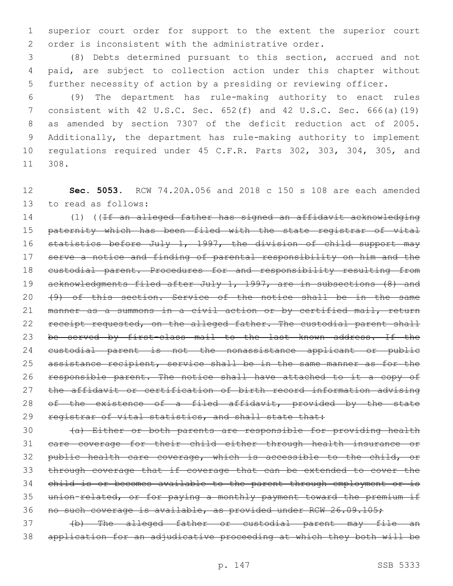superior court order for support to the extent the superior court order is inconsistent with the administrative order.

 (8) Debts determined pursuant to this section, accrued and not paid, are subject to collection action under this chapter without further necessity of action by a presiding or reviewing officer.

 (9) The department has rule-making authority to enact rules consistent with 42 U.S.C. Sec. 652(f) and 42 U.S.C. Sec. 666(a)(19) as amended by section 7307 of the deficit reduction act of 2005. Additionally, the department has rule-making authority to implement regulations required under 45 C.F.R. Parts 302, 303, 304, 305, and 308.11

 **Sec. 5053.** RCW 74.20A.056 and 2018 c 150 s 108 are each amended 13 to read as follows:

 (1) ((If an alleged father has signed an affidavit acknowledging 15 paternity which has been filed with the state registrar of vital 16 statistics before July 1, 1997, the division of child support may serve a notice and finding of parental responsibility on him and the custodial parent. Procedures for and responsibility resulting from 19 acknowledgments filed after July 1, 1997, are in subsections (8) and 20 (9) of this section. Service of the notice shall be in the same manner as a summons in a civil action or by certified mail, return 22 receipt requested, on the alleged father. The custodial parent shall 23 be served by first-class mail to the last known address. If the custodial parent is not the nonassistance applicant or public assistance recipient, service shall be in the same manner as for the responsible parent. The notice shall have attached to it a copy of the affidavit or certification of birth record information advising 28 of the existence of a filed affidavit, provided by the state 29 registrar of vital statistics, and shall state that:

 (a) Either or both parents are responsible for providing health care coverage for their child either through health insurance or 32 public health care coverage, which is accessible to the child, or through coverage that if coverage that can be extended to cover the child is or becomes available to the parent through employment or is union-related, or for paying a monthly payment toward the premium if no such coverage is available, as provided under RCW 26.09.105;

 (b) The alleged father or custodial parent may file an application for an adjudicative proceeding at which they both will be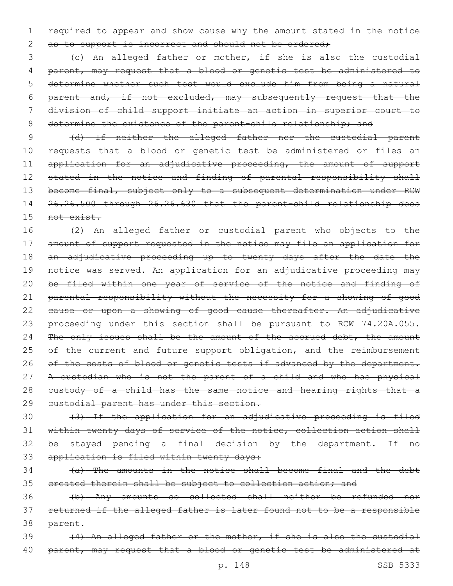1 required to appear and show cause why the amount stated in the notice 2 as to support is incorrect and should not be ordered;

 (c) An alleged father or mother, if she is also the custodial 4 parent, may request that a blood or genetic test be administered to determine whether such test would exclude him from being a natural parent and, if not excluded, may subsequently request that the division of child support initiate an action in superior court to 8 determine the existence of the parent-child relationship; and

9 (d) If neither the alleged father nor the custodial parent 10 requests that a blood or genetic test be administered or files an 11 application for an adjudicative proceeding, the amount of support 12 stated in the notice and finding of parental responsibility shall 13 become final, subject only to a subsequent determination under RCW 14 26.26.500 through 26.26.630 that the parent-child relationship does 15 <del>not exist.</del>

16 (2) An alleged father or custodial parent who objects to the 17 amount of support requested in the notice may file an application for 18 an adjudicative proceeding up to twenty days after the date the 19 notice was served. An application for an adjudicative proceeding may 20 be filed within one year of service of the notice and finding of 21 parental responsibility without the necessity for a showing of good 22 cause or upon a showing of good cause thereafter. An adjudicative 23 proceeding under this section shall be pursuant to RCW 74.20A.055. 24 The only issues shall be the amount of the accrued debt, the amount 25 of the current and future support obligation, and the reimbursement 26 of the costs of blood or genetic tests if advanced by the department. 27 A custodian who is not the parent of a child and who has physical 28 eustody of a child has the same notice and hearing rights that a 29 eustodial parent has under this section.

30 (3) If the application for an adjudicative proceeding is filed 31 within twenty days of service of the notice, collection action shall 32 be stayed pending a final decision by the department. If no 33 application is filed within twenty days:

34 (a) The amounts in the notice shall become final and the debt 35 ereated therein shall be subject to collection action; and

36 (b) Any amounts so collected shall neither be refunded nor 37 returned if the alleged father is later found not to be a responsible 38 parent.

39 (4) An alleged father or the mother, if she is also the custodial 40 parent, may request that a blood or genetic test be administered at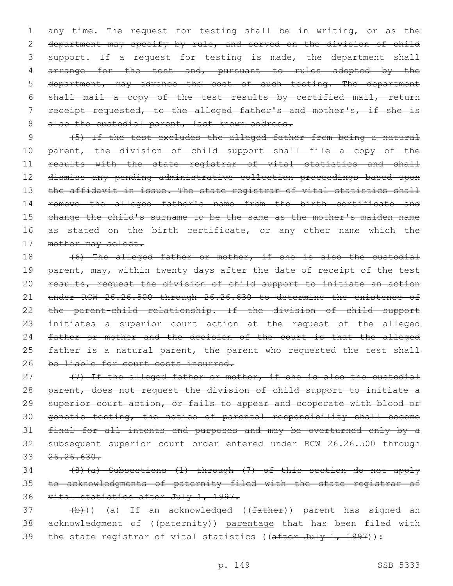1 any time. The request for testing shall be in writing, or as the 2 department may specify by rule, and served on the division of child 3 support. If a request for testing is made, the department shall 4 arrange for the test and, pursuant to rules adopted by the 5 department, may advance the cost of such testing. The department 6 shall mail a copy of the test results by certified mail, return 7 receipt requested, to the alleged father's and mother's, if she is 8 also the custodial parent, last known address.

9 (5) If the test excludes the alleged father from being a natural 10 parent, the division of child support shall file a copy of the 11 results with the state registrar of vital statistics and shall 12 dismiss any pending administrative collection proceedings based upon 13 the affidavit in issue. The state registrar of vital statistics shall 14 remove the alleged father's name from the birth certificate and 15 change the child's surname to be the same as the mother's maiden name 16 as stated on the birth certificate, or any other name which the 17 mother may select.

18 (6) The alleged father or mother, if she is also the custodial 19 parent, may, within twenty days after the date of receipt of the test 20 results, request the division of child support to initiate an action 21 under RCW 26.26.500 through 26.26.630 to determine the existence of 22 the parent-child relationship. If the division of child support 23 initiates a superior court action at the request of the alleged 24 father or mother and the decision of the court is that the alleged 25 father is a natural parent, the parent who requested the test shall 26 be liable for court costs incurred.

27 (7) If the alleged father or mother, if she is also the custodial 28 parent, does not request the division of child support to initiate a 29 superior court action, or fails to appear and cooperate with blood or 30 genetic testing, the notice of parental responsibility shall become 31 final for all intents and purposes and may be overturned only by a 32 subsequent superior court order entered under RCW 26.26.500 through 33 26.26.630.

34 (8)(a) Subsections (1) through (7) of this section do not apply 35 to acknowledgments of paternity filed with the state registrar of 36 vital statistics after July 1, 1997.

37 (b)) (a) If an acknowledged ((father)) parent has signed an 38 acknowledgment of ((paternity)) parentage that has been filed with 39 the state registrar of vital statistics ((after July 1, 1997)):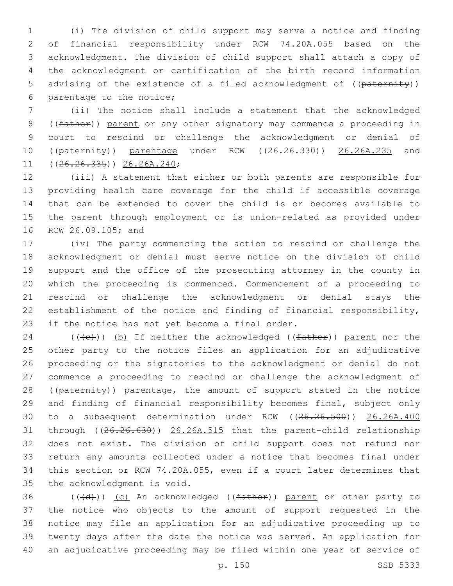(i) The division of child support may serve a notice and finding of financial responsibility under RCW 74.20A.055 based on the acknowledgment. The division of child support shall attach a copy of the acknowledgment or certification of the birth record information 5 advising of the existence of a filed acknowledgment of ((paternity)) 6 parentage to the notice;

 (ii) The notice shall include a statement that the acknowledged 8 ((father)) parent or any other signatory may commence a proceeding in court to rescind or challenge the acknowledgment or denial of 10 ((paternity)) parentage under RCW ((26.26.330)) 26.26A.235 and  $((26.26.335))$   $26.26A.240;$ 

 (iii) A statement that either or both parents are responsible for providing health care coverage for the child if accessible coverage that can be extended to cover the child is or becomes available to the parent through employment or is union-related as provided under 16 RCW 26.09.105; and

 (iv) The party commencing the action to rescind or challenge the acknowledgment or denial must serve notice on the division of child support and the office of the prosecuting attorney in the county in which the proceeding is commenced. Commencement of a proceeding to rescind or challenge the acknowledgment or denial stays the establishment of the notice and finding of financial responsibility, 23 if the notice has not yet become a final order.

24 ( $(\text{+e})$ ) (b) If neither the acknowledged ( $(\text{father})$ ) parent nor the other party to the notice files an application for an adjudicative proceeding or the signatories to the acknowledgment or denial do not commence a proceeding to rescind or challenge the acknowledgment of 28 ((paternity)) parentage, the amount of support stated in the notice and finding of financial responsibility becomes final, subject only to a subsequent determination under RCW ((26.26.500)) 26.26A.400 through ((26.26.630)) 26.26A.515 that the parent-child relationship does not exist. The division of child support does not refund nor return any amounts collected under a notice that becomes final under this section or RCW 74.20A.055, even if a court later determines that 35 the acknowledgment is void.

 $((\{d\}))(c)$  An acknowledged  $((\text{father}))$  parent or other party to the notice who objects to the amount of support requested in the notice may file an application for an adjudicative proceeding up to twenty days after the date the notice was served. An application for an adjudicative proceeding may be filed within one year of service of